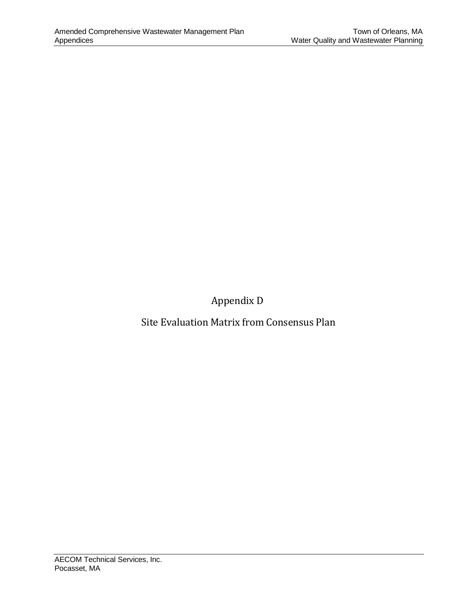Appendix D

Site Evaluation Matrix from Consensus Plan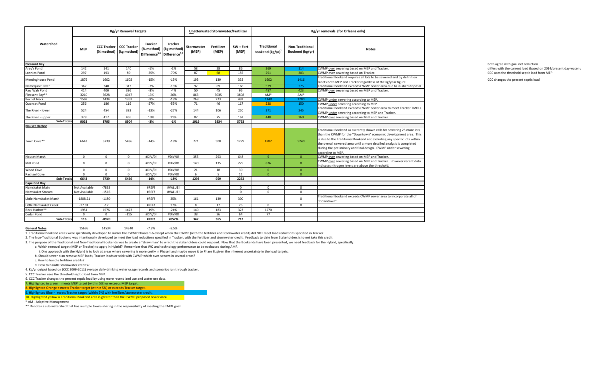i. One approach with the Hybrid is to look at areas where sewering is more costly in Phase I and maybe move it to Phase II, given the inherent uncertainty in the load targets. b. Should sewer plan remove MEP loads, Tracker loads or stick with CWMP which over-sewers in several areas?

|                                       |               |          | <b>Kg/yr Removal Targets</b>                                          |                |                                                                                                        |                     | <b>Unattenuated Stormwater/Fertilizer</b> |                    |                                                    |                                           | Kg/yr removals (for Orleans only)                                                                                                                                                                                                                                                                                                                                                   |
|---------------------------------------|---------------|----------|-----------------------------------------------------------------------|----------------|--------------------------------------------------------------------------------------------------------|---------------------|-------------------------------------------|--------------------|----------------------------------------------------|-------------------------------------------|-------------------------------------------------------------------------------------------------------------------------------------------------------------------------------------------------------------------------------------------------------------------------------------------------------------------------------------------------------------------------------------|
| Watershed                             | <b>MEP</b>    |          | <b>CCC Tracker   CCC Tracker</b><br>$(\%$ method) $\vert$ (kg method) | <b>Tracker</b> | <b>Tracker</b><br>$(\%$ method) $ $ (kg method)<br>Difference <sup>5,6</sup> Difference <sup>5,6</sup> | Stormwater<br>(MEP) | Fertilizer<br>(MEP)                       | SW + Fert<br>(MEP) | <b>Traditional</b><br>Bookend (kg/yr) <sup>1</sup> | <b>Non-Traditional</b><br>Bookend (kg/yr) | <b>Notes</b>                                                                                                                                                                                                                                                                                                                                                                        |
| <b>Pleasant Bay</b>                   |               |          |                                                                       |                |                                                                                                        |                     |                                           |                    |                                                    |                                           |                                                                                                                                                                                                                                                                                                                                                                                     |
| Arey's Pond                           | 142           | 141      | 140                                                                   | $-1%$          | $-1%$                                                                                                  | 58                  | 28                                        | 86                 | 269                                                | 114                                       | CWMP over sewering based on MEP and Tracker.                                                                                                                                                                                                                                                                                                                                        |
| Lonnies Pond                          | 297           | 193      | 89                                                                    | $-35%$         | -70%                                                                                                   | 87                  | 68                                        | 155                | 291                                                | 303                                       | CWMP over sewering based on Tracker.                                                                                                                                                                                                                                                                                                                                                |
| Meetinghouse Pond                     | 1876          | 1602     | 1602                                                                  | $-15%$         | $-15%$                                                                                                 | 193                 | 139                                       | 332                | 1602                                               | 1416                                      | Traditional Bookend requires all lots to be sewered and by definition<br>meets both MEP and Tracker regardless of the kg/year figure.                                                                                                                                                                                                                                               |
| Namequoit River                       | 367           | 340      | 313                                                                   | $-7%$          | $-15%$                                                                                                 | 97                  | 69                                        | 166                | 579                                                | 275                                       | Traditional Bookend exceeds CWMP sewer area due to in-shed disposal.                                                                                                                                                                                                                                                                                                                |
| Paw Wah Pond                          | 414           | 400      | 396                                                                   | $-3%$          | -4%                                                                                                    | 50                  | 45                                        | 95                 | 457                                                | 423                                       | CWMP over sewering based on MEP and Tracker.                                                                                                                                                                                                                                                                                                                                        |
| Pleasant Bay**                        | 3210          | 3628     | 4047                                                                  | 13%            | 26%                                                                                                    | 863                 | 3035                                      | 3898               | AM <sup>*</sup>                                    | AM*                                       |                                                                                                                                                                                                                                                                                                                                                                                     |
| Pochet Neck                           | 1569          | 1434     | 1362                                                                  | $-9%$          | $-13%$                                                                                                 | 269                 | 223                                       | 492                | 1148                                               | 1200                                      | CWMP under sewering according to MEP.                                                                                                                                                                                                                                                                                                                                               |
| Quanset Pond                          | 256           | 186      | 116                                                                   | $-27%$         | -55%                                                                                                   | 71                  | 46                                        | 117                | 228                                                | 150                                       | CWMP under sewering according to MEP.                                                                                                                                                                                                                                                                                                                                               |
|                                       |               |          |                                                                       |                |                                                                                                        |                     |                                           |                    |                                                    |                                           | Traditional Bookend exceeds CWMP sewer area to meet Tracker TMDLs.                                                                                                                                                                                                                                                                                                                  |
| The River - lower                     | 524           | 454      | 383                                                                   | $-13%$         | -27%                                                                                                   | 144                 | 106                                       | 250                | 371                                                | 345                                       | CWMP under sewering according to MEP and Tracker.                                                                                                                                                                                                                                                                                                                                   |
| The River - upper                     | 378           | 417      | 456                                                                   | 10%            | 21%                                                                                                    | 87                  | 75                                        | 162                | 448                                                | 360                                       | CWMP over sewering based on MEP and Tracker.                                                                                                                                                                                                                                                                                                                                        |
| Sub-Totals                            | 9033          | 8795     | 8904                                                                  | $-3%$          | $-1\%$                                                                                                 | 1919                | 3834                                      | 5753               |                                                    |                                           |                                                                                                                                                                                                                                                                                                                                                                                     |
| <b>Nauset Harbor</b>                  |               |          |                                                                       |                |                                                                                                        |                     |                                           |                    |                                                    |                                           |                                                                                                                                                                                                                                                                                                                                                                                     |
| Town Cove**                           | 6643          | 5739     | 5436                                                                  | $-14%$         | $-18%$                                                                                                 | 771                 | 508                                       | 1279               | 4282                                               | 5240                                      | Traditional Bookend as currently shown calls for sewering 25 more lots<br>than the CWMP for the "Downtown" economic development area. This<br>is due to the Traditional Bookend not excluding any specific lots within<br>the overall sewered area until a more detailed analysis is completed<br>during the preliminary and final design. CWMP under sewering<br>according to MEP. |
| Nauset Marsh                          | $\Omega$      | റ        | $\Omega$                                                              | #DIV/0!        | #DIV/0!                                                                                                | 355                 | 293                                       | 648                | $\Omega$                                           | $\overline{0}$                            | CWMP over sewering based on MEP and Tracker.                                                                                                                                                                                                                                                                                                                                        |
| Mill Pond                             | - 0           |          | $\Omega$                                                              | #DIV/0!        | #DIV/0!                                                                                                | 140                 | 135                                       | 275                | 626                                                | $\Omega$                                  | CWMP over sewering based on MEP and Tracker. However recent data<br>indicates nitrogen levels are above the threshold.                                                                                                                                                                                                                                                              |
| Wood Cove                             | $\Omega$      | $\Omega$ | $\overline{0}$                                                        | #DIV/0!        | #DIV/0!                                                                                                | 21                  | 18                                        | 39                 |                                                    |                                           |                                                                                                                                                                                                                                                                                                                                                                                     |
| Rachael Cove                          | $\Omega$      | $\Omega$ | $\overline{0}$                                                        | #DIV/0!        | #DIV/0!                                                                                                |                     | -5                                        | 11                 | $\Omega$                                           | $\Omega$                                  |                                                                                                                                                                                                                                                                                                                                                                                     |
| Sub-Totals                            | 6643          | 5739     | 5436                                                                  | $-14%$         | $-18%$                                                                                                 | 1293                | 959                                       | 2252               |                                                    |                                           |                                                                                                                                                                                                                                                                                                                                                                                     |
| <b>Cape Cod Bay</b><br>Namskaket Main |               |          |                                                                       |                |                                                                                                        |                     |                                           |                    |                                                    |                                           |                                                                                                                                                                                                                                                                                                                                                                                     |
|                                       | Not Available | $-7833$  |                                                                       | #REF!          | #VALUE!                                                                                                |                     |                                           | $\Omega$           | $\mathbf 0$                                        | $\mathbf 0$                               |                                                                                                                                                                                                                                                                                                                                                                                     |
| Namskaket Stream                      | Not Available | $-1516$  |                                                                       | #REF!          | #VALUE!                                                                                                |                     |                                           | $\Omega$           | $\overline{0}$                                     | $\Omega$                                  |                                                                                                                                                                                                                                                                                                                                                                                     |
| Little Namskaket Marsh                | $-1808.21$    | $-1180$  |                                                                       | #REF!          | 35%                                                                                                    | 161                 | 139                                       | 300                |                                                    | $\Omega$                                  | Traditional Bookend exceeds CWMP sewer area to incorporate all of<br>"Downtown".                                                                                                                                                                                                                                                                                                    |
| Little Namskaket Creek                | $-27.01$      | $-17$    |                                                                       | #REF!          | 37%                                                                                                    |                     | 17                                        | 25                 | $\mathbf 0$                                        | $\Omega$                                  |                                                                                                                                                                                                                                                                                                                                                                                     |
| Rock Harbor**                         | 1951          | 1576     | 1473                                                                  | $-19%$         | $-24%$                                                                                                 | 140                 | 183                                       | 323                | 1270                                               |                                           |                                                                                                                                                                                                                                                                                                                                                                                     |
| <b>Cedar Pond</b>                     | $\Omega$      |          | $-115$                                                                | #DIV/0!        | #DIV/0!                                                                                                | 38                  | 26                                        | 64                 | 77                                                 |                                           |                                                                                                                                                                                                                                                                                                                                                                                     |
| Sub-Totals                            | 116           | $-8970$  |                                                                       | #REF!          | 7852%                                                                                                  | 347                 | 365                                       | 712                |                                                    |                                           |                                                                                                                                                                                                                                                                                                                                                                                     |

**General Notes:** 15676 14534 14340 -7.3% -8.5%

1. Traditional Bookend areas were specifically developed to mirror the CWMP Phases 1-6 except when the CWMP (with the fertilizer and stormwater credit) did NOT meet load reductions specified in Tracker.

2. The Non-Traditional Bookend was intentionally developed to meet the load reductions specified in Tracker, with the fertilizer and stormwater credit. Feedback to date from Stakeholders is to not take this credit. 3. The purpose of the Traditional and Non-Traditional Bookends was to create a "straw man" to which the stakeholders could respond. Now that the Bookends have been presented, we need feedback for the Hybrid, specifically:

a. Which removal target (MEP or Tracker) to apply in Hybrid? Remember that WQ and technology performance to be evaluated during AMP.

c. How to handle fertilizer credits?

d. How to handle stormwater credits?

4. Kg/yr output based on (CCC 2009-2011) average daily drinking water usage records and scenarios ran through tracker.

5. CCC Tracker uses the threshold septic load from MEP.

6. CCC Tracker changes the present septic load by using more recent land use and water use data.

7. Highlighted in green = meets MEP target (within 5%) or exceeds MEP target.

8. Highlighted Orange = meets Tracker target (within 5%) or exceeds Tracker target.

9. Highlighted Blue = meets Tracker target (within 5%) with fertilizer/stormwater credit.

10. Highlighted yellow = Traditional Bookend area is greater than the CWMP proposed sewer area.

\* AM - Adaptive Management

\*\* Denotes a sub-watershed that has multiple towns sharing in the responsibility of meeting the TMDL goal.

differs with the current load (based on 2014/present day water u CCC uses the threshold septic load from MEP

CCC changes the present septic load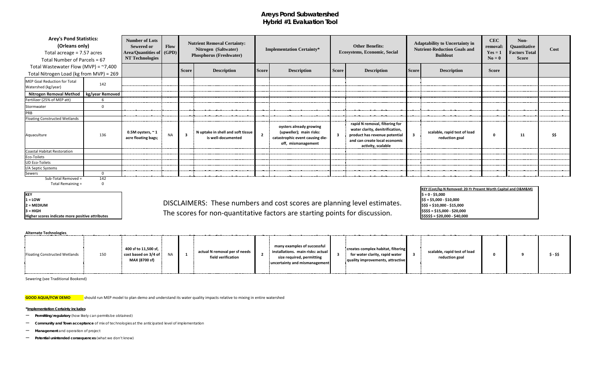## **Areys Pond Subwatershed Hybrid #1 Evaluation Tool**

### **1 = LOW \$\$ = \$5,000 - \$10,000 2** = MEDIUM<br>2 = MEDIUM<br>2 = MEDIUM  $3 = HIGH$   $\begin{bmatrix} 5555 & 515,000 \\ 1000 & 520,000 \end{bmatrix}$ <sup>3 = HIGH</sup> scores indicate more positive attributes **Sabel State of The SCO**res for non-quantitative factors are starting points for discussion. SSSS\$ = \$20,000 - \$40,000 PM SSS\$\$ = \$20,000 - \$40,000 PM SSS\$\$ = \$20,000 - \$

### **Alternate Technologies**

| Floating Constructed Wetlands | 150 | 400 sf to $11,500$ sf, $\,$<br>cost based on $3/4$ of $\frac{1}{2}$<br>MAX (8700 sf) | <b>NIA</b> | actual N removal per sf needs<br>field verification |  | many examples of successful<br>installations. main risks: actual<br>size required, permitting<br>uncertainty and mismanagement |  | creates complex habitat, filtering<br>for water clarity, rapid water<br>quality improvements, attractive |  | scalable, rapid test of load<br>reduction goal |  |  | $$ - $$ |
|-------------------------------|-----|--------------------------------------------------------------------------------------|------------|-----------------------------------------------------|--|--------------------------------------------------------------------------------------------------------------------------------|--|----------------------------------------------------------------------------------------------------------|--|------------------------------------------------|--|--|---------|
|-------------------------------|-----|--------------------------------------------------------------------------------------|------------|-----------------------------------------------------|--|--------------------------------------------------------------------------------------------------------------------------------|--|----------------------------------------------------------------------------------------------------------|--|------------------------------------------------|--|--|---------|

| <b>Arey's Pond Statistics:</b><br>(Orleans only)<br>Total acreage = 7.57 acres<br>Total Number of Parcels = 67<br>Total Wastewater Flow (MVP) = $~7,400$ |                 | <b>Number of Lots</b><br><b>Sewered or</b><br>Area/Quantities of   (GPD)  <br><b>NT Technologies</b> | <b>Flow</b> | <b>Nutrient Removal Certainty:</b><br>Nitrogen (Saltwater)<br><b>Phosphorus (Freshwater)</b> |                                                         |                         | <b>Implementation Certainty*</b>                                                                            |              | <b>Other Benefits:</b><br>Ecosystems, Economic, Social                                                                                                    |                         | <b>Adaptability to Uncertainty in</b><br><b>Nutrient-Reduction Goals and</b><br><b>Buildout</b> | <b>CEC</b><br>removal:<br>$Yes = 1$<br>$No = 0$ | Non-<br>Quantitative<br><b>Factors Total</b><br><b>Score</b> | Cost |
|----------------------------------------------------------------------------------------------------------------------------------------------------------|-----------------|------------------------------------------------------------------------------------------------------|-------------|----------------------------------------------------------------------------------------------|---------------------------------------------------------|-------------------------|-------------------------------------------------------------------------------------------------------------|--------------|-----------------------------------------------------------------------------------------------------------------------------------------------------------|-------------------------|-------------------------------------------------------------------------------------------------|-------------------------------------------------|--------------------------------------------------------------|------|
| Total Nitrogen Load (kg from MVP) = 269                                                                                                                  |                 |                                                                                                      |             | <b>Score</b>                                                                                 | <b>Description</b>                                      | <b>Score</b>            | <b>Description</b>                                                                                          | <b>Score</b> | <b>Description</b>                                                                                                                                        | <b>Score</b>            | <b>Description</b>                                                                              | <b>Score</b>                                    |                                                              |      |
| MEP Goal Reduction for Total<br>Watershed (kg/year)                                                                                                      | 142             |                                                                                                      |             |                                                                                              |                                                         |                         |                                                                                                             |              |                                                                                                                                                           |                         |                                                                                                 |                                                 |                                                              |      |
| <b>Nitrogen Removal Method</b>                                                                                                                           | kg/year Removed |                                                                                                      |             |                                                                                              |                                                         |                         |                                                                                                             |              |                                                                                                                                                           |                         |                                                                                                 |                                                 |                                                              |      |
| Fertilizer (25% of MEP att)                                                                                                                              |                 |                                                                                                      |             |                                                                                              |                                                         |                         |                                                                                                             |              |                                                                                                                                                           |                         |                                                                                                 |                                                 |                                                              |      |
| Stormwater                                                                                                                                               | - 0             |                                                                                                      |             |                                                                                              |                                                         |                         |                                                                                                             |              |                                                                                                                                                           |                         |                                                                                                 |                                                 |                                                              |      |
| PRB                                                                                                                                                      |                 |                                                                                                      |             |                                                                                              |                                                         |                         |                                                                                                             |              |                                                                                                                                                           |                         |                                                                                                 |                                                 |                                                              |      |
| <b>Floating Constructed Wetlands</b>                                                                                                                     |                 |                                                                                                      |             |                                                                                              |                                                         |                         |                                                                                                             |              |                                                                                                                                                           |                         |                                                                                                 |                                                 |                                                              |      |
| Aquaculture                                                                                                                                              | 136             | 0.5M oysters, $\sim$ 1<br>acre floating bags;                                                        | <b>NA</b>   | $\overline{\mathbf{3}}$                                                                      | N uptake in shell and soft tissue<br>is well-documented | $\overline{\mathbf{2}}$ | oysters already growing<br>(upweller); main risks:<br>catastrophic event causing die-<br>off, mismanagement |              | rapid N removal, filtering for<br>water clarity, denitrification,<br>product has revenue potential<br>and can create local economic<br>activity, scalable | $\overline{\mathbf{3}}$ | scalable, rapid test of load<br>reduction goal                                                  |                                                 | 11                                                           | \$\$ |
| Coastal Habitat Restoration                                                                                                                              |                 |                                                                                                      |             |                                                                                              |                                                         |                         |                                                                                                             |              |                                                                                                                                                           |                         |                                                                                                 |                                                 |                                                              |      |
| Eco-Toilets                                                                                                                                              |                 |                                                                                                      |             |                                                                                              |                                                         |                         |                                                                                                             |              |                                                                                                                                                           |                         |                                                                                                 |                                                 |                                                              |      |
| <b>UD Eco-Toilets</b>                                                                                                                                    |                 |                                                                                                      |             |                                                                                              |                                                         |                         |                                                                                                             |              |                                                                                                                                                           |                         |                                                                                                 |                                                 |                                                              |      |
| I/A Septic Systems                                                                                                                                       |                 |                                                                                                      |             |                                                                                              |                                                         |                         |                                                                                                             |              |                                                                                                                                                           |                         |                                                                                                 |                                                 |                                                              |      |
| Sewers                                                                                                                                                   | $\overline{0}$  |                                                                                                      |             |                                                                                              |                                                         |                         |                                                                                                             |              |                                                                                                                                                           |                         |                                                                                                 |                                                 |                                                              |      |
| Sub-Total Removed =                                                                                                                                      | 142             |                                                                                                      |             |                                                                                              |                                                         |                         |                                                                                                             |              |                                                                                                                                                           |                         |                                                                                                 |                                                 |                                                              |      |

Total Remaining = 0

**KEY<br>1 = LOW** 

Sewering (see Traditional Bookend)

**GOOD AQUA/FCW DEMO** should run MEP model to plan demo and understand its water quality impacts relative to mixing in entire watershed

### **\*Implementation Certainty includes**

- **Permitting/regulatory** (how likely can permits be obtained)
- **Community and Town acceptance** of mix of technologies at the anticipated level of implementation
- **Management** and operation of project
- **Potential unintended consequences** (what we don't know)

**\$ = 0 - \$5,000 KEY (Cost/kg-N Removed: 20-Yr Present Worth Capital and O&M&M)**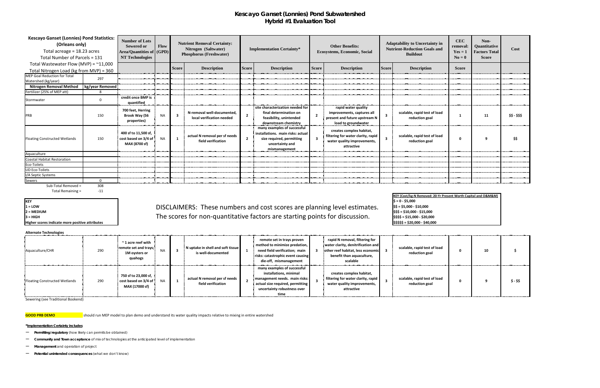## **Kescayo Ganset (Lonnies) Pond Subwatershed Hybrid #1 Evaluation Tool**

### **Alternate Technologies**

1 = LOW
1 = LOW
1 = LOW
1 = LOW
1 = LOW
1 = LOW
1 = LOW
1 = LOW
1 = LOW
1 = LOW
1 = LOW
1 = LOW
1 = LOW
1 = LOW
1 = LOW
1 = LOW
1 = LOW
1 = LOW
1 = LOW
1 = LOW
1 = LOW
1 = LOW
1 = LOW
1 = LOW
1 = LOW
1 = LOW
1 = LOW
1 = LO **2 = MEDIUM \$\$\$ = \$10,000 - \$15,000** з = ніgн **\$2000 COLL COLL COLL COLL COLL COLL COLL** SS\$ = \$15,000 - \$20,000

| <b>Kescayo Ganset (Lonnies) Pond Statistics:</b><br>(Orleans only)<br>Total acreage = 18.23 acres<br>Total Number of Parcels = 131 |                 | <b>Number of Lots</b><br><b>Sewered or</b><br><b>Area/Quantities of (GPD)</b><br><b>NT Technologies</b> | Flow      |                         | <b>Nutrient Removal Certainty:</b><br>Nitrogen (Saltwater)<br><b>Phosphorus (Freshwater)</b> |                | <b>Implementation Certainty*</b>                                                                                                  |                         | <b>Other Benefits:</b><br><b>Ecosystems, Economic, Social</b>                                               |              | <b>Adaptability to Uncertainty in</b><br><b>Nutrient-Reduction Goals and</b><br><b>Buildout</b> | <b>CEC</b><br>removal:<br>$Yes = 1$<br>$N\mathbf{o} = \mathbf{0}$ | Non-<br>Quantitative<br><b>Factors Total</b><br><b>Score</b> | <b>Cost</b>   |
|------------------------------------------------------------------------------------------------------------------------------------|-----------------|---------------------------------------------------------------------------------------------------------|-----------|-------------------------|----------------------------------------------------------------------------------------------|----------------|-----------------------------------------------------------------------------------------------------------------------------------|-------------------------|-------------------------------------------------------------------------------------------------------------|--------------|-------------------------------------------------------------------------------------------------|-------------------------------------------------------------------|--------------------------------------------------------------|---------------|
| Total Wastewater Flow (MVP) = $^{\sim}11,000$                                                                                      |                 |                                                                                                         |           |                         |                                                                                              |                |                                                                                                                                   |                         |                                                                                                             |              |                                                                                                 |                                                                   |                                                              |               |
| Total Nitrogen Load (kg from MVP) = 360                                                                                            |                 |                                                                                                         |           | <b>Score</b>            | <b>Description</b>                                                                           | <b>Score</b>   | <b>Description</b>                                                                                                                | <b>Score</b>            | <b>Description</b>                                                                                          | <b>Score</b> | <b>Description</b>                                                                              | <b>Score</b>                                                      |                                                              |               |
| <b>MEP Goal Reduction for Total</b><br>Watershed (kg/year)                                                                         | 297             |                                                                                                         |           |                         |                                                                                              |                |                                                                                                                                   |                         |                                                                                                             |              |                                                                                                 |                                                                   |                                                              |               |
| <b>Nitrogen Removal Method</b>                                                                                                     | kg/year Removed |                                                                                                         |           |                         |                                                                                              |                |                                                                                                                                   |                         |                                                                                                             |              |                                                                                                 |                                                                   |                                                              |               |
| Fertilizer (25% of MEP att)                                                                                                        |                 |                                                                                                         |           |                         |                                                                                              |                |                                                                                                                                   |                         |                                                                                                             |              |                                                                                                 |                                                                   |                                                              |               |
| Stormwater                                                                                                                         | $\Omega$        | credit once BMP is<br>quantified                                                                        |           |                         |                                                                                              |                |                                                                                                                                   |                         |                                                                                                             |              |                                                                                                 |                                                                   |                                                              |               |
| PRB                                                                                                                                | 150             | 700 feet, Herring<br>Brook Way (56<br>properties)                                                       | <b>NA</b> | $\overline{\mathbf{3}}$ | N-removal well-documented,<br>local verification needed                                      | $\overline{2}$ | site characterization needed for<br>final determination on<br>feasibility, unintended<br>downstream chemistry                     |                         | rapid water quality<br>improvements, captures all<br>present and future upstream N<br>load to groundwater   |              | scalable, rapid test of load<br>reduction goal                                                  |                                                                   | 11                                                           | \$\$ - \$\$\$ |
| <b>Floating Constructed Wetlands</b>                                                                                               | 150             | 400 sf to 11,500 sf,<br>cost based on 3/4 of<br>MAX (8700 sf)                                           | <b>NA</b> | $\mathbf{1}$            | actual N removal per sf needs<br>field verification                                          | $\overline{2}$ | many examples of successful<br>installations. main risks: actual<br>size required, permitting<br>uncertainty and<br>mismanagement | $\overline{\mathbf{3}}$ | creates complex habitat,<br>filtering for water clarity, rapid<br>water quality improvements,<br>attractive |              | scalable, rapid test of load<br>reduction goal                                                  | - 0                                                               | q                                                            | \$\$          |
| Aquaculture                                                                                                                        |                 |                                                                                                         |           |                         |                                                                                              |                |                                                                                                                                   |                         |                                                                                                             |              |                                                                                                 |                                                                   |                                                              |               |
| <b>Coastal Habitat Restoration</b>                                                                                                 |                 |                                                                                                         |           |                         |                                                                                              |                |                                                                                                                                   |                         |                                                                                                             |              |                                                                                                 |                                                                   |                                                              |               |
| Eco-Toilets                                                                                                                        |                 |                                                                                                         |           |                         |                                                                                              |                |                                                                                                                                   |                         |                                                                                                             |              |                                                                                                 |                                                                   |                                                              |               |
| <b>UD Eco-Toilets</b>                                                                                                              |                 |                                                                                                         |           |                         |                                                                                              |                |                                                                                                                                   |                         |                                                                                                             |              |                                                                                                 |                                                                   |                                                              |               |
| I/A Septic Systems                                                                                                                 |                 |                                                                                                         |           |                         |                                                                                              |                |                                                                                                                                   |                         |                                                                                                             |              |                                                                                                 |                                                                   |                                                              |               |
| Sewers                                                                                                                             | $\Omega$        |                                                                                                         |           |                         |                                                                                              |                |                                                                                                                                   |                         |                                                                                                             |              |                                                                                                 |                                                                   |                                                              |               |
| Sub-Total Removed =                                                                                                                | 308             |                                                                                                         |           |                         |                                                                                              |                |                                                                                                                                   |                         |                                                                                                             |              |                                                                                                 |                                                                   |                                                              |               |

Total Remaining = The 11

**KEY<br>1 = LOW** 

**Higher scores indicate more positive attributes 1 All and 2000 1000** *\$40,000* **· \$40,000 · \$40,000** · \$40,000

| Aquaculture/CHR               | 290 | $\sim$ 1 acre reef with<br>remote set and trays;<br><b>NA</b><br>1M oysters or<br>quahogs | N uptake in shell and soft tissue<br>is well-documented | remote set in trays proven<br>method to minimize predation,<br>need field verification; main<br>risks: catastrophic event causing<br>die-off, mismanagement       | rapid N removal, filtering for<br>water clarity, denitrification and<br>other reef habitat, less economic<br>benefit than aquaculture,<br>scalable | scalable, rapid test of load<br>reduction goal | 10 |         |
|-------------------------------|-----|-------------------------------------------------------------------------------------------|---------------------------------------------------------|-------------------------------------------------------------------------------------------------------------------------------------------------------------------|----------------------------------------------------------------------------------------------------------------------------------------------------|------------------------------------------------|----|---------|
| Floating Constructed Wetlands | 290 | 750 sf to 23,000 sf,<br>cost based on 3/4 of !<br><b>NA</b><br>MAX (17000 sf)             | actual N removal per sf needs<br>field verification     | many examples of successful<br>installations, minimal<br>management needs. main risks:<br>actual size required, permitting<br>uncertainty robustness over<br>time | creates complex habitat,<br>filtering for water clarity, rapid<br>water quality improvements,<br>attractive                                        | scalable, rapid test of load<br>reduction goal |    | $$ - $$ |

Sewering (see Traditional Bookend)

**GOOD PRB DEMO** should run MEP model to plan demo and understand its water quality impacts relative to mixing in entire watershed

**\*Implementation Certainty includes**

- **Permitting/regulatory** (how likely can permits be obtained)
- **Community and Town acceptance** of mix of technologies at the anticipated level of implementation
- **Management** and operation of project
- **Potential unintended consequences** (what we don't know)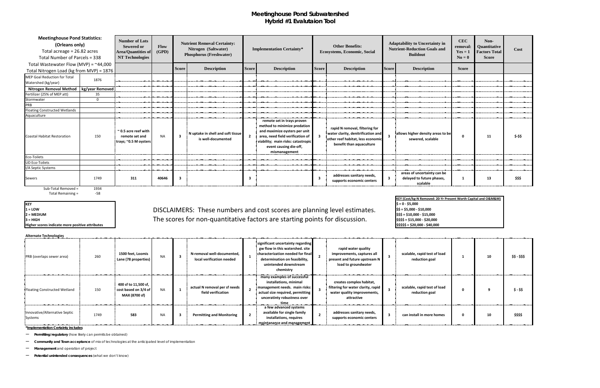## **Meetinghouse Pond Subwatershed Hybrid #1 Evalutaion Tool**

**KEY**

**Higher scores indicate more positive attributes**  $\blacksquare$  **\$\$\$\$\$** = \$20,000 - \$40,000

## 1 = LOW
1 = LOW
1 = LOW
1 = LOW
1 = LOW
1 = LOW
1 = LOW
1 = LOW
1 = LOW
1 = LOW
1 = LOW
1 = LOW
1 = LOW
1 = LOW
1 = LOW
1 = LOW
1 = LOW
1 = LOW
1 = LOW
1 = LOW
1 = LOW
1 = LOW
1 = LOW
1 = LOW
1 = LOW
1 = LOW
1 = LOW
1 = LO **2 = MEDIUM \$\$\$ = \$10,000 - \$15,000** з = нісн **Back Communist Communist Communisty Communisty Communisty Communisty Communisty Property Communisty Communisty State State Communisty Property Communisty State State Communisty Communisty Communisty Communisty C**

**Alternate Technologies**

 $$ = 0 - $5,000$ <br> $$ = $5,000 - $10,000$ **KEY (Cost/kg-N Removed: 20-Yr Present Worth Capital and O&M&M)**

| <b>Meetinghouse Pond Statistics:</b><br>(Orleans only)<br>Total acreage = 26.82 acres<br>Total Number of Parcels = 338 |             | <b>Number of Lots</b><br><b>Sewered or</b><br><b>Area/Quantities of</b><br><b>NT Technologies</b> | Flow<br>(GPD) |                         | <b>Nutrient Removal Certainty:</b><br>Nitrogen (Saltwater)<br><b>Phosphorus (Freshwater)</b> |                | <b>Implementation Certainty*</b>                                                                                                                                                                                 |                         | <b>Other Benefits:</b><br><b>Ecosystems, Economic, Social</b>                                                                         |                         | <b>Adaptability to Uncertainty in</b><br><b>Nutrient-Reduction Goals and</b><br><b>Buildout</b> | <b>CEC</b><br>removal:<br>$Yes = 1$<br>$N\mathbf{o} = \mathbf{0}$ | Non-<br>Quantitative<br><b>Factors Total</b><br><b>Score</b> | Cost   |
|------------------------------------------------------------------------------------------------------------------------|-------------|---------------------------------------------------------------------------------------------------|---------------|-------------------------|----------------------------------------------------------------------------------------------|----------------|------------------------------------------------------------------------------------------------------------------------------------------------------------------------------------------------------------------|-------------------------|---------------------------------------------------------------------------------------------------------------------------------------|-------------------------|-------------------------------------------------------------------------------------------------|-------------------------------------------------------------------|--------------------------------------------------------------|--------|
| Total Wastewater Flow (MVP) = $~44,000$                                                                                |             |                                                                                                   |               |                         |                                                                                              |                |                                                                                                                                                                                                                  |                         |                                                                                                                                       |                         |                                                                                                 |                                                                   |                                                              |        |
| Total Nitrogen Load (kg from MVP) = 1876                                                                               |             |                                                                                                   |               | <b>Score</b>            | <b>Description</b>                                                                           | <b>Score</b>   | <b>Description</b>                                                                                                                                                                                               | <b>Score</b>            | <b>Description</b>                                                                                                                    | <b>Score</b>            | <b>Description</b>                                                                              | <b>Score</b>                                                      |                                                              |        |
| MEP Goal Reduction for Total<br>Watershed (kg/year)                                                                    | 1876        |                                                                                                   |               |                         |                                                                                              |                |                                                                                                                                                                                                                  |                         |                                                                                                                                       |                         |                                                                                                 |                                                                   |                                                              |        |
| Nitrogen Removal Method   kg/year Removed                                                                              |             |                                                                                                   |               |                         |                                                                                              |                |                                                                                                                                                                                                                  |                         |                                                                                                                                       |                         |                                                                                                 |                                                                   |                                                              |        |
| Fertilizer (25% of MEP att)                                                                                            | 35          |                                                                                                   |               |                         |                                                                                              |                |                                                                                                                                                                                                                  |                         |                                                                                                                                       |                         |                                                                                                 |                                                                   |                                                              |        |
| Stormwater                                                                                                             | $\mathbf 0$ |                                                                                                   |               |                         |                                                                                              |                |                                                                                                                                                                                                                  |                         |                                                                                                                                       |                         |                                                                                                 |                                                                   |                                                              |        |
| PRB                                                                                                                    |             |                                                                                                   |               |                         |                                                                                              |                |                                                                                                                                                                                                                  |                         |                                                                                                                                       |                         |                                                                                                 |                                                                   |                                                              |        |
| Floating Constructed Wetlands                                                                                          |             |                                                                                                   |               |                         |                                                                                              |                |                                                                                                                                                                                                                  |                         |                                                                                                                                       |                         |                                                                                                 |                                                                   |                                                              |        |
| Aquaculture                                                                                                            |             |                                                                                                   |               |                         |                                                                                              |                |                                                                                                                                                                                                                  |                         |                                                                                                                                       |                         |                                                                                                 |                                                                   |                                                              |        |
| Coastal Habitat Restoration                                                                                            | 150         | $\sim$ 0.5 acre reef with<br>remote set and<br>trays; ~0.5 M oysters !                            | <b>NA</b>     | $\overline{\mathbf{3}}$ | N uptake in shell and soft tissue<br>is well-documented                                      | $\overline{2}$ | remote set in trays proven<br>method to minimize predation<br>and maximize oysters per unit<br>area, need field verification of<br>viability; main risks: catastropic<br>event causing die-off,<br>mismanagement |                         | rapid N removal, filtering for<br>water clarity, denitrification and<br>other reef habitat, less economic<br>benefit than aquaculture |                         | allows higher density areas to be<br>sewered, scalable                                          | $\mathbf{0}$                                                      | 11                                                           | $$-55$ |
| Eco-Toilets                                                                                                            |             |                                                                                                   |               |                         |                                                                                              |                |                                                                                                                                                                                                                  |                         |                                                                                                                                       |                         |                                                                                                 |                                                                   |                                                              |        |
| UD Eco-Toilets                                                                                                         |             |                                                                                                   |               |                         |                                                                                              |                |                                                                                                                                                                                                                  |                         |                                                                                                                                       |                         |                                                                                                 |                                                                   |                                                              |        |
| I/A Septic Systems                                                                                                     |             |                                                                                                   |               |                         |                                                                                              |                |                                                                                                                                                                                                                  |                         |                                                                                                                                       |                         |                                                                                                 |                                                                   |                                                              |        |
| Sewers                                                                                                                 | 1749        | 311                                                                                               | 40646         | $\overline{\mathbf{3}}$ |                                                                                              | 3              |                                                                                                                                                                                                                  | $\overline{\mathbf{3}}$ | addresses sanitary needs,<br>supports economic centers                                                                                | $\overline{\mathbf{3}}$ | areas of uncertainty can be<br>delayed to future phases,<br>scalable                            | -1                                                                | 13                                                           | \$\$\$ |
| Sub-Total Removed =                                                                                                    | 1934        |                                                                                                   |               |                         |                                                                                              |                |                                                                                                                                                                                                                  |                         |                                                                                                                                       |                         |                                                                                                 |                                                                   |                                                              |        |

Total Remaining = 58

| PRB (overlaps sewer area)                | 260  | 1500 feet, Loomis<br>Lane (78 properties)                     | <b>NA</b> | N-removal well-documented,<br>local verification needed | significant uncertainty regarding<br>gw flow in this watershed. site<br>characterization needed for final<br>determination on feasibility,<br>unintended downstream<br>chemistry |                         | rapid water quality<br>improvements, captures all<br>present and future upstream N<br>load to groundwater   | scalable, rapid test of load<br>reduction goal | 10 | \$\$ - \$\$\$ |
|------------------------------------------|------|---------------------------------------------------------------|-----------|---------------------------------------------------------|----------------------------------------------------------------------------------------------------------------------------------------------------------------------------------|-------------------------|-------------------------------------------------------------------------------------------------------------|------------------------------------------------|----|---------------|
| Floating Constructed Wetland             | 150  | 400 sf to 11,500 sf,<br>cost based on 3/4 of<br>MAX (8700 sf) | <b>NA</b> | actual N removal per sf needs<br>field verification     | many examples of successful<br>installations, minimal<br>management needs. main risks:<br>$\frac{1}{2}$ actual size required, permitting<br>unceratinty robustness over          |                         | creates complex habitat,<br>filtering for water clarity, rapid<br>water quality improvements,<br>attractive | scalable, rapid test of load<br>reduction goal |    | \$ - \$\$     |
| Innovative/Alternative Septic<br>Systems | 1749 | 583                                                           | <b>NA</b> | <b>Permitting and Monitoring</b>                        | a few advanced systems<br>available for single family<br>installations, requires<br>maintanance and management                                                                   | $\overline{\mathbf{2}}$ | addresses sanitary needs,<br>supports economic centers                                                      | can install in more homes                      | 10 | \$\$\$\$      |

**\*Implementation Certainty includes**

– **Permitting/regulatory** (how likely can permits be obtained)

– **Community and Town acceptance** of mix of technologies at the anticipated level of implementation

– **Management** and operation of project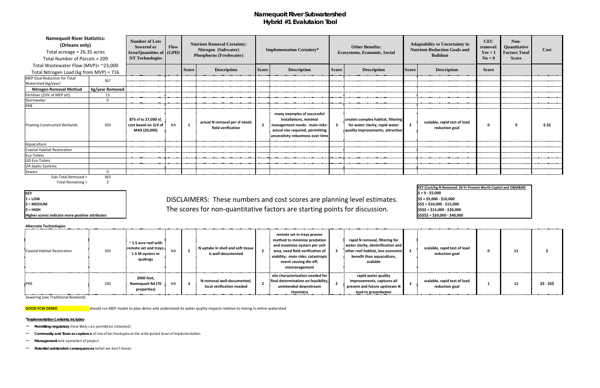## **Namequoit River Subwatershed Hybrid #1 Evalutaion Tool**

Sub-Total Removed = 365

Total Remaining = 2

**KEY<br>1 = LOW** 

**Higher scores indicate more positive attributes**  $\begin{bmatrix} 55555 = 520,000 \\ -540,000 \end{bmatrix}$ 

### **Alternate Technologies**

### 1 = LOW
1 = LOW
1 = LOW
1 = LOW
1 = LOW
1 = LOW
1 = LOW
1 = LOW
1 = LOW
1 = LOW
1 = LOW
1 = LOW
1 = LOW
1 = LOW
1 = LOW
1 = LOW
1 = LOW
1 = LOW
1 = LOW
1 = LOW
1 = LOW
1 = LOW
1 = LOW
1 = LOW
1 = LOW
1 = LOW
1 = LOW
1 = LO **2 = MEDIUM \$\$\$ = \$10,000 - \$15,000 3** = HIGH **SACK A SET A SUBSET THE SCORES for non-quantitative factors are starting points for discussion. SS\$\$ = \$15,000 - \$20,000**

| <b>Namequoit River Statistics:</b><br>(Orleans only)<br>Total acreage = 26.35 acres<br>Total Number of Parcels = 209 |                 | <b>Number of Lots</b><br><b>Sewered or</b><br><b>Area/Quantities of (GPD)</b><br><b>NT Technologies</b> | Flow      |              | <b>Nutrient Removal Certainty:</b><br>Nitrogen (Saltwater)<br><b>Phosphorus (Freshwater)</b> |              | <b>Implementation Certainty*</b>                                                                                                                                 |              | <b>Other Benefits:</b><br><b>Ecosystems, Economic, Social</b>                                            |              | <b>Adaptability to Uncertainty in</b><br><b>Nutrient-Reduction Goals and</b><br><b>Buildout</b> | <b>CEC</b><br>removal:<br>$Yes = 1$<br>$N_0 = 0$ | Non-<br><b>Quantitative</b><br><b>Factors Total</b><br><b>Score</b> | Cost    |
|----------------------------------------------------------------------------------------------------------------------|-----------------|---------------------------------------------------------------------------------------------------------|-----------|--------------|----------------------------------------------------------------------------------------------|--------------|------------------------------------------------------------------------------------------------------------------------------------------------------------------|--------------|----------------------------------------------------------------------------------------------------------|--------------|-------------------------------------------------------------------------------------------------|--------------------------------------------------|---------------------------------------------------------------------|---------|
| Total Wastewater Flow (MVP)= ~23,000                                                                                 |                 |                                                                                                         |           |              |                                                                                              |              |                                                                                                                                                                  |              |                                                                                                          |              |                                                                                                 |                                                  |                                                                     |         |
| Total Nitrogen Load (kg from MVP) = 716                                                                              |                 |                                                                                                         |           | <b>Score</b> | <b>Description</b>                                                                           | <b>Score</b> | <b>Description</b>                                                                                                                                               | <b>Score</b> | <b>Description</b>                                                                                       | <b>Score</b> | <b>Description</b>                                                                              | <b>Score</b>                                     |                                                                     |         |
| MEP Goal Reduction for Total<br>Watershed (kg/year)                                                                  | 367             |                                                                                                         |           |              |                                                                                              |              |                                                                                                                                                                  |              |                                                                                                          |              |                                                                                                 |                                                  |                                                                     |         |
| <b>Nitrogen Removal Method</b>                                                                                       | kg/year Removed |                                                                                                         |           |              |                                                                                              |              |                                                                                                                                                                  |              |                                                                                                          |              |                                                                                                 |                                                  |                                                                     |         |
| Fertilizer (25% of MEP att)                                                                                          | 15              |                                                                                                         |           |              |                                                                                              |              |                                                                                                                                                                  |              |                                                                                                          |              |                                                                                                 |                                                  |                                                                     |         |
| Stormwater                                                                                                           |                 |                                                                                                         |           |              |                                                                                              |              |                                                                                                                                                                  |              |                                                                                                          |              |                                                                                                 |                                                  |                                                                     |         |
| PRB                                                                                                                  |                 |                                                                                                         |           |              |                                                                                              |              |                                                                                                                                                                  |              |                                                                                                          |              |                                                                                                 |                                                  |                                                                     |         |
| <b>Floating Constructed Wetlands</b>                                                                                 | 350             | 875 sf to 27,000 sf,<br>cost based on 3/4 of<br>MAX (20,000)                                            | <b>NA</b> | $\mathbf{1}$ | actual N removal per sf needs<br>field verification                                          |              | many examples of successful<br>installations, minimal<br>2 management needs. main risks:<br>actual size required, permitting<br>unceratinty robustness over time | $\mathbf{3}$ | creates complex habitat, filtering<br>for water clarity, rapid water<br>quality improvements, attractive |              | scalable, rapid test of load<br>reduction goal                                                  | 0                                                | $\alpha$                                                            | \$-\$\$ |
| Aquaculture                                                                                                          |                 |                                                                                                         |           |              |                                                                                              |              |                                                                                                                                                                  |              |                                                                                                          |              |                                                                                                 |                                                  |                                                                     |         |
| <b>Coastal Habitat Restoration</b>                                                                                   |                 |                                                                                                         |           |              |                                                                                              |              |                                                                                                                                                                  |              |                                                                                                          |              |                                                                                                 |                                                  |                                                                     |         |
| Eco-Toilets                                                                                                          |                 |                                                                                                         |           |              |                                                                                              |              |                                                                                                                                                                  |              |                                                                                                          |              |                                                                                                 |                                                  |                                                                     |         |
| <b>UD Eco-Toilets</b>                                                                                                |                 |                                                                                                         |           |              |                                                                                              |              |                                                                                                                                                                  |              |                                                                                                          |              |                                                                                                 |                                                  |                                                                     |         |
| I/A Septic Systems                                                                                                   |                 |                                                                                                         |           |              |                                                                                              |              |                                                                                                                                                                  |              |                                                                                                          |              |                                                                                                 |                                                  |                                                                     |         |
| Sewers                                                                                                               |                 |                                                                                                         |           |              |                                                                                              |              |                                                                                                                                                                  |              |                                                                                                          |              |                                                                                                 |                                                  |                                                                     |         |

| Coastal Habitat Restoration | 350 | $\sim$ 1.5 acre reef with<br>remote set and trays;<br>1.5 M oysters or<br>quahogs |     | N uptake in shell and soft tissue<br>is well-documented | remote set in trays proven<br>method to minimize predation<br>and maximize oysters per unit<br>area, need field verification of<br>viability; main risks: catastropic<br>event causing die-off,<br>mismanagement | rapid N removal, filtering for<br>water clarity, denitrification and<br>other reef habitat, less economic 3<br>benefit than aquaculture,<br>scalable | scalable, rapid test of load<br>reduction goal | 11 |               |
|-----------------------------|-----|-----------------------------------------------------------------------------------|-----|---------------------------------------------------------|------------------------------------------------------------------------------------------------------------------------------------------------------------------------------------------------------------------|------------------------------------------------------------------------------------------------------------------------------------------------------|------------------------------------------------|----|---------------|
| <b>PRB</b>                  | 200 | 2000 feet,<br><b>NA</b><br>Namequoit Rd (70<br>properties)                        | - 3 | N-removal well-documented,<br>local verification needed | site characterization needed for<br>final determination on feasibility,<br>unintended downstream<br>chemistry                                                                                                    | rapid water quality<br>improvements, captures all<br>present and future upstream N<br>load to groundwater                                            | scalable, rapid test of load<br>reduction goal | 11 | \$\$ - \$\$\$ |

Sewering (see Traditional Bookend)

**GOOD FCW DEMO** should run MEP model to plan demo and understand its water quality impacts relative to mixing in entire watershed

### **\*Implementation Certainty includes**

- **Permitting/regulatory** (how likely can permits be obtained)
- **Community and Town acceptance** of mix of technologies at the anticipated level of implementation
- **Management** and operation of project
- **Potential unintended consequences** (what we don't know)

**\$ = 0 - \$5,000 KEY (Cost/kg-N Removed: 20-Yr Present Worth Capital and O&M&M)**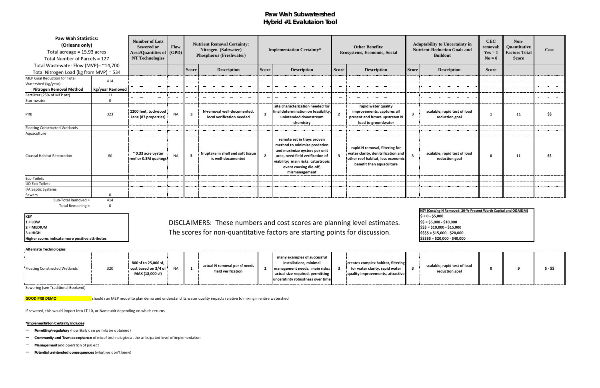## **Paw Wah Subwatershed Hybrid #1 Evalutaion Tool**

| IKEY       |
|------------|
| = LOW<br>1 |

**Higher scores indicate more positive attributes** 

### 1 = LOW
1 = LOW
1 = LOW
1 = LOW
1 = LOW
1 = LOW
1 = LOW
1 = LOW
1 = LOW
1 = LOW
1 = LOW
1 = LOW
1 = LOW
1 = LOW
1 = LOW
1 = LOW
1 = LOW
1 = LOW
1 = LOW
1 = LOW
1 = LOW
1 = LOW
1 = LOW
1 = LOW
1 = LOW
1 = LOW
1 = LOW
1 = LO **2 = MEDIUM \$\$\$ = \$10,000 - \$15,000 3 = HIGH \$\$\$\$ = \$15,000 - \$20,000** The scores for non-quantitative factors are starting points for discussion.

### **Alternate Technologies**

| <b>Paw Wah Statistics:</b><br>(Orleans only)<br>Total acreage = 15.93 acres<br>Total Number of Parcels = 127 |                 | <b>Number of Lots</b><br><b>Sewered or</b><br>Area/Quantities of   (GPD)  <br><b>NT Technologies</b> | Flow      |                         | <b>Nutrient Removal Certainty:</b><br>Nitrogen (Saltwater)<br><b>Phosphorus (Freshwater)</b> |                | <b>Implementation Certainty*</b>                                                                                                                                                                                 |                | <b>Other Benefits:</b><br>Ecosystems, Economic, Social                                                                                |                         | <b>Adaptability to Uncertainty in</b><br><b>Nutrient-Reduction Goals and</b><br><b>Buildout</b> | <b>CEC</b><br>removal:<br>$Yes = 1$<br>$N_0 = 0$ | Non-<br>Quantitative<br><b>Factors Total</b><br><b>Score</b> | Cost |
|--------------------------------------------------------------------------------------------------------------|-----------------|------------------------------------------------------------------------------------------------------|-----------|-------------------------|----------------------------------------------------------------------------------------------|----------------|------------------------------------------------------------------------------------------------------------------------------------------------------------------------------------------------------------------|----------------|---------------------------------------------------------------------------------------------------------------------------------------|-------------------------|-------------------------------------------------------------------------------------------------|--------------------------------------------------|--------------------------------------------------------------|------|
| Total Wastewater Flow (MVP)= $^{\sim}14,700$                                                                 |                 |                                                                                                      |           | <b>Score</b>            | <b>Description</b>                                                                           | <b>Score</b>   | <b>Description</b>                                                                                                                                                                                               | <b>Score</b>   | <b>Description</b>                                                                                                                    | <b>Score</b>            | <b>Description</b>                                                                              | <b>Score</b>                                     |                                                              |      |
| Total Nitrogen Load (kg from MVP) = 534                                                                      |                 |                                                                                                      |           |                         |                                                                                              |                |                                                                                                                                                                                                                  |                |                                                                                                                                       |                         |                                                                                                 |                                                  |                                                              |      |
| MEP Goal Reduction for Total<br>Watershed (kg/year)                                                          | 414             |                                                                                                      |           |                         |                                                                                              |                |                                                                                                                                                                                                                  |                |                                                                                                                                       |                         |                                                                                                 |                                                  |                                                              |      |
| <b>Nitrogen Removal Method</b>                                                                               | kg/year Removed |                                                                                                      |           |                         |                                                                                              |                |                                                                                                                                                                                                                  |                |                                                                                                                                       |                         |                                                                                                 |                                                  |                                                              |      |
| Fertilizer (25% of MEP att)                                                                                  | 11              |                                                                                                      |           |                         |                                                                                              |                |                                                                                                                                                                                                                  |                |                                                                                                                                       |                         |                                                                                                 |                                                  |                                                              |      |
| Stormwater                                                                                                   | $\Omega$        |                                                                                                      |           |                         |                                                                                              |                |                                                                                                                                                                                                                  |                |                                                                                                                                       |                         |                                                                                                 |                                                  |                                                              |      |
| PRB                                                                                                          | 323             | 1200 feet, Lockwood<br>Lane (87 properties)                                                          | <b>NA</b> | $\overline{\mathbf{3}}$ | N-removal well-documented,<br>local verification needed                                      | $\overline{2}$ | site characterization needed for<br>final determination on feasibility,<br>unintended downstream<br>chemistry                                                                                                    | $\overline{2}$ | rapid water quality<br>improvements, captures all<br>present and future upstream N<br>load to groundwater                             | $\overline{\mathbf{3}}$ | scalable, rapid test of load<br>reduction goal                                                  |                                                  | 11                                                           | \$\$ |
| Floating Constructed Wetlands                                                                                |                 |                                                                                                      |           |                         |                                                                                              |                |                                                                                                                                                                                                                  |                |                                                                                                                                       |                         |                                                                                                 |                                                  |                                                              |      |
| Aquaculture                                                                                                  |                 |                                                                                                      |           |                         |                                                                                              |                |                                                                                                                                                                                                                  |                |                                                                                                                                       |                         |                                                                                                 |                                                  |                                                              |      |
| Coastal Habitat Restoration                                                                                  | 80              | $\approx$ 0.33 acre oyster<br>reef or 0.3M quahogs                                                   | <b>NA</b> | $\overline{\mathbf{3}}$ | N uptake in shell and soft tissue<br>is well-documented                                      |                | remote set in trays proven<br>method to minimize predation<br>and maximize oysters per unit<br>area, need field verification of<br>viability; main risks: catastropic<br>event causing die-off,<br>mismanagement |                | rapid N removal, filtering for<br>water clarity, denitrification and<br>other reef habitat, less economic<br>benefit than aquaculture | $\mathbf{3}$            | scalable, rapid test of load<br>reduction goal                                                  | $\mathbf 0$                                      | 11                                                           | \$\$ |
| Eco-Toilets                                                                                                  |                 |                                                                                                      |           |                         |                                                                                              |                |                                                                                                                                                                                                                  |                |                                                                                                                                       |                         |                                                                                                 |                                                  |                                                              |      |
| <b>UD Eco-Toilets</b>                                                                                        |                 |                                                                                                      |           |                         |                                                                                              |                |                                                                                                                                                                                                                  |                |                                                                                                                                       |                         |                                                                                                 |                                                  |                                                              |      |
| I/A Septic Systems                                                                                           |                 |                                                                                                      |           |                         |                                                                                              |                |                                                                                                                                                                                                                  |                |                                                                                                                                       |                         |                                                                                                 |                                                  |                                                              |      |
| Sewers                                                                                                       | $\Omega$        |                                                                                                      |           |                         |                                                                                              |                |                                                                                                                                                                                                                  |                |                                                                                                                                       |                         |                                                                                                 |                                                  |                                                              |      |
| Sub-Total Removed =                                                                                          | 414             |                                                                                                      |           |                         |                                                                                              |                |                                                                                                                                                                                                                  |                |                                                                                                                                       |                         |                                                                                                 |                                                  |                                                              |      |

Total Remaining = 0

Sewering (see Traditional Bookend)

**GOOD PRB DEMO** should run MEP model to plan demo and understand its water quality impacts relative to mixing in entire watershed

If sewered, this would import into LT 10, or Nameuoit depending on which returns

**\*Implementation Certainty includes**

- **Permitting/regulatory** (how likely can permits be obtained)
- **Community and Town acceptance** of mix of technologies at the anticipated level of implementation
- **Management** and operation of project
- **Potential unintended consequences** (what we don't know)

| ing level estimates. |  |
|----------------------|--|
| ts for discussion.   |  |

| KEY (Cost/kg-N Removed: 20-Yr Present Worth Capital and O&M&M) |
|----------------------------------------------------------------|
| $$ = 0 - $5,000$                                               |
| \$\$ = \$5,000 - \$10,000                                      |
| $$55 = $10,000 - $15,000$                                      |
| \$\$\$\$ = \$15,000 - \$20,000                                 |
| \$\$\$\$\$ = \$20,000 - \$40,000                               |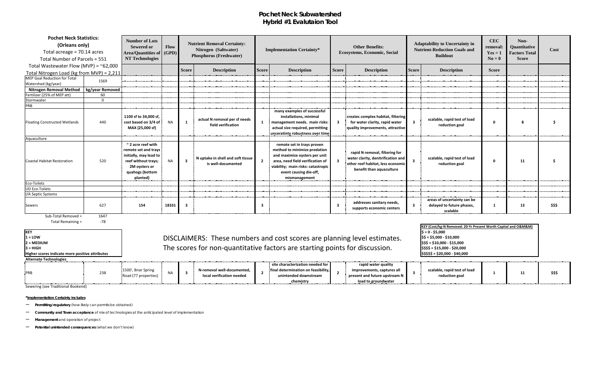## **Pochet Neck Subwatershed Hybrid #1 Evalutaion Tool**

| <b>Pochet Neck Statistics:</b><br>(Orleans only)<br>Total acreage = 70.14 acres<br>Total Number of Parcels = 551 |                 | <b>Number of Lots</b><br><b>Sewered or</b><br>Area/Quantities of (GPD)<br><b>NT Technologies</b>                                                 | <b>Flow</b> |                | <b>Nutrient Removal Certainty:</b><br>Nitrogen (Saltwater)<br><b>Phosphorus (Freshwater)</b> |                | <b>Implementation Certainty*</b>                                                                                                                                                                                 | <b>Other Benefits:</b><br><b>Ecosystems, Economic, Social</b> |                                                                                                                                       |                         | <b>Adaptability to Uncertainty in</b><br><b>Nutrient-Reduction Goals and</b><br><b>Buildout</b> | <b>CEC</b><br>removal:<br>$Yes = 1$<br>$No = 0$ | Non-<br>Quantitative<br><b>Factors Total</b><br><b>Score</b> | Cost   |
|------------------------------------------------------------------------------------------------------------------|-----------------|--------------------------------------------------------------------------------------------------------------------------------------------------|-------------|----------------|----------------------------------------------------------------------------------------------|----------------|------------------------------------------------------------------------------------------------------------------------------------------------------------------------------------------------------------------|---------------------------------------------------------------|---------------------------------------------------------------------------------------------------------------------------------------|-------------------------|-------------------------------------------------------------------------------------------------|-------------------------------------------------|--------------------------------------------------------------|--------|
| Total Wastewater Flow (MVP) = $\approx$ 62,000<br>Total Nitrogen Load (kg from MVP) = 2,211                      |                 |                                                                                                                                                  |             | <b>Score</b>   | <b>Description</b>                                                                           | <b>Score</b>   | <b>Description</b>                                                                                                                                                                                               | <b>Score</b>                                                  | <b>Description</b>                                                                                                                    | <b>Score</b>            | <b>Description</b>                                                                              | <b>Score</b>                                    |                                                              |        |
| MEP Goal Reduction for Total<br>Watershed (kg/year)                                                              | 1569            |                                                                                                                                                  |             |                |                                                                                              |                |                                                                                                                                                                                                                  |                                                               |                                                                                                                                       |                         |                                                                                                 |                                                 |                                                              |        |
| <b>Nitrogen Removal Method</b>                                                                                   | kg/year Removed |                                                                                                                                                  |             |                |                                                                                              |                |                                                                                                                                                                                                                  |                                                               |                                                                                                                                       |                         |                                                                                                 |                                                 |                                                              |        |
| Fertilizer (25% of MEP att)                                                                                      | 60              |                                                                                                                                                  |             |                |                                                                                              |                |                                                                                                                                                                                                                  |                                                               |                                                                                                                                       |                         |                                                                                                 |                                                 |                                                              |        |
| Stormwater                                                                                                       | $\Omega$        |                                                                                                                                                  |             |                |                                                                                              |                |                                                                                                                                                                                                                  |                                                               |                                                                                                                                       |                         |                                                                                                 |                                                 |                                                              |        |
| PRB                                                                                                              |                 |                                                                                                                                                  |             |                |                                                                                              |                |                                                                                                                                                                                                                  |                                                               |                                                                                                                                       |                         |                                                                                                 |                                                 |                                                              |        |
| <b>Floating Constructed Wetlands</b>                                                                             | 440             | 1100 sf to 34,000 sf,<br>cost based on 3/4 of<br>MAX (25,000 sf)                                                                                 | <b>NA</b>   | $\mathbf{1}$   | actual N removal per sf needs<br>field verification                                          | $\mathbf{1}$   | many examples of successful<br>installations, minimal<br>management needs. main risks:<br>actual size required, permitting<br>unceratinty robustness over time                                                   | $\mathbf{3}$                                                  | creates complex habitat, filtering<br>for water clarity, rapid water<br>quality improvements, attractive                              | $\overline{\mathbf{3}}$ | scalable, rapid test of load<br>reduction goal                                                  | $\Omega$                                        |                                                              |        |
| Aquaculture                                                                                                      |                 |                                                                                                                                                  |             |                |                                                                                              |                |                                                                                                                                                                                                                  |                                                               |                                                                                                                                       |                         |                                                                                                 |                                                 |                                                              |        |
| Coastal Habitat Restoration                                                                                      | 520             | $\sim$ 2 acre reef with<br>remote set and trays<br>initially, may lead to<br>reef without trays;<br>2M oysters or<br>quahogs (bottom<br>planted) | <b>NA</b>   | 3 <sup>1</sup> | N uptake in shell and soft tissue<br>is well-documented                                      | $\overline{2}$ | remote set in trays proven<br>method to minimize predation<br>and maximize oysters per unit<br>area, need field verification of<br>viability; main risks: catastropic<br>event causing die-off,<br>mismanagement |                                                               | rapid N removal, filtering for<br>water clarity, denitrification and<br>other reef habitat, less economic<br>benefit than aquaculture | $\overline{\mathbf{3}}$ | scalable, rapid test of load<br>reduction goal                                                  | $\mathbf{0}$                                    | 11                                                           |        |
| Eco-Toilets                                                                                                      |                 |                                                                                                                                                  |             |                |                                                                                              |                |                                                                                                                                                                                                                  |                                                               |                                                                                                                                       |                         |                                                                                                 |                                                 |                                                              |        |
| <b>UD Eco-Toilets</b>                                                                                            |                 |                                                                                                                                                  |             |                |                                                                                              |                |                                                                                                                                                                                                                  |                                                               |                                                                                                                                       |                         |                                                                                                 |                                                 |                                                              |        |
| I/A Septic Systems<br><b>Sewers</b>                                                                              | 627             | 154                                                                                                                                              | 18331       | - 3            |                                                                                              | -3             |                                                                                                                                                                                                                  | $\mathbf{3}$                                                  | addresses sanitary needs,                                                                                                             | $\overline{\mathbf{3}}$ | areas of uncertainty can be<br>delayed to future phases,                                        |                                                 | 13                                                           | \$\$\$ |
| $Suh$ -Total Removed -                                                                                           | 1617            |                                                                                                                                                  |             |                |                                                                                              |                |                                                                                                                                                                                                                  |                                                               | supports economic centers                                                                                                             |                         | scalable                                                                                        |                                                 |                                                              |        |

Sub-Total Removed = 1647<br>Total Remaining = 178 Total Remaining =

**KEY**<br>1 = **LOW** 

**Alternate Technologies**

| ARCHIQUE TECHNOLOGIES |     |                                                     |  |                                                         |  |                                                              |  |                                                               |  |                                                |  |   |        |  |  |
|-----------------------|-----|-----------------------------------------------------|--|---------------------------------------------------------|--|--------------------------------------------------------------|--|---------------------------------------------------------------|--|------------------------------------------------|--|---|--------|--|--|
|                       |     |                                                     |  |                                                         |  | site characterization needed for                             |  | rapid water quality                                           |  |                                                |  |   |        |  |  |
| <b>PRL</b>            | 238 | 1500', Briar Spring<br><sup>1</sup> /77 properties, |  | N-removal well-documented.<br>local verification needed |  | final determination on feasibility,<br>unintended downstream |  | improvements, captures all<br>present and future upstream $N$ |  | scalable, rapid test of load<br>reduction goal |  | ᆠ | \$\$\$ |  |  |
|                       |     |                                                     |  |                                                         |  | chemistry                                                    |  | load to groundwater                                           |  |                                                |  |   |        |  |  |

Sewering (see Traditional Bookend)

**\*Implementation Certainty includes**

– **Permitting/regulatory** (how likely can permits be obtained)

– **Community and Town acceptance** of mix of technologies at the anticipated level of implementation

|                                                 |                                                                             | KEY (Cost/kg-N Removed: 20-Yr Present Worth Capital and O&M&M) |
|-------------------------------------------------|-----------------------------------------------------------------------------|----------------------------------------------------------------|
|                                                 |                                                                             | $S = 0 - $5,000$                                               |
| 1 = LOW                                         | DISCLAIMERS: These numbers and cost scores are planning level estimates.    | $$5 = $5,000 - $10,000$                                        |
| 2 = MEDIUM                                      |                                                                             | \$\$\$ = \$10,000 - \$15,000                                   |
| 3 = HIGH                                        | The scores for non-quantitative factors are starting points for discussion. | \$\$\$\$ = \$15,000 - \$20,000                                 |
| Higher scores indicate more positive attributes |                                                                             | \$\$\$\$\$ = \$20,000 - \$40,000                               |

– **Management** and operation of project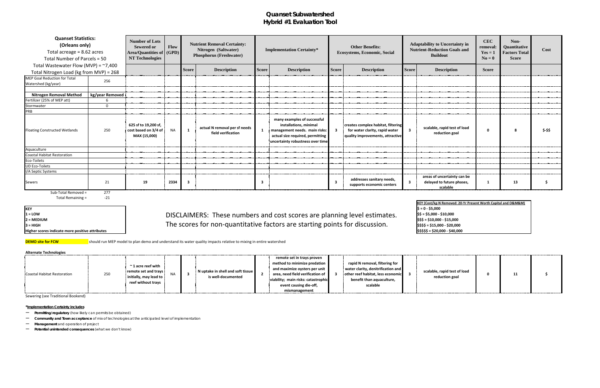## **Quanset Subwatershed Hybrid #1 Evaluation Tool**

Sub-Total Removed = 277

Total Remaining = Total Remaining = 121

**KEY<br>1 = LOW** 

**Higher scores indicate more positive attributes 1 All and 2000 1000 1000 540,000 540,000 540,000 540,000** 

1 = LOW
1 = LOW
1 = LOW
1 = LOW
1 = LOW
1 = LOW
1 = LOW
1 = LOW
1 = LOW
1 = LOW
1 = LOW
1 = LOW
1 = LOW
1 = LOW
1 = LOW
1 = LOW
1 = LOW
1 = LOW
1 = LOW
1 = LOW
1 = LOW
1 = LOW
1 = LOW
1 = LOW
1 = LOW
1 = LOW
1 = LOW
1 = LO **2 = MEDIUM \$\$\$ = \$10,000 - \$15,000** з = нісн **Back Connect Connect Starting points for discussion.** The scores for non-quantitative factors are starting points for discussion. Since I ssss = \$15,000 - \$20,000

**DEMO site for FCW** should run MEP model to plan demo and understand its water quality impacts relative to mixing in entire watershed

|    | <b>Other Benefits:</b><br><b>Ecosystems, Economic, Social</b>                                            |                         | <b>Adaptability to Uncertainty in</b><br><b>Nutrient-Reduction Goals and</b><br><b>Buildout</b> | <b>CEC</b><br>removal:<br>$Yes = 1$<br>$N_0 = 0$ | Non-<br>Quantitative<br><b>Factors Total</b><br><b>Score</b> | Cost      |
|----|----------------------------------------------------------------------------------------------------------|-------------------------|-------------------------------------------------------------------------------------------------|--------------------------------------------------|--------------------------------------------------------------|-----------|
| re | <b>Description</b>                                                                                       | <b>Score</b>            | <b>Description</b>                                                                              | <b>Score</b>                                     |                                                              |           |
|    |                                                                                                          |                         |                                                                                                 |                                                  |                                                              |           |
|    |                                                                                                          |                         |                                                                                                 |                                                  |                                                              |           |
|    |                                                                                                          |                         |                                                                                                 |                                                  |                                                              |           |
|    |                                                                                                          |                         |                                                                                                 |                                                  |                                                              |           |
|    | creates complex habitat, filtering<br>for water clarity, rapid water<br>quality improvements, attractive | $\overline{\mathbf{3}}$ | scalable, rapid test of load<br>reduction goal                                                  | 0                                                | 8                                                            | $$-$ \$\$ |
|    |                                                                                                          |                         |                                                                                                 |                                                  |                                                              |           |
|    |                                                                                                          |                         |                                                                                                 |                                                  |                                                              |           |
|    | addresses sanitary needs,<br>supports economic centers                                                   | 3                       | areas of uncertainty can be<br>delayed to future phases,<br>scalable                            | 1                                                | 13                                                           |           |

| <b>Quanset Statistics:</b><br>(Orleans only)<br>Total acreage = $8.62$ acres<br>Total Number of Parcels = 50 |                 | <b>Number of Lots</b><br><b>Sewered or</b><br>Area/Quantities of   (GPD)  <br>NT Technologies | Flow      |              | <b>Nutrient Removal Certainty:</b><br>Nitrogen (Saltwater)<br><b>Phosphorus (Freshwater)</b> |              | <b>Implementation Certainty*</b>                                                                                                                               |                         | <b>Other Benefits:</b><br><b>Ecosystems, Economic, Social</b>                                            |                         | <b>Adaptability to Uncertainty in</b><br><b>Nutrient-Reduction Goals and</b><br><b>Buildout</b> |              |  |
|--------------------------------------------------------------------------------------------------------------|-----------------|-----------------------------------------------------------------------------------------------|-----------|--------------|----------------------------------------------------------------------------------------------|--------------|----------------------------------------------------------------------------------------------------------------------------------------------------------------|-------------------------|----------------------------------------------------------------------------------------------------------|-------------------------|-------------------------------------------------------------------------------------------------|--------------|--|
| Total Wastewater Flow (MVP) = $~7,400$                                                                       |                 |                                                                                               |           | <b>Score</b> | <b>Description</b>                                                                           | <b>Score</b> | <b>Description</b>                                                                                                                                             | <b>Score</b>            | <b>Description</b>                                                                                       | <b>Score</b>            | <b>Description</b>                                                                              | <b>Score</b> |  |
| Total Nitrogen Load (kg from MVP) = 268                                                                      |                 |                                                                                               |           |              |                                                                                              |              |                                                                                                                                                                |                         |                                                                                                          |                         |                                                                                                 |              |  |
| MEP Goal Reduction for Total<br>Watershed (kg/year)                                                          | 256             |                                                                                               |           |              |                                                                                              |              |                                                                                                                                                                |                         |                                                                                                          |                         |                                                                                                 |              |  |
|                                                                                                              |                 |                                                                                               |           |              |                                                                                              |              |                                                                                                                                                                |                         |                                                                                                          |                         |                                                                                                 |              |  |
| <b>Nitrogen Removal Method</b>                                                                               | kg/year Removed |                                                                                               |           |              |                                                                                              |              |                                                                                                                                                                |                         |                                                                                                          |                         |                                                                                                 |              |  |
| Fertilizer (25% of MEP att)                                                                                  | 6               |                                                                                               |           |              |                                                                                              |              |                                                                                                                                                                |                         |                                                                                                          |                         |                                                                                                 |              |  |
| Stormwater                                                                                                   | $\Omega$        |                                                                                               |           |              |                                                                                              |              |                                                                                                                                                                |                         |                                                                                                          |                         |                                                                                                 |              |  |
| PRB                                                                                                          |                 |                                                                                               |           |              |                                                                                              |              |                                                                                                                                                                |                         |                                                                                                          |                         |                                                                                                 |              |  |
| Floating Constructed Wetlands                                                                                | 250             | 625 sf to 19,200 sf,<br>cost based on 3/4 of<br>MAX (15,000)                                  | <b>NA</b> | $\mathbf{1}$ | actual N removal per sf needs<br>field verification                                          |              | many examples of successful<br>installations, minimal<br>management needs. main risks:<br>actual size required, permitting<br>uncertainty robustness over time | $\overline{\mathbf{3}}$ | creates complex habitat, filtering<br>for water clarity, rapid water<br>quality improvements, attractive | $\overline{\mathbf{3}}$ | scalable, rapid test of load<br>reduction goal                                                  |              |  |
| Aquaculture                                                                                                  |                 |                                                                                               |           |              |                                                                                              |              |                                                                                                                                                                |                         |                                                                                                          |                         |                                                                                                 |              |  |
| <b>Coastal Habitat Restoration</b>                                                                           |                 |                                                                                               |           |              |                                                                                              |              |                                                                                                                                                                |                         |                                                                                                          |                         |                                                                                                 |              |  |
| Eco-Toilets                                                                                                  |                 |                                                                                               |           |              |                                                                                              |              |                                                                                                                                                                |                         |                                                                                                          |                         |                                                                                                 |              |  |
| UD Eco-Toilets                                                                                               |                 |                                                                                               |           |              |                                                                                              |              |                                                                                                                                                                |                         |                                                                                                          |                         |                                                                                                 |              |  |
| I/A Septic Systems                                                                                           |                 |                                                                                               |           |              |                                                                                              |              |                                                                                                                                                                |                         |                                                                                                          |                         |                                                                                                 |              |  |
| Sewers                                                                                                       | 21              | 19                                                                                            | 2334      | 3            |                                                                                              | -3           |                                                                                                                                                                | -3                      | addresses sanitary needs,<br>supports economic centers                                                   | $\overline{\mathbf{3}}$ | areas of uncertainty can be<br>delayed to future phases,<br>scalable                            |              |  |

**Alternate Technologies**

|                             |     |                         |  |                                                 | remote set in trays proven          |                                                  |                              |    |  |
|-----------------------------|-----|-------------------------|--|-------------------------------------------------|-------------------------------------|--------------------------------------------------|------------------------------|----|--|
|                             |     | $\sim$ 1 acre reef with |  |                                                 | method to minimize predation        | rapid N removal, filtering for                   |                              |    |  |
|                             |     |                         |  |                                                 | and maximize oysters per unit $\pm$ | $\frac{1}{2}$ water clarity, denitrification and |                              |    |  |
| Coastal Habitat Restoration | 250 | remote set and trays    |  | $\frac{1}{2}$ N uptake in shell and soft tissue | area, need field verification of    | other reef habitat, less economic                | scalable, rapid test of load | 11 |  |
|                             |     | initially, may lead to  |  | is well-documented                              | viability; main risks: catastrophic | benefit than aquaculture,                        | reduction goal               |    |  |
|                             |     | reef without trays      |  |                                                 | event causing die-off,              | scalable                                         |                              |    |  |
|                             |     |                         |  |                                                 | mismanagement                       |                                                  |                              |    |  |

Sewering (see Traditional Bookend)

### **\*Implementation Certainty includes**

– **Permitting/regulatory** (how likely can permits be obtained)

– **Community and Town acceptance** of mix of technologies at the anticipated level of implementation

- **Management** and operation of project
- **Potential unintended consequences** (what we don't know)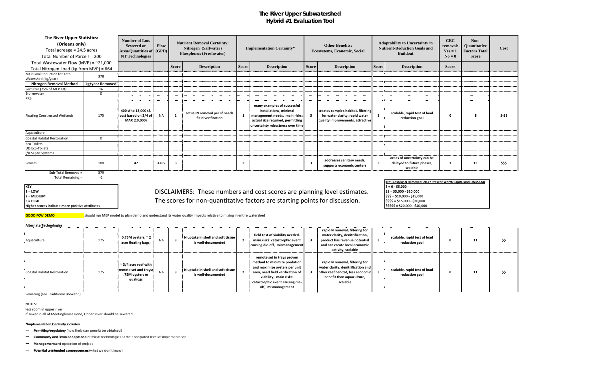## **The River Upper Subwatershed Hybrid #1 Evaluation Tool**

Sub-Total Removed = 379 Total Remaining = 1

**KEY<br>1 = LOW<br>2 = MEDIUM** 

**Higher scores indicate more positive attributes** 

**3 = HIGH \$20,000** - \$3\$\$ = \$15,000 - \$20,000

**GOOD FCW DEMO** should run MEP model to plan demo and understand its water quality impacts relative to mixing in entire watershed

# 1 = LOW
1 = LOW
1 = LOW
1 = LOW
1 = LOW
1 = LOW
1 = LOW
1 = LOW
1 = LOW
1 = LOW
1 = LOW
1 = LOW
1 = LOW
1 = LOW
1 = LOW
1 = LOW
1 = LOW
1 = LOW
1 = LOW
1 = LOW
1 = LOW
1 = LOW
1 = LOW
1 = LOW
1 = LOW
1 = LOW
1 = LOW
1 = LO **2 = MEDIUM \$\$\$ = \$10,000 - \$15,000**

### **Alternate Technologies**

| <b>The River Upper Statistics:</b><br>(Orleans only)<br>Total acreage = 24.5 acres<br>Total Number of Parcels = 200 |                 | <b>Number of Lots</b><br><b>Sewered or</b><br>Area/Quantities of (GPD)<br><b>NT Technologies</b> | <b>Flow</b> | <b>Nutrient Removal Certainty:</b><br>Nitrogen (Saltwater)<br><b>Phosphorus (Freshwater)</b> |                                                     | <b>Implementation Certainty*</b> |                                                                                                                                                                | <b>Other Benefits:</b><br><b>Ecosystems, Economic, Social</b> |                                                                                                          |              | <b>Adaptability to Uncertainty in</b><br><b>Nutrient-Reduction Goals and</b><br><b>Buildout</b> |              | Non-<br>Quantitative<br><b>Factors Total</b><br><b>Score</b> | Cost   |
|---------------------------------------------------------------------------------------------------------------------|-----------------|--------------------------------------------------------------------------------------------------|-------------|----------------------------------------------------------------------------------------------|-----------------------------------------------------|----------------------------------|----------------------------------------------------------------------------------------------------------------------------------------------------------------|---------------------------------------------------------------|----------------------------------------------------------------------------------------------------------|--------------|-------------------------------------------------------------------------------------------------|--------------|--------------------------------------------------------------|--------|
| Total Wastewater Flow (MVP) = $\approx$ 21,000<br>Total Nitrogen Load (kg from MVP) = 664                           |                 |                                                                                                  |             | <b>Score</b>                                                                                 | <b>Description</b>                                  | <b>Score</b>                     | <b>Description</b>                                                                                                                                             | <b>Score</b>                                                  | <b>Description</b>                                                                                       | <b>Score</b> | <b>Description</b>                                                                              | <b>Score</b> |                                                              |        |
| MEP Goal Reduction for Total<br>Watershed (kg/year)                                                                 | 378             |                                                                                                  |             |                                                                                              |                                                     |                                  |                                                                                                                                                                |                                                               |                                                                                                          |              |                                                                                                 |              |                                                              |        |
| <b>Nitrogen Removal Method</b>                                                                                      | kg/year Removed |                                                                                                  |             |                                                                                              |                                                     |                                  |                                                                                                                                                                |                                                               |                                                                                                          |              |                                                                                                 |              |                                                              |        |
| Fertilizer (25% of MEP att)                                                                                         | 16              |                                                                                                  |             |                                                                                              |                                                     |                                  |                                                                                                                                                                |                                                               |                                                                                                          |              |                                                                                                 |              |                                                              |        |
| Stormwater                                                                                                          | $\Omega$        |                                                                                                  |             |                                                                                              |                                                     |                                  |                                                                                                                                                                |                                                               |                                                                                                          |              |                                                                                                 |              |                                                              |        |
| PRB                                                                                                                 |                 |                                                                                                  |             |                                                                                              |                                                     |                                  |                                                                                                                                                                |                                                               |                                                                                                          |              |                                                                                                 |              |                                                              |        |
| Floating Constructed Wetlands                                                                                       | 175             | 400 sf to 13,000 sf,<br>cost based on 3/4 of<br>MAX (10,000)                                     | <b>NA</b>   | $\mathbf{1}$                                                                                 | actual N removal per sf needs<br>field verification |                                  | many examples of successful<br>installations, minimal<br>management needs. main risks:<br>actual size required, permitting<br>uncertainty robustness over time | ર                                                             | creates complex habitat, filtering<br>for water clarity, rapid water<br>quality improvements, attractive |              | scalable, rapid test of load<br>reduction goal                                                  | 0            |                                                              | $$-55$ |
| Aquaculture                                                                                                         |                 |                                                                                                  |             |                                                                                              |                                                     |                                  |                                                                                                                                                                |                                                               |                                                                                                          |              |                                                                                                 |              |                                                              |        |
| Coastal Habitat Restoration                                                                                         | $\Omega$        |                                                                                                  |             |                                                                                              |                                                     |                                  |                                                                                                                                                                |                                                               |                                                                                                          |              |                                                                                                 |              |                                                              |        |
| Eco-Toilets                                                                                                         |                 |                                                                                                  |             |                                                                                              |                                                     |                                  |                                                                                                                                                                |                                                               |                                                                                                          |              |                                                                                                 |              |                                                              |        |
| <b>UD Eco-Toilets</b>                                                                                               |                 |                                                                                                  |             |                                                                                              |                                                     |                                  |                                                                                                                                                                |                                                               |                                                                                                          |              |                                                                                                 |              |                                                              |        |
| I/A Septic Systems                                                                                                  |                 |                                                                                                  |             |                                                                                              |                                                     |                                  |                                                                                                                                                                |                                                               |                                                                                                          |              |                                                                                                 |              |                                                              |        |
| <b>Sewers</b>                                                                                                       | 188             | 47                                                                                               | 4765        | - 3                                                                                          |                                                     | 3                                |                                                                                                                                                                | -3                                                            | addresses sanitary needs,<br>supports economic centers                                                   |              | areas of uncertainty can be<br>delayed to future phases,<br>scalable                            |              | 13                                                           | \$\$\$ |

| Aquaculture                 | 175 | 0.75M oysters, $\sim$ 2<br>acre floating bags;                                      |  | N uptake in shell and soft tissue<br>is well-documented | field test of viability needed.<br>main risks: catastrophic event<br>causing die-off, mismanagement                                                                                                                | rapid N removal, filtering for<br>water clarity, denitrification,<br>product has revenue potential<br>and can create local economic<br>activity, scalable | scalable, rapid test of load<br>reduction goal | 11 | \$\$ |
|-----------------------------|-----|-------------------------------------------------------------------------------------|--|---------------------------------------------------------|--------------------------------------------------------------------------------------------------------------------------------------------------------------------------------------------------------------------|-----------------------------------------------------------------------------------------------------------------------------------------------------------|------------------------------------------------|----|------|
| Coastal Habitat Restoration | 175 | $\approx$ 3/4 acre reef with<br>remote set and trays;<br>.75M oysters or<br>quahogs |  | N uptake in shell and soft tissue<br>is well-documented | remote set in trays proven<br>method to minimize predation<br>and maximize oysters per unit<br>area, need field verification of<br>viability; main risks:<br>catastrophic event causing die-<br>off, mismanagement | rapid N removal, filtering for<br>water clarity, denitrification and<br>other reef habitat, less economic<br>benefit than aquaculture,<br>scalable        | scalable, rapid test of load<br>reduction goal | 11 | \$\$ |

Sewering (see Traditional Bookend)

### NOTES:

less room in upper river

If sewer in all of Meetinghouse Pond, Upper River should be sewered

### **\*Implementation Certainty includes**

- **Permitting/regulatory** (how likely can permits be obtained)
- **Community and Town acceptance** of mix of technologies at the anticipated level of implementation
- **Management** and operation of project
- **Potential unintended consequences** (what we don't know)

| KEY (Cost/kg-N Removed: 20-Yr Present Worth Capital and O&M&M) |  |
|----------------------------------------------------------------|--|
| $$= 0 - $5,000$                                                |  |
| \$\$ = \$5,000 - \$10,000                                      |  |
| \$\$\$ = \$10,000 - \$15,000                                   |  |
| \$\$\$\$ = \$15,000 - \$20,000                                 |  |
| \$\$\$\$\$ = \$20,000 - \$40,000                               |  |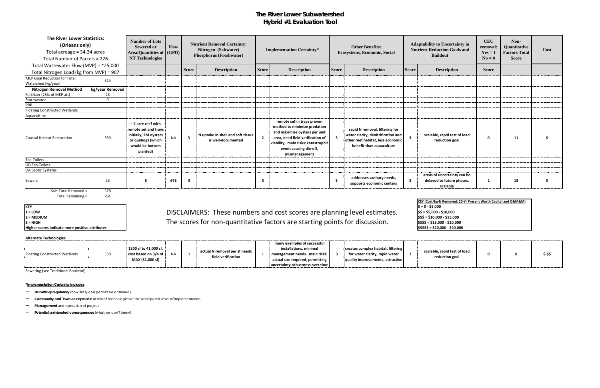## **The River Lower Subwatershed Hybrid #1 Evaluation Tool**

| <b>The River Lower Statistics:</b><br>(Orleans only)<br>Total acreage = 34.34 acres<br>Total Number of Parcels = 226 |                 | <b>Number of Lots</b><br><b>Sewered or</b><br><b>Area/Quantities of GPD</b><br><b>NT Technologies</b>                        | Flow      |                         | <b>Nutrient Removal Certainty:</b><br>Nitrogen (Saltwater)<br><b>Phosphorus (Freshwater)</b> |              | <b>Implementation Certainty*</b>                                                                                                                                                                                  |                         | <b>Other Benefits:</b><br><b>Ecosystems, Economic, Social</b>                                                                         |              | <b>Adaptability to Uncertainty in</b><br><b>Nutrient-Reduction Goals and</b><br><b>Buildout</b> | <b>CEC</b><br>removal:<br>$Yes = 1$<br>$N_0 = 0$ | Non-<br><b>Quantitative</b><br><b>Factors Total</b><br><b>Score</b> | Cost |
|----------------------------------------------------------------------------------------------------------------------|-----------------|------------------------------------------------------------------------------------------------------------------------------|-----------|-------------------------|----------------------------------------------------------------------------------------------|--------------|-------------------------------------------------------------------------------------------------------------------------------------------------------------------------------------------------------------------|-------------------------|---------------------------------------------------------------------------------------------------------------------------------------|--------------|-------------------------------------------------------------------------------------------------|--------------------------------------------------|---------------------------------------------------------------------|------|
| Total Wastewater Flow (MVP) = $\approx$ 25,000                                                                       |                 |                                                                                                                              |           |                         |                                                                                              |              |                                                                                                                                                                                                                   |                         |                                                                                                                                       |              |                                                                                                 |                                                  |                                                                     |      |
| Total Nitrogen Load (kg from MVP) = 907                                                                              |                 |                                                                                                                              |           | <b>Score</b>            | <b>Description</b>                                                                           | <b>Score</b> | <b>Description</b>                                                                                                                                                                                                | <b>Score</b>            | <b>Description</b>                                                                                                                    | <b>Score</b> | <b>Description</b>                                                                              | <b>Score</b>                                     |                                                                     |      |
| MEP Goal Reduction for Total<br>Watershed (kg/year)                                                                  | 524             |                                                                                                                              |           |                         |                                                                                              |              |                                                                                                                                                                                                                   |                         |                                                                                                                                       |              |                                                                                                 |                                                  |                                                                     |      |
| <b>Nitrogen Removal Method</b>                                                                                       | kg/year Removed |                                                                                                                              |           |                         |                                                                                              |              |                                                                                                                                                                                                                   |                         |                                                                                                                                       |              |                                                                                                 |                                                  |                                                                     |      |
| Fertilizer (25% of MEP att)                                                                                          | 23              |                                                                                                                              |           |                         |                                                                                              |              |                                                                                                                                                                                                                   |                         |                                                                                                                                       |              |                                                                                                 |                                                  |                                                                     |      |
| Stormwater                                                                                                           | $\Omega$        |                                                                                                                              |           |                         |                                                                                              |              |                                                                                                                                                                                                                   |                         |                                                                                                                                       |              |                                                                                                 |                                                  |                                                                     |      |
| PRB                                                                                                                  |                 |                                                                                                                              |           |                         |                                                                                              |              |                                                                                                                                                                                                                   |                         |                                                                                                                                       |              |                                                                                                 |                                                  |                                                                     |      |
| Floating Constructed Wetlands                                                                                        |                 |                                                                                                                              |           |                         |                                                                                              |              |                                                                                                                                                                                                                   |                         |                                                                                                                                       |              |                                                                                                 |                                                  |                                                                     |      |
| Aquaculture                                                                                                          |                 |                                                                                                                              |           |                         |                                                                                              |              |                                                                                                                                                                                                                   |                         |                                                                                                                                       |              |                                                                                                 |                                                  |                                                                     |      |
| Coastal Habitat Restoration                                                                                          | 530             | $\sim$ 2 acre reef with<br>remote set and trays<br>initially; 2M oysters<br>or quahogs (which<br>would be bottom<br>planted) | <b>NA</b> | $\overline{\mathbf{3}}$ | N uptake in shell and soft tissue<br>is well-documented                                      | $\mathbf{2}$ | remote set in trays proven<br>method to minimize predation<br>and maximize oysters per unit<br>area, need field verification of<br>viability; main risks: catastrophic<br>event causing die-off,<br>mismanagement |                         | rapid N removal, filtering for<br>water clarity, denitrification and<br>other reef habitat, less economic<br>benefit than aquaculture |              | scalable, rapid test of load<br>reduction goal                                                  | 0                                                | 11                                                                  |      |
| Eco-Toilets                                                                                                          |                 |                                                                                                                              |           |                         |                                                                                              |              |                                                                                                                                                                                                                   |                         |                                                                                                                                       |              |                                                                                                 |                                                  |                                                                     |      |
| <b>UD Eco-Toilets</b>                                                                                                |                 |                                                                                                                              |           |                         |                                                                                              |              |                                                                                                                                                                                                                   |                         |                                                                                                                                       |              |                                                                                                 |                                                  |                                                                     |      |
| I/A Septic Systems                                                                                                   |                 |                                                                                                                              |           |                         |                                                                                              |              |                                                                                                                                                                                                                   |                         |                                                                                                                                       |              |                                                                                                 |                                                  |                                                                     |      |
| Sewers                                                                                                               | 25              |                                                                                                                              | 676       | -3                      |                                                                                              |              |                                                                                                                                                                                                                   | $\overline{\mathbf{3}}$ | addresses sanitary needs,<br>supports economic centers                                                                                |              | areas of uncertainty can be<br>delayed to future phases,<br>scalable                            |                                                  | 13                                                                  |      |

Total Remaining = The state of the state of the state of the state of the state of the state of the state of the state of the state of the state of the state of the state of the state of the state of the state of the state

**KEY<br>1 = LOW** 

**Higher scores indicate more positive attributes** 

### 1 = LOW
1 = LOW
1 = LOW
1 = LOW
1 = LOW
1 = LOW
1 = LOW
1 = LOW
1 = LOW
1 = LOW
1 = LOW
1 = LOW
1 = LOW
1 = LOW
1 = LOW
1 = LOW
1 = LOW
1 = LOW
1 = LOW
1 = LOW
1 = LOW
1 = LOW
1 = LOW
1 = LOW
1 = LOW
1 = LOW
1 = LOW
1 = LO **2 = MEDIUM \$\$\$ = \$10,000 - \$15,000 3** = HIGH **SACCER FOR THE SCOTES for non-quantitative factors are starting points for discussion. Stass = \$15,000 - \$20,000**

### **Alternate Technologies**

|                               |     | $1300$ sf to 41,000 sf, |                                                     | many examples of successful<br>installations, minimal | creates complex habitat, filtering | scalable, rapid test of load |  |         |
|-------------------------------|-----|-------------------------|-----------------------------------------------------|-------------------------------------------------------|------------------------------------|------------------------------|--|---------|
| Floating Constructed Wetlands | 530 | cost based on 3/4 of !  | actual N removal per sf needs<br>field verification | $\frac{1}{2}$ management needs. main risks:           | for water clarity, rapid water     | reduction goal               |  | \$-\$\$ |
|                               |     | MAX (31,000 sf)         |                                                     | actual size required, permitting                      | quality improvements, attractive   |                              |  |         |
|                               |     |                         |                                                     | uncertainty robustness over time                      |                                    |                              |  |         |

Sewering (see Traditional Bookend)

### **\*Implementation Certainty includes**

– **Permitting/regulatory** (how likely can permits be obtained)

– **Community and Town acceptance** of mix of technologies at the anticipated level of implementation

– **Management** and operation of project

| <b>KEY (Cost/kg-N Removed: 20-Yr Present Worth Capital and O&amp;M&amp;M)</b> |  |
|-------------------------------------------------------------------------------|--|
| $\vert$ \$ = 0 - \$5,000                                                      |  |
| $\frac{1}{5}$ \$ = \$5,000 - \$10,000                                         |  |
| $\frac{1}{5}$ \$\$ = \$10,000 - \$15,000                                      |  |
| $\frac{1}{5}$ \$\$\$ = \$15,000 - \$20,000                                    |  |
| $ $ \$\$\$\$\$ = \$20,000 - \$40,000                                          |  |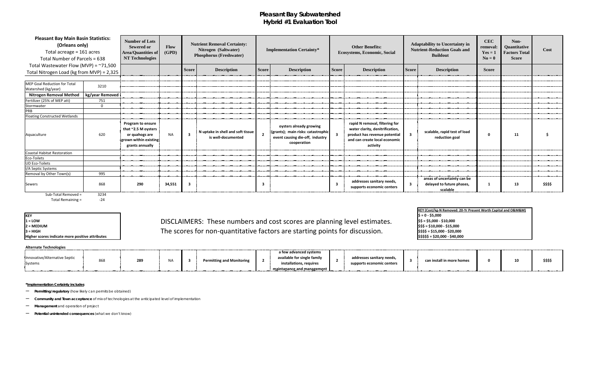## **Pleasant Bay Subwatershed Hybrid #1 Evaluation Tool**

|    | <b>Other Benefits:</b><br><b>Ecosystems, Economic, Social</b>                                                                                   |              | <b>Adaptability to Uncertainty in</b><br><b>Nutrient-Reduction Goals and</b><br><b>Buildout</b> | <b>CEC</b><br>removal:<br>$Yes = 1$<br>$N\mathbf{o} = \mathbf{0}$ | Non-<br>Quantitative<br><b>Factors Total</b><br><b>Score</b> | Cost     |
|----|-------------------------------------------------------------------------------------------------------------------------------------------------|--------------|-------------------------------------------------------------------------------------------------|-------------------------------------------------------------------|--------------------------------------------------------------|----------|
| re | <b>Description</b>                                                                                                                              | <b>Score</b> | <b>Description</b>                                                                              | <b>Score</b>                                                      |                                                              |          |
|    |                                                                                                                                                 |              |                                                                                                 |                                                                   |                                                              |          |
|    |                                                                                                                                                 |              |                                                                                                 |                                                                   |                                                              |          |
|    |                                                                                                                                                 |              |                                                                                                 |                                                                   |                                                              |          |
|    |                                                                                                                                                 |              |                                                                                                 |                                                                   |                                                              |          |
|    | rapid N removal, filtering for<br>water clarity, denitrification,<br>product has revenue potential<br>and can create local economic<br>activity | 3            | scalable, rapid test of load<br>reduction goal                                                  | 0                                                                 | 11                                                           |          |
|    |                                                                                                                                                 |              |                                                                                                 |                                                                   |                                                              |          |
|    |                                                                                                                                                 |              |                                                                                                 |                                                                   |                                                              |          |
|    |                                                                                                                                                 |              |                                                                                                 |                                                                   |                                                              |          |
|    | addresses sanitary needs,<br>supports economic centers                                                                                          | 3            | areas of uncertainty can be<br>delayed to future phases,<br>scalable                            | 1                                                                 | 13                                                           | \$\$\$\$ |

### **Alternate Technologies**

|                                          |     |     |                                            |                                  |     | a few advanced systems                                      |  |
|------------------------------------------|-----|-----|--------------------------------------------|----------------------------------|-----|-------------------------------------------------------------|--|
| Innovative/Alternative Septic<br>Systems | 868 | 289 | NA                                         | <b>Permitting and Monitoring</b> | . . | available for single family<br>installations.<br>, requires |  |
|                                          |     |     | ----------------- <del>-</del> ----------- |                                  |     | maintanance and management                                  |  |

| <b>Pleasant Bay Main Basin Statistics:</b><br>(Orleans only)<br>Total acreage = 161 acres<br>Total Number of Parcels = 638 |                 | <b>Number of Lots</b><br><b>Sewered or</b><br><b>Area/Quantities of</b><br><b>NT Technologies</b>              | <b>Flow</b><br>(GPD) |                         | <b>Nutrient Removal Certainty:</b><br>Nitrogen (Saltwater)<br><b>Phosphorus (Freshwater)</b> | <b>Implementation Certainty*</b> |                                                                                                                 |              | <b>Other Benefits:</b><br><b>Ecosystems, Economic, Social</b>                                                                                   |              | <b>Adaptability to Uncertainty in</b><br><b>Nutrient-Reduction Goals and</b><br><b>Buildout</b> | <b>CEC</b><br>remova<br>$Yes =$<br>$N0 = 0$ |
|----------------------------------------------------------------------------------------------------------------------------|-----------------|----------------------------------------------------------------------------------------------------------------|----------------------|-------------------------|----------------------------------------------------------------------------------------------|----------------------------------|-----------------------------------------------------------------------------------------------------------------|--------------|-------------------------------------------------------------------------------------------------------------------------------------------------|--------------|-------------------------------------------------------------------------------------------------|---------------------------------------------|
| Total Wastewater Flow (MVP) = $~71,500$                                                                                    |                 |                                                                                                                |                      |                         |                                                                                              |                                  |                                                                                                                 |              |                                                                                                                                                 |              |                                                                                                 |                                             |
| Total Nitrogen Load (kg from MVP) = 2,325                                                                                  |                 |                                                                                                                |                      | <b>Score</b>            | <b>Description</b>                                                                           | <b>Score</b>                     | <b>Description</b>                                                                                              | <b>Score</b> | <b>Description</b>                                                                                                                              | <b>Score</b> | <b>Description</b>                                                                              | <b>Score</b>                                |
|                                                                                                                            |                 |                                                                                                                |                      |                         |                                                                                              |                                  |                                                                                                                 |              |                                                                                                                                                 |              |                                                                                                 |                                             |
| <b>MEP Goal Reduction for Total</b><br>Watershed (kg/year)                                                                 | 3210            |                                                                                                                |                      |                         |                                                                                              |                                  |                                                                                                                 |              |                                                                                                                                                 |              |                                                                                                 |                                             |
| <b>Nitrogen Removal Method</b>                                                                                             | kg/year Removed |                                                                                                                |                      |                         |                                                                                              |                                  |                                                                                                                 |              |                                                                                                                                                 |              |                                                                                                 |                                             |
| Fertilizer (25% of MEP att)                                                                                                | 751             |                                                                                                                |                      |                         |                                                                                              |                                  |                                                                                                                 |              |                                                                                                                                                 |              |                                                                                                 |                                             |
| Stormwater                                                                                                                 | $\mathbf 0$     |                                                                                                                |                      |                         |                                                                                              |                                  |                                                                                                                 |              |                                                                                                                                                 |              |                                                                                                 |                                             |
| PRB                                                                                                                        |                 |                                                                                                                |                      |                         |                                                                                              |                                  |                                                                                                                 |              |                                                                                                                                                 |              |                                                                                                 |                                             |
| <b>Floating Constructed Wetlands</b>                                                                                       |                 |                                                                                                                |                      |                         |                                                                                              |                                  |                                                                                                                 |              |                                                                                                                                                 |              |                                                                                                 |                                             |
| Aquaculture                                                                                                                | 620             | <b>Program to ensure</b><br>that ~2.5 M oysters<br>or quahogs are<br>grown within existing!<br>grants annually | <b>NA</b>            | $\overline{\mathbf{3}}$ | N uptake in shell and soft tissue<br>is well-documented                                      |                                  | oysters already growing<br>(grants); main risks: catastrophic<br>event causing die-off, industry<br>cooperation |              | rapid N removal, filtering for<br>water clarity, denitrification,<br>product has revenue potential<br>and can create local economic<br>activity | 3            | scalable, rapid test of load<br>reduction goal                                                  |                                             |
| <b>Coastal Habitat Restoration</b>                                                                                         |                 |                                                                                                                |                      |                         |                                                                                              |                                  |                                                                                                                 |              |                                                                                                                                                 |              |                                                                                                 |                                             |
| Eco-Toilets                                                                                                                |                 |                                                                                                                |                      |                         |                                                                                              |                                  |                                                                                                                 |              |                                                                                                                                                 |              |                                                                                                 |                                             |
| <b>UD Eco-Toilets</b>                                                                                                      |                 |                                                                                                                |                      |                         |                                                                                              |                                  |                                                                                                                 |              |                                                                                                                                                 |              |                                                                                                 |                                             |
| I/A Septic Systems                                                                                                         |                 |                                                                                                                |                      |                         |                                                                                              |                                  |                                                                                                                 |              |                                                                                                                                                 |              |                                                                                                 |                                             |
| Removal by Other Town(s)                                                                                                   | 995             |                                                                                                                |                      |                         |                                                                                              |                                  |                                                                                                                 |              |                                                                                                                                                 |              |                                                                                                 |                                             |
| <b>Sewers</b>                                                                                                              | 868             | 290                                                                                                            | 34,551               | $\overline{\mathbf{3}}$ |                                                                                              | 3                                |                                                                                                                 |              | addresses sanitary needs,<br>supports economic centers                                                                                          | 3            | areas of uncertainty can be<br>delayed to future phases,<br>scalable                            |                                             |

Sub-Total Removed = 3234<br>Total Remaining = 24 Total Remaining =

**KEY<br>1 = LOW** 

### 1 = LOW
1 = LOW
1 = LOW
1 = LOW
1 = LOW
1 = LOW
1 = LOW
1 = LOW
1 = LOW
1 = LOW
1 = LOW
1 = LOW
1 = LOW
1 = LOW
1 = LOW
1 = LOW
1 = LOW
1 = LOW
1 = LOW
1 = LOW
1 = LOW
1 = LOW
1 = LOW
1 = LOW
1 = LOW
1 = LOW
1 = LOW
1 = LO **2 = MEDIUM \$\$\$ = \$10,000 - \$15,000 3 = HIGH \$\$\$\$ = \$15,000 - \$20,000** The scores for non-quantitative factors are starting points for discussion.**Higher scores indicate more positive attributes 1 S\$\$\$\$** = \$20,000 - \$40,000

| addresses sanitary needs,<br>can install in more homes<br>supports economic centers |  | 10 |  |
|-------------------------------------------------------------------------------------|--|----|--|
|-------------------------------------------------------------------------------------|--|----|--|

### **\*Implementation Certainty includes**

– **Permitting/regulatory** (how likely can permits be obtained)

– **Community and Town acceptance** of mix of technologies at the anticipated level of implementation

– **Management** and operation of project

– **Potential unintended consequences** (what we don't know)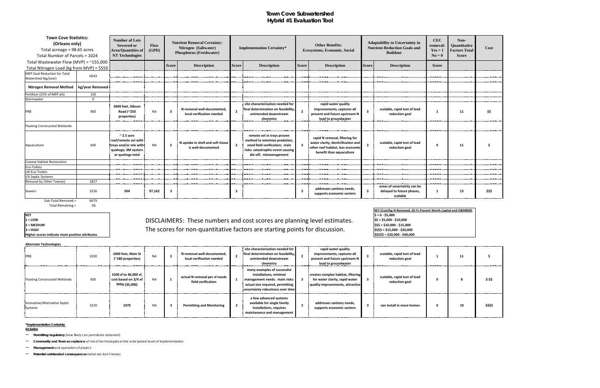## **Town Cove Subwatershed Hybrid #1 Evaluation Tool**

**KEY (Cost/kg-N Removed: 20-Yr Present Worth Capital and O&M&M) \$ = 0 - \$5,000<br>\$\$ = \$5,000 - \$10,000** 

### 1 = LOW
1 = LOW
1 = LOW
1 = LOW
1 = LOW
1 = LOW
1 = LOW
1 = LOW
1 = LOW
1 = LOW
1 = LOW
1 = LOW
1 = LOW
1 = LOW
1 = LOW
1 = LOW
1 = LOW
1 = LOW
1 = LOW
1 = LOW
1 = LOW
1 = LOW
1 = LOW
1 = LOW
1 = LOW
1 = LOW
1 = LOW
1 = LO **2 = MEDIUM \$\$\$ = \$10,000 - \$15,000 3 = HIGH \$\$\$\$ = \$15,000 - \$20,000** The scores for non-quantitative factors are starting points for discussion.

|                                          | <b>Town Cove Statistics:</b><br><b>Number of Lots</b><br>(Orleans only)<br><b>Sewered or</b><br>Total acreage = 98.65 acres<br>Area/Quantities of<br><b>NT Technologies</b><br>Total Number of Parcels = 1024<br>Total Wastewater Flow (MVP) = $~155,000$ |                                                                                                                | Flow<br>(GPD) | <b>Nutrient Removal Certainty:</b><br>Nitrogen (Saltwater)<br><b>Phosphorus (Freshwater)</b> |                                                         |                | <b>Implementation Certainty*</b>                                                                                                                            |                         | <b>Other Benefits:</b><br><b>Ecosystems, Economic, Social</b>                                                                         |                         | <b>Adaptability to Uncertainty in</b><br><b>Nutrient-Reduction Goals and</b><br><b>Buildout</b> |              | Non-<br>Quantitative<br><b>Factors Total</b><br><b>Score</b> | Cost   |
|------------------------------------------|-----------------------------------------------------------------------------------------------------------------------------------------------------------------------------------------------------------------------------------------------------------|----------------------------------------------------------------------------------------------------------------|---------------|----------------------------------------------------------------------------------------------|---------------------------------------------------------|----------------|-------------------------------------------------------------------------------------------------------------------------------------------------------------|-------------------------|---------------------------------------------------------------------------------------------------------------------------------------|-------------------------|-------------------------------------------------------------------------------------------------|--------------|--------------------------------------------------------------|--------|
| Total Nitrogen Load (kg from MVP) = 5550 |                                                                                                                                                                                                                                                           |                                                                                                                |               | <b>Score</b>                                                                                 | <b>Description</b>                                      | <b>Score</b>   | <b>Description</b>                                                                                                                                          | <b>Score</b>            | <b>Description</b>                                                                                                                    | <b>Score</b>            | <b>Description</b>                                                                              | <b>Score</b> |                                                              |        |
| <b>MEP Goal Reduction for Total</b>      |                                                                                                                                                                                                                                                           |                                                                                                                |               |                                                                                              |                                                         |                |                                                                                                                                                             |                         |                                                                                                                                       |                         |                                                                                                 |              |                                                              |        |
| Watershed (kg/year)                      | 6643                                                                                                                                                                                                                                                      |                                                                                                                |               |                                                                                              |                                                         |                |                                                                                                                                                             |                         |                                                                                                                                       |                         |                                                                                                 |              |                                                              |        |
| <b>Nitrogen Removal Method</b>           | kg/year Removed                                                                                                                                                                                                                                           |                                                                                                                |               |                                                                                              |                                                         |                |                                                                                                                                                             |                         |                                                                                                                                       |                         |                                                                                                 |              |                                                              |        |
| Fertilizer (25% of MEP att)              | 126                                                                                                                                                                                                                                                       |                                                                                                                |               |                                                                                              |                                                         |                |                                                                                                                                                             |                         |                                                                                                                                       |                         |                                                                                                 |              |                                                              |        |
| Stormwater                               | $\Omega$                                                                                                                                                                                                                                                  |                                                                                                                |               |                                                                                              |                                                         |                |                                                                                                                                                             |                         |                                                                                                                                       |                         |                                                                                                 |              |                                                              |        |
| PRB                                      | 900                                                                                                                                                                                                                                                       | 3600 feet, Gibson<br>Road (~250<br>properties)                                                                 | <b>NA</b>     | -3                                                                                           | N-removal well-documented,<br>local verification needed |                | site characterization needed for<br>final determination on feasibility,<br>unintended downstream<br>chemistry                                               | $\overline{2}$          | rapid water quality<br>improvements, captures all<br>present and future upstream N<br>load to groundwater                             | $\overline{\mathbf{3}}$ | scalable, rapid test of load<br>reduction goal                                                  | -1           | 11                                                           | \$\$   |
| <b>Floating Constructed Wetlands</b>     |                                                                                                                                                                                                                                                           |                                                                                                                |               |                                                                                              |                                                         |                |                                                                                                                                                             |                         |                                                                                                                                       |                         |                                                                                                 |              |                                                              |        |
| Aquaculture                              | 600                                                                                                                                                                                                                                                       | $\approx$ 2.5 acre<br>reef/remote set with<br>trays and/or mix with<br>quahogs; 3M oysters<br>or quahogs total | <b>NA</b>     | -3                                                                                           | N uptake in shell and soft tissue<br>is well-documented | $\overline{2}$ | remote set in trays proven<br>method to minimize predation,<br>need field verification; main<br>risks: catastrophic event causing<br>die-off, mismanagement |                         | rapid N removal, filtering for<br>water clarity, denitrification and<br>other reef habitat, less economic<br>benefit than aquaculture | $\mathbf{3}$            | scalable, rapid test of load<br>reduction goal                                                  | $\mathbf 0$  | 11                                                           |        |
| Coastal Habitat Restoration              |                                                                                                                                                                                                                                                           |                                                                                                                |               |                                                                                              |                                                         |                |                                                                                                                                                             |                         |                                                                                                                                       |                         |                                                                                                 |              |                                                              |        |
| Eco-Toilets                              |                                                                                                                                                                                                                                                           |                                                                                                                |               |                                                                                              |                                                         |                |                                                                                                                                                             |                         |                                                                                                                                       |                         |                                                                                                 |              |                                                              |        |
| <b>UD Eco-Toilets</b>                    |                                                                                                                                                                                                                                                           |                                                                                                                |               |                                                                                              |                                                         |                |                                                                                                                                                             |                         |                                                                                                                                       |                         |                                                                                                 |              |                                                              |        |
| I/A Septic Systems                       |                                                                                                                                                                                                                                                           |                                                                                                                |               |                                                                                              |                                                         |                |                                                                                                                                                             |                         |                                                                                                                                       |                         |                                                                                                 |              |                                                              |        |
| Removal by Other Town(s)                 | 1827                                                                                                                                                                                                                                                      |                                                                                                                |               |                                                                                              |                                                         |                |                                                                                                                                                             |                         |                                                                                                                                       |                         |                                                                                                 |              |                                                              |        |
| <b>Sewers</b><br>Sub-Total Removed =     | 3226<br>6679                                                                                                                                                                                                                                              | 504                                                                                                            | 97,162        | -3                                                                                           |                                                         | -3             |                                                                                                                                                             | $\overline{\mathbf{3}}$ | addresses sanitary needs,<br>supports economic centers                                                                                | $\overline{\mathbf{3}}$ | areas of uncertainty can be<br>delayed to future phases,<br>scalable                            | -1           | 13                                                           | \$\$\$ |

Total Remaining = Total Remaining = 36

**KEY<br>1 = LOW** 

**Higher scores indicate more positive attributes 1 S\$\$\$\$** = \$20,000 - \$40,000

| <b>Alternate Technologies</b>            |      |                                                               |           |                                                         |                                                                                                                                                                |                         |                                                                                                           |                                                |    |          |
|------------------------------------------|------|---------------------------------------------------------------|-----------|---------------------------------------------------------|----------------------------------------------------------------------------------------------------------------------------------------------------------------|-------------------------|-----------------------------------------------------------------------------------------------------------|------------------------------------------------|----|----------|
| <b>PRB</b>                               | 1030 | 1000 feet, Main St<br>(~180 properties)                       | <b>NA</b> | N-removal well-documented,<br>local verification needed | site characterization needed for<br>final determination on feasibility,<br>unintended downstream<br>chemistry                                                  |                         | rapid water quality<br>improvements, captures all<br>present and future upstream N<br>load to groundwater | scalable, rapid test of load<br>reduction goal | 11 |          |
| Floating Constructed Wetlands            | 600  | 1500 sf to 46,000 sf,<br>cost based on 3/4 of<br>MAX (35,000) | <b>NA</b> | actual N removal per sf needs<br>field verification     | many examples of successful<br>installations, minimal<br>management needs. main risks:<br>actual size required, permitting<br>uncertainty robustness over time |                         | creates complex habitat, filtering<br>for water clarity, rapid water<br>quality improvements, attractive  | scalable, rapid test of load<br>reduction goal | -8 | \$-\$\$  |
| Innovative/Alternative Septic<br>Systems | 3226 | 1075                                                          | <b>NA</b> | <b>Permitting and Monitoring</b>                        | a few advanced systems<br>available for single family<br>installations, requires<br>maintanance and management                                                 | $\overline{\mathbf{2}}$ | addresses sanitary needs,<br>supports economic centers                                                    | can install in more homes                      | 10 | \$\$\$\$ |

**\*Implementation Certainty**

**includes**

– **Permitting/regulatory** (how likely can permits be obtained)

– **Community and Town acceptance** of mix of technologies at the anticipated level of implementation

– **Management** and operation of project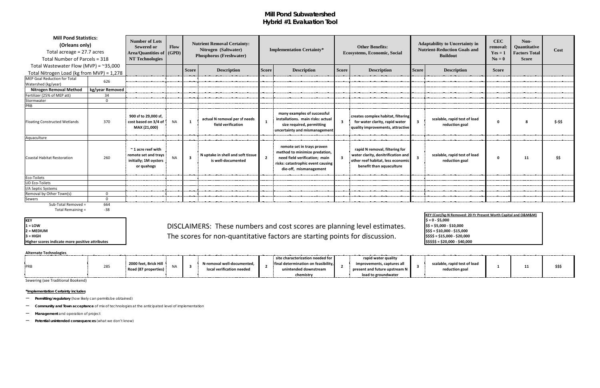## **Mill Pond Subwatershed Hybrid #1 Evaluation Tool**

| <b>Mill Pond Statistics:</b><br>(Orleans only)<br>Total acreage = 27.7 acres<br>Total Number of Parcels = 318 |                 | <b>Number of Lots</b><br><b>Sewered or</b><br>Area/Quantities of   (GPD)  <br>NT Technologies | <b>Nutrient Removal Certainty:</b><br><b>Flow</b><br>Nitrogen (Saltwater)<br><b>Phosphorus (Freshwater)</b> |                         |                                                         | <b>Implementation Certainty*</b> |                                                                                                                                                             | <b>Other Benefits:</b><br><b>Ecosystems, Economic, Social</b> |                                                                                                                                       | <b>Adaptability to Uncertainty in</b><br><b>Nutrient-Reduction Goals and</b><br><b>Buildout</b> |                                                | Non-<br>Quantitative<br><b>Factors Total</b><br><b>Score</b> | Cost |         |
|---------------------------------------------------------------------------------------------------------------|-----------------|-----------------------------------------------------------------------------------------------|-------------------------------------------------------------------------------------------------------------|-------------------------|---------------------------------------------------------|----------------------------------|-------------------------------------------------------------------------------------------------------------------------------------------------------------|---------------------------------------------------------------|---------------------------------------------------------------------------------------------------------------------------------------|-------------------------------------------------------------------------------------------------|------------------------------------------------|--------------------------------------------------------------|------|---------|
| Total Wastewater Flow (MVP) = $\approx$ 35,000                                                                |                 |                                                                                               |                                                                                                             | <b>Score</b>            | <b>Description</b>                                      | <b>Score</b>                     | <b>Description</b>                                                                                                                                          | <b>Score</b>                                                  | <b>Description</b>                                                                                                                    | <b>Score</b>                                                                                    | <b>Description</b>                             | <b>Score</b>                                                 |      |         |
| Total Nitrogen Load (kg from MVP) = 1,278<br>MEP Goal Reduction for Total<br>Watershed (kg/year)              | 626             |                                                                                               |                                                                                                             |                         |                                                         |                                  |                                                                                                                                                             |                                                               |                                                                                                                                       |                                                                                                 |                                                |                                                              |      |         |
| <b>Nitrogen Removal Method</b>                                                                                | kg/year Removed |                                                                                               |                                                                                                             |                         |                                                         |                                  |                                                                                                                                                             |                                                               |                                                                                                                                       |                                                                                                 |                                                |                                                              |      |         |
| Fertilizer (25% of MEP att)                                                                                   | 34              |                                                                                               |                                                                                                             |                         |                                                         |                                  |                                                                                                                                                             |                                                               |                                                                                                                                       |                                                                                                 |                                                |                                                              |      |         |
| Stormwater                                                                                                    | $\overline{0}$  |                                                                                               |                                                                                                             |                         |                                                         |                                  |                                                                                                                                                             |                                                               |                                                                                                                                       |                                                                                                 |                                                |                                                              |      |         |
| PRB                                                                                                           |                 |                                                                                               |                                                                                                             |                         |                                                         |                                  |                                                                                                                                                             |                                                               |                                                                                                                                       |                                                                                                 |                                                |                                                              |      |         |
| <b>Floating Constructed Wetlands</b>                                                                          | 370             | 900 sf to 29,000 sf,<br>cost based on 3/4 of<br>MAX (21,000)                                  | <b>NA</b>                                                                                                   | $\mathbf{1}$            | actual N removal per sf needs<br>field verification     | $\mathbf{1}$                     | many examples of successful<br>installations. main risks: actual<br>size required, permitting<br>uncertainty and mismanagement                              | $\overline{\mathbf{3}}$                                       | creates complex habitat, filtering<br>for water clarity, rapid water<br>quality improvements, attractive                              | $\overline{\mathbf{3}}$                                                                         | scalable, rapid test of load<br>reduction goal | $\mathbf 0$                                                  | 8    | \$-\$\$ |
| Aquaculture                                                                                                   |                 |                                                                                               |                                                                                                             |                         |                                                         |                                  |                                                                                                                                                             |                                                               |                                                                                                                                       |                                                                                                 |                                                |                                                              |      |         |
| Coastal Habitat Restoration                                                                                   | 260             | $~\tilde{}$ 1 acre reef with<br>remote set and trays<br>initially; 1M oysters<br>or quahogs   | <b>NA</b>                                                                                                   | $\overline{\mathbf{3}}$ | N uptake in shell and soft tissue<br>is well-documented | $\overline{2}$                   | remote set in trays proven<br>method to minimize predation,<br>need field verification; main<br>risks: catastrophic event causing<br>die-off, mismanagement |                                                               | rapid N removal, filtering for<br>water clarity, denitrification and<br>other reef habitat, less economic<br>benefit than aquaculture | $\overline{\mathbf{3}}$                                                                         | scalable, rapid test of load<br>reduction goal | $\mathbf{0}$                                                 | 11   | \$\$    |
| Eco-Toilets                                                                                                   |                 |                                                                                               |                                                                                                             |                         |                                                         |                                  |                                                                                                                                                             |                                                               |                                                                                                                                       |                                                                                                 |                                                |                                                              |      |         |
| <b>UD Eco-Toilets</b>                                                                                         |                 |                                                                                               |                                                                                                             |                         |                                                         |                                  |                                                                                                                                                             |                                                               |                                                                                                                                       |                                                                                                 |                                                |                                                              |      |         |
| I/A Septic Systems                                                                                            |                 |                                                                                               |                                                                                                             |                         |                                                         |                                  |                                                                                                                                                             |                                                               |                                                                                                                                       |                                                                                                 |                                                |                                                              |      |         |
| Removal by Other Town(s)                                                                                      | $\Omega$        |                                                                                               |                                                                                                             |                         |                                                         |                                  |                                                                                                                                                             |                                                               |                                                                                                                                       |                                                                                                 |                                                |                                                              |      |         |
| Sewers                                                                                                        | $\overline{0}$  |                                                                                               |                                                                                                             |                         |                                                         |                                  |                                                                                                                                                             |                                                               |                                                                                                                                       |                                                                                                 |                                                |                                                              |      |         |
| Sub-Total Removed =                                                                                           | 664             |                                                                                               |                                                                                                             |                         |                                                         |                                  |                                                                                                                                                             |                                                               |                                                                                                                                       |                                                                                                 |                                                |                                                              |      |         |

Total Remaining = 38

**KEY<br>1 = LOW** 

**Higher scores indicate more positive attributes** 

### 1 = LOW
1 = LOW
1 = LOW
1 = LOW
1 = LOW
1 = LOW
1 = LOW
1 = LOW
1 = LOW
1 = LOW
1 = LOW
1 = LOW
1 = LOW
1 = LOW
1 = LOW
1 = LOW
1 = LOW
1 = LOW
1 = LOW
1 = LOW
1 = LOW
1 = LOW
1 = LOW
1 = LOW
1 = LOW
1 = LOW
1 = LOW
1 = LO **2 = MEDIUM \$\$\$ = \$10,000 - \$15,000 3** = HIGH **\$20,000** - \$3\$\$ = \$15,000 - \$20,000

**Alternate Technologies**

| ARCHIGUE TECHNOLOGICS |                      |                                    |                            |                                     |                                       |                              |  |        |
|-----------------------|----------------------|------------------------------------|----------------------------|-------------------------------------|---------------------------------------|------------------------------|--|--------|
|                       |                      |                                    |                            | site characterization needed for    | rapid water quality                   |                              |  |        |
| .PRB                  | $\sim$ $\sim$ $\sim$ | 2000 feet, Brick Hill<br><b>NA</b> | N-removal well-documented, | final determination on feasibility, | improvements, captures all            | scalable, rapid test of load |  | \$\$\$ |
|                       | 283                  | Road (87 properties)               | local verification needed  | unintended downstream               | $\vert$ present and future upstream N | reduction goal               |  |        |
|                       |                      |                                    |                            | chemistry                           | load to groundwater                   |                              |  |        |

Sewering (see Traditional Bookend)

**\*Implementation Certainty includes**

– **Permitting/regulatory** (how likely can permits be obtained)

– **Community and Town acceptance** of mix of technologies at the anticipated level of implementation

– **Management** and operation of project

|                     | KEY (Cost/kg-N Removed: 20-Yr Present Worth Capital and O&M&M) |
|---------------------|----------------------------------------------------------------|
|                     | $\$\,= 0 - \$5,000$                                            |
| ng level estimates. | $$55 = $5,000 - $10,000$                                       |
|                     | $$55 = $10,000 - $15,000$                                      |
| s for discussion.   | $$$$$$$ $$$$ $$$ $=$ $$15,000 - $20,000$                       |
|                     | $$$$$$$$$ $$$$ $$$ $=$ $$20,000 - $40,000$                     |
|                     |                                                                |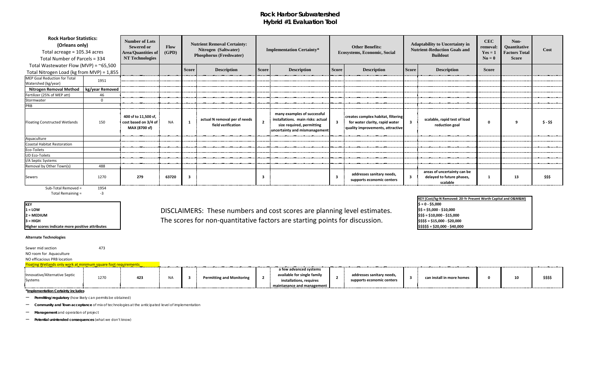## **Rock Harbor Subwatershed Hybrid #1 Evaluation Tool**

Sewer mid section and the 173 NO room for Aquaculture

| Total Number of Parcels = 334                                                                    |                 | <b>Area/Quantities of</b><br><b>NT Technologies</b>           | Flow<br>(GPD) |              | <b>Nutrient Removal Certainty:</b><br>Nitrogen (Saltwater)<br><b>Phosphorus (Freshwater)</b> |              | <b>Implementation Certainty*</b>                                                                                               |                         |                                                                                                          |                         | <b>Other Benefits:</b><br><b>Ecosystems, Economic, Social</b>        |              | <b>Adaptability to Uncertainty in</b><br><b>Nutrient-Reduction Goals and</b><br><b>Buildout</b> |         | Non-<br>Quantitative<br><b>Factors Total</b><br><b>Score</b> | Cost |
|--------------------------------------------------------------------------------------------------|-----------------|---------------------------------------------------------------|---------------|--------------|----------------------------------------------------------------------------------------------|--------------|--------------------------------------------------------------------------------------------------------------------------------|-------------------------|----------------------------------------------------------------------------------------------------------|-------------------------|----------------------------------------------------------------------|--------------|-------------------------------------------------------------------------------------------------|---------|--------------------------------------------------------------|------|
| Total Wastewater Flow (MVP) = $\approx$ 65,500                                                   |                 |                                                               |               | <b>Score</b> | <b>Description</b>                                                                           | <b>Score</b> | <b>Description</b>                                                                                                             | <b>Score</b>            | <b>Description</b>                                                                                       | <b>Score</b>            | <b>Description</b>                                                   | <b>Score</b> |                                                                                                 |         |                                                              |      |
| Total Nitrogen Load (kg from MVP) = 1,855<br>MEP Goal Reduction for Total<br>Watershed (kg/year) | 1951            |                                                               |               |              |                                                                                              |              |                                                                                                                                |                         |                                                                                                          |                         |                                                                      |              |                                                                                                 |         |                                                              |      |
| <b>Nitrogen Removal Method</b>                                                                   | kg/year Removed |                                                               |               |              |                                                                                              |              |                                                                                                                                |                         |                                                                                                          |                         |                                                                      |              |                                                                                                 |         |                                                              |      |
| Fertilizer (25% of MEP att)                                                                      | 46              |                                                               |               |              |                                                                                              |              |                                                                                                                                |                         |                                                                                                          |                         |                                                                      |              |                                                                                                 |         |                                                              |      |
| Stormwater                                                                                       | $\overline{0}$  |                                                               |               |              |                                                                                              |              |                                                                                                                                |                         |                                                                                                          |                         |                                                                      |              |                                                                                                 |         |                                                              |      |
| PRB                                                                                              |                 |                                                               |               |              |                                                                                              |              |                                                                                                                                |                         |                                                                                                          |                         |                                                                      |              |                                                                                                 |         |                                                              |      |
| <b>Floating Constructed Wetlands</b>                                                             | 150             | 400 sf to 11,500 sf,<br>cost based on 3/4 of<br>MAX (8700 sf) | <b>NA</b>     |              | actual N removal per sf needs<br>field verification                                          | $2^{\circ}$  | many examples of successful<br>installations. main risks: actual<br>size required, permitting<br>uncertainty and mismanagement | $\overline{\mathbf{3}}$ | creates complex habitat, filtering<br>for water clarity, rapid water<br>quality improvements, attractive | $\overline{\mathbf{3}}$ | scalable, rapid test of load<br>reduction goal                       | $\mathbf 0$  | q                                                                                               | $$ - $$ |                                                              |      |
| Aquaculture                                                                                      |                 |                                                               |               |              |                                                                                              |              |                                                                                                                                |                         |                                                                                                          |                         |                                                                      |              |                                                                                                 |         |                                                              |      |
| Coastal Habitat Restoration                                                                      |                 |                                                               |               |              |                                                                                              |              |                                                                                                                                |                         |                                                                                                          |                         |                                                                      |              |                                                                                                 |         |                                                              |      |
| Eco-Toilets                                                                                      |                 |                                                               |               |              |                                                                                              |              |                                                                                                                                |                         |                                                                                                          |                         |                                                                      |              |                                                                                                 |         |                                                              |      |
| <b>UD Eco-Toilets</b>                                                                            |                 |                                                               |               |              |                                                                                              |              |                                                                                                                                |                         |                                                                                                          |                         |                                                                      |              |                                                                                                 |         |                                                              |      |
| I/A Septic Systems                                                                               |                 |                                                               |               |              |                                                                                              |              |                                                                                                                                |                         |                                                                                                          |                         |                                                                      |              |                                                                                                 |         |                                                              |      |
| Removal by Other Town(s)                                                                         | 488             |                                                               |               |              |                                                                                              |              |                                                                                                                                |                         |                                                                                                          |                         |                                                                      |              |                                                                                                 |         |                                                              |      |
| Sewers<br>Sub-Total Removed =                                                                    | 1270<br>1954    | 279                                                           | 63720         | -3           |                                                                                              | 3            |                                                                                                                                | $\overline{\mathbf{3}}$ | addresses sanitary needs,<br>supports economic centers                                                   | $\overline{\mathbf{3}}$ | areas of uncertainty can be<br>delayed to future phases,<br>scalable |              | 13                                                                                              | \$\$\$  |                                                              |      |

Total Remaining = Total Remaining = 3

**KEY<br>1 = LOW** 

**Higher scores indicate more positive attributes**  $\begin{bmatrix} 55555 = 520,000 \\ -540,000 \end{bmatrix}$ 

### **Alternate Technologies**

NO efficacious PRB location

| Innovative/Alternative Septic<br>Systems | 1270 | 423 | <b>AIA</b><br>$\mathbf{u}$ | <b>Permitting and Monitoring</b> | a few advanced systems<br>available for single family<br>installations, requires<br>ntanance and management | addresses sanitary needs,<br>supports economic centers | can install in more homes | 10 | \$\$\$\$ |
|------------------------------------------|------|-----|----------------------------|----------------------------------|-------------------------------------------------------------------------------------------------------------|--------------------------------------------------------|---------------------------|----|----------|

**\*Implementation Certainty includes**

– **Permitting/regulatory** (how likely can permits be obtained)

– **Community and Town acceptance** of mix of technologies at the anticipated level of implementation

– **Management** and operation of project

– **Potential unintended consequences** (what we don't know)

1 = LOW
1 = LOW
1 = LOW
1 = LOW
1 = LOW
1 = LOW
1 = LOW
1 = LOW
1 = LOW
1 = LOW
1 = LOW
1 = LOW
1 = LOW
1 = LOW
1 = LOW
1 = LOW
1 = LOW
1 = LOW
1 = LOW
1 = LOW
1 = LOW
1 = LOW
1 = LOW
1 = LOW
1 = LOW
1 = LOW
1 = LOW
1 = LO **2 = MEDIUM \$\$\$ = \$10,000 - \$15,000 3** = HIGH **SACK A SET A SET A SET A SET A SET A SET A SET A SET A SET A SET A SSS = \$15,000 - \$20,000**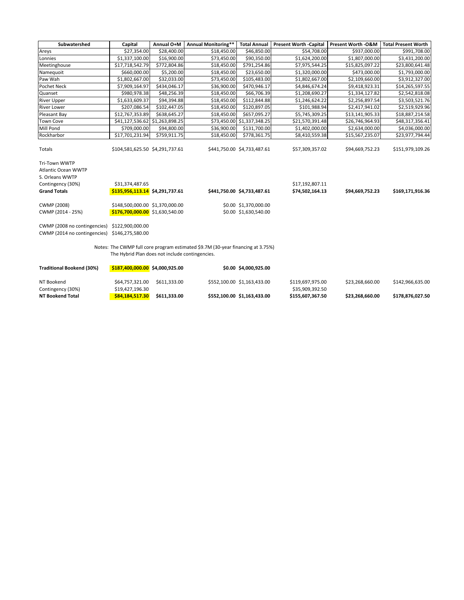| Subwatershed                                                                                               | Capital                                                             | Annual O+M   | <b>Annual Monitoring**</b>                                                      | <b>Total Annual</b>                            | Present Worth -Capital   Present Worth -O&M   Total Present Worth |                 |                  |
|------------------------------------------------------------------------------------------------------------|---------------------------------------------------------------------|--------------|---------------------------------------------------------------------------------|------------------------------------------------|-------------------------------------------------------------------|-----------------|------------------|
| Areys                                                                                                      | \$27,354.00                                                         | \$28,400.00  | \$18,450.00                                                                     | \$46,850.00                                    | \$54,708.00                                                       | \$937,000.00    | \$991,708.00     |
| Lonnies                                                                                                    | \$1,337,100.00                                                      | \$16,900.00  | \$73,450.00                                                                     | \$90,350.00                                    | \$1,624,200.00                                                    | \$1,807,000.00  | \$3,431,200.00   |
| Meetinghouse                                                                                               | \$17,718,542.79                                                     | \$772,804.86 | \$18,450.00                                                                     | \$791,254.86                                   | \$7,975,544.25                                                    | \$15,825,097.22 | \$23,800,641.48  |
| Namequoit                                                                                                  | \$660,000.00                                                        | \$5,200.00   | \$18,450.00                                                                     | \$23,650.00                                    | \$1,320,000.00                                                    | \$473,000.00    | \$1,793,000.00   |
| Paw Wah                                                                                                    | \$1,802,667.00                                                      | \$32,033.00  | \$73,450.00                                                                     | \$105,483.00                                   | \$1,802,667.00                                                    | \$2,109,660.00  | \$3,912,327.00   |
| Pochet Neck                                                                                                | \$7,909,164.97                                                      | \$434,046.17 | \$36,900.00                                                                     | \$470,946.17                                   | \$4,846,674.24                                                    | \$9,418,923.31  | \$14,265,597.55  |
| Quanset                                                                                                    | \$980,978.38                                                        | \$48,256.39  | \$18,450.00                                                                     | \$66,706.39                                    | \$1,208,690.27                                                    | \$1,334,127.82  | \$2,542,818.08   |
| <b>River Upper</b>                                                                                         | \$1,633,609.37                                                      | \$94,394.88  | \$18,450.00                                                                     | \$112,844.88                                   | \$1,246,624.22                                                    | \$2,256,897.54  | \$3,503,521.76   |
| <b>River Lower</b>                                                                                         | \$207,086.54                                                        | \$102,447.05 | \$18,450.00                                                                     | \$120,897.05                                   | \$101,988.94                                                      | \$2,417,941.02  | \$2,519,929.96   |
| Pleasant Bay                                                                                               | \$12,767,353.89                                                     | \$638,645.27 | \$18,450.00                                                                     | \$657,095.27                                   | \$5,745,309.25                                                    | \$13,141,905.33 | \$18,887,214.58  |
| <b>Town Cove</b>                                                                                           | \$41,127,536.62 \$1,263,898.25                                      |              |                                                                                 | \$73,450.00 \$1,337,348.25                     | \$21,570,391.48                                                   | \$26,746,964.93 | \$48,317,356.41  |
| Mill Pond                                                                                                  | \$709,000.00                                                        | \$94,800.00  | \$36,900.00                                                                     | \$131,700.00                                   | \$1,402,000.00                                                    | \$2,634,000.00  | \$4,036,000.00   |
| Rockharbor                                                                                                 | \$17,701,231.94                                                     | \$759,911.75 | \$18,450.00                                                                     | \$778,361.75                                   | \$8,410,559.38                                                    | \$15,567,235.07 | \$23,977,794.44  |
| Totals                                                                                                     | \$104,581,625.50 \$4,291,737.61                                     |              |                                                                                 | \$441,750.00 \$4,733,487.61                    | \$57,309,357.02                                                   | \$94,669,752.23 | \$151,979,109.26 |
| Tri-Town WWTP<br><b>Atlantic Ocean WWTP</b><br>S. Orleans WWTP<br>Contingency (30%)<br><b>Grand Totals</b> | \$31,374,487.65<br>\$135,956,113.14 \$4,291,737.61                  |              |                                                                                 | \$441,750.00 \$4,733,487.61                    | \$17,192,807.11<br>\$74,502,164.13                                | \$94,669,752.23 | \$169,171,916.36 |
| <b>CWMP (2008)</b><br>CWMP (2014 - 25%)                                                                    | \$148,500,000.00 \$1,370,000.00<br>$$176,700,000.00$ \$1,630,540.00 |              |                                                                                 | \$0.00 \$1,370,000.00<br>\$0.00 \$1,630,540.00 |                                                                   |                 |                  |
| CWMP (2008 no contingencies) \$122,900,000.00<br>CWMP (2014 no contingencies) \$146,275,580.00             |                                                                     |              |                                                                                 |                                                |                                                                   |                 |                  |
|                                                                                                            | The Hybrid Plan does not include contingencies.                     |              | Notes: The CWMP full core program estimated \$9.7M (30-year financing at 3.75%) |                                                |                                                                   |                 |                  |
| <b>Traditional Bookend (30%)</b>                                                                           | $$187,400,000.00$$ \$4,000,925.00                                   |              |                                                                                 | \$0.00 \$4,000,925.00                          |                                                                   |                 |                  |
| NT Bookend<br>Contingency (30%)                                                                            | \$64,757,321.00<br>\$19,427,196.30                                  | \$611,333.00 |                                                                                 | \$552,100.00 \$1,163,433.00                    | \$119,697,975.00<br>\$35,909,392.50                               | \$23,268,660.00 | \$142,966,635.00 |
| <b>NT Bookend Total</b>                                                                                    | \$84,184,517.30                                                     | \$611,333.00 |                                                                                 | \$552,100.00 \$1,163,433.00                    | \$155,607,367.50                                                  | \$23,268,660.00 | \$178,876,027.50 |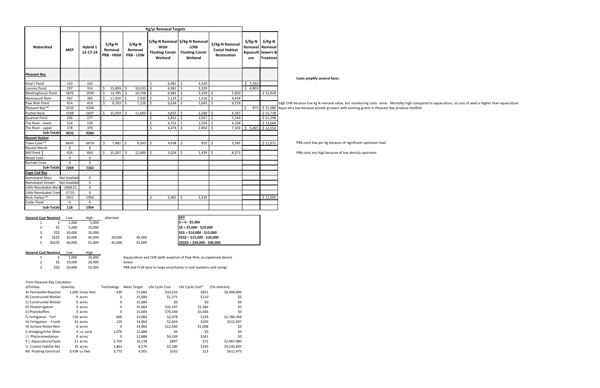**Costs amplify several facts:**

w kg N removal value, but monitoring costs same. Mortality high compared to aquaculture, so cost of seed is higher than aquaculture ase private growers with existing grants in Pleasant Bay produce shellfish

s low per kg because of significant upstream load

s ery high because of low density upstream

4 \$\$\$\$ 20,000 40,000 20,000 45,000 **\$\$\$\$ = \$15,000 - \$20,000** 55,000 **\$\$\$\$\$\$** = \$20,000 - \$40,000

|                                    | <b>Kg/yr Removal Targets</b>   |                      |                                                     |        |         |                                                    |                    |                                                  |             |                                                                               |     |                                                                |    |                                       |                                                                            |                               |
|------------------------------------|--------------------------------|----------------------|-----------------------------------------------------|--------|---------|----------------------------------------------------|--------------------|--------------------------------------------------|-------------|-------------------------------------------------------------------------------|-----|----------------------------------------------------------------|----|---------------------------------------|----------------------------------------------------------------------------|-------------------------------|
| Watershed                          | <b>MEP</b>                     | Hybrid 1<br>12-17-14 | $\frac{1}{2}$ /Kg-N<br>Removal<br><b>PRB - HIGH</b> |        |         | $\frac{1}{2}$ /Kg-N<br>Removal<br><b>PRB - LOW</b> |                    | <b>HIGH</b><br><b>Floating Constr</b><br>Wetland |             | \$/Kg-N Removal   \$/Kg-N Removal<br>LOW<br><b>Floating Constr</b><br>Wetland |     | \$/Kg-N Removal<br><b>Costal Habitat</b><br><b>Restoration</b> |    | $\frac{1}{2}$ /Kg-N<br>Removal<br>ure | $\frac{1}{2}$ /Kg-N<br>Removal<br><b>Aquacult Sewers &amp;</b><br>Treatmet |                               |
| <b>Pleasant Bay</b>                |                                |                      |                                                     |        |         |                                                    |                    |                                                  |             |                                                                               |     |                                                                |    |                                       |                                                                            | Costs amp                     |
| Arey's Pond                        | 142                            | 142                  |                                                     |        |         |                                                    | \$                 | 6,981                                            | $\varsigma$ | 3,329                                                                         |     |                                                                |    | \$7,292                               |                                                                            |                               |
| <b>Lonnies Pond</b>                | 297                            | 314                  | \$                                                  | 15,899 | -\$     | 10,033                                             | $\ddot{\phi}$      | 6,981                                            | \$          | 3,329                                                                         |     |                                                                |    | \$4,803                               |                                                                            |                               |
| Meetinghouse Pond                  | 1876                           | 1934                 | $\zeta$                                             | 13,785 | \$      | 10,708                                             | \$                 | 6,981                                            | \$          | 3,329                                                                         | \$  | 5,820                                                          |    |                                       | \$12,928                                                                   |                               |
| Namequoit River                    | 367                            | 365                  | \$                                                  | 11,920 | $\zeta$ | 7,920                                              | \$                 | 5,123                                            | \$          | 1,516                                                                         | Ŝ   | 4,434                                                          |    |                                       |                                                                            |                               |
| Paw Wah Pond                       | 414                            | 414                  | $\zeta$                                             | 9,703  | \$      | 7,226                                              | $\zeta$            | 6,634                                            | \$          | 1,643                                                                         | \$  | 9,729                                                          |    |                                       |                                                                            | high CHR because low          |
| Pleasant Bay**                     | 3210                           | 3234                 |                                                     |        |         |                                                    |                    |                                                  |             |                                                                               |     |                                                                | \$ | 975                                   |                                                                            | \$21,086 Aqua very low becaus |
| Pochet Neck                        | 1569                           | 1647                 | \$                                                  | 15,059 | $\zeta$ | 11,693                                             | $\varsigma$        | 4,825                                            | \$          | 1,240                                                                         | \$  | 4,187                                                          |    |                                       | \$15,718                                                                   |                               |
| Quanset Pond                       | 256                            | 277                  |                                                     |        |         |                                                    | \$                 | 5,852                                            | \$          | 2,057                                                                         | \$  | 5,540                                                          |    |                                       | \$51,298                                                                   |                               |
| The River - lower                  | 524                            | 578                  |                                                     |        |         |                                                    | \$                 | 4,753                                            | \$          | 1,054                                                                         | \$  | 4,108                                                          |    |                                       | \$13,660                                                                   |                               |
| The River - upper                  | 378                            | 379                  |                                                     |        |         |                                                    | \$                 | 6,474                                            | S           | 2,854                                                                         | \$. | 7,103                                                          |    | \$5,465                               | \$12,554                                                                   |                               |
| <b>Sub-Totals</b>                  | 9033                           | 9284                 |                                                     |        |         |                                                    |                    |                                                  |             |                                                                               |     |                                                                |    |                                       |                                                                            |                               |
| <b>Nauset Harbor</b>               |                                |                      |                                                     |        |         |                                                    |                    |                                                  |             |                                                                               |     |                                                                |    |                                       |                                                                            |                               |
| Town Cove**                        | 6643                           | 6679                 | \$                                                  | 7,482  | \$      | 6,593                                              | \$                 | 4,638                                            | $\zeta$     | 953                                                                           | \$  | 3,185                                                          |    |                                       | \$11,971                                                                   | PRB costs                     |
| Nauset Marsh                       | 0                              | 0                    |                                                     |        |         |                                                    |                    |                                                  |             |                                                                               |     |                                                                |    |                                       |                                                                            |                               |
| Mill Pond                          | 626                            | 664                  | \$                                                  | 15,207 | $\zeta$ | 12,400                                             | $\ddot{\varsigma}$ | 5,024                                            | \$          | 1,439                                                                         | \$  | 8,373                                                          |    |                                       |                                                                            | PRB costs                     |
| Wood Cove                          | $\mathbf 0$                    | 0                    |                                                     |        |         |                                                    |                    |                                                  |             |                                                                               |     |                                                                |    |                                       |                                                                            |                               |
| <b>Rachael Cove</b>                | $\mathbf 0$                    | $\mathbf 0$          |                                                     |        |         |                                                    |                    |                                                  |             |                                                                               |     |                                                                |    |                                       |                                                                            |                               |
| <b>Sub-Totals</b>                  | 7269                           | 7343                 |                                                     |        |         |                                                    |                    |                                                  |             |                                                                               |     |                                                                |    |                                       |                                                                            |                               |
| <b>Cape Cod Bay</b>                |                                |                      |                                                     |        |         |                                                    |                    |                                                  |             |                                                                               |     |                                                                |    |                                       |                                                                            |                               |
| Namskaket Main<br>Namskaket Stream | Not Available<br>Not Available | 0<br>$\mathbf 0$     |                                                     |        |         |                                                    |                    |                                                  |             |                                                                               |     |                                                                |    |                                       |                                                                            |                               |
| Little Namskaket Mars              | $-1808.21$                     | $\mathbf 0$          |                                                     |        |         |                                                    |                    |                                                  |             |                                                                               |     |                                                                |    |                                       |                                                                            |                               |
| Little Namskaket Creel             | $-27.01$                       | 0                    |                                                     |        |         |                                                    |                    |                                                  |             |                                                                               |     |                                                                |    |                                       |                                                                            |                               |
| Rock Harbor**                      | 1951                           | 1954                 |                                                     |        |         |                                                    | \$                 | 6,981                                            | \$          | 3,329                                                                         |     |                                                                |    |                                       | \$12,905                                                                   |                               |
| <b>Cedar Pond</b>                  | $\mathbf 0$                    | $\mathbf 0$          |                                                     |        |         |                                                    |                    |                                                  |             |                                                                               |     |                                                                |    |                                       |                                                                            |                               |
| Sub-Totals                         | 116                            | 1954                 |                                                     |        |         |                                                    |                    |                                                  |             |                                                                               |     |                                                                |    |                                       |                                                                            |                               |

| <b>General Cost Nomincla</b><br>Low | High                                     | alternate |        | <b>KEY</b>                               |
|-------------------------------------|------------------------------------------|-----------|--------|------------------------------------------|
| 1,000                               | 5,000                                    |           |        | $\frac{1}{2}$ = 0 - \$5,000              |
| 5,000                               | 10,000                                   |           |        | $\frac{1}{2}$ \$\$ = \$5,000 - \$10,000  |
| 10.000                              | 20,000                                   |           |        | $\frac{1}{2}$ \$\$\$ = \$10,000 - \$15,0 |
| 20,000                              | 40,000                                   | 20,000    | 45,000 | $\frac{1}{2}$ \$\$\$ = \$15,000 - \$20,  |
| 40.000                              | 55,000                                   | 45,000    | 55,000 | $\frac{1}{2}$ \$\$\$\$ = \$20,000 - \$40 |
|                                     | \$\$<br>\$\$\$<br>\$\$\$\$<br>\$\$\$\$\$ |           |        |                                          |

| <b>General Cost Nominch</b> |      | Low    | High   |                                                                   |
|-----------------------------|------|--------|--------|-------------------------------------------------------------------|
|                             |      | 1.000  | 10.000 | Aquaculture and CHR (with exeption of Paw Wah, as explained above |
|                             | ŚŚ.  | 10.000 | 20.000 | Sewer                                                             |
|                             | SSS. | 20.000 | 55.000 | PRB and FCW (due to large uncertainty in cost numbers and sizing) |

From Pleasant Bay Calculator:

| d/Embay                | Quantity          | Technology | <b>Meet Target</b> | Life Cycle Cost | Life Cycle Cost* | (5% interest) |
|------------------------|-------------------|------------|--------------------|-----------------|------------------|---------------|
| A) Permeable Reactive  | 1,000 linear feet | 430        | 15,684             | \$10,233        | \$821            | \$4,400,000   |
| B) Constructed Wetlan  | 0 acres           | 0          | 15,684             | \$1,371         | \$110            | \$0           |
| C) Constructed Wetlan  | 0 acres           | 0          | 15,684             | \$0             | \$0              | \$0           |
| D) Phytoirrigation     | 0 acres           | 0          | 15,684             | \$32,197        | \$2,584          | \$0           |
| E) Phytobuffers        | 0 acres           | $\Omega$   | 15,684             | \$70,349        | \$5,646          | \$0           |
| F) Fertigation - Turf  | 150 acres         | 600        | 15,084             | \$2,978         | \$239            | \$1,786,764   |
| G) Fertigation - Cranb | 10 acres          | 120        | 14,964             | \$2,604         | \$209            | \$312,497     |
| H) Surface Water Rem   | 0 acres           | 0          | 14,964             | \$12,560        | \$1,008          | \$0           |
| I) Dredging/Inlet Wide | 0 cu. yard        | 2,076      | 12,888             | \$0             | \$0              | \$0           |
| J) Phytoremediation    | 0 acres           | $\Omega$   | 12,888             | \$4,249         | \$341            | \$0           |
| K) Aquaculture/Oyste   | 11 acres          | 2,750      | 10,138             | \$897           | \$72             | \$2,467,080   |
| L) Coastal Habitat Res | 16 acres          | 1,862      | 8,276              | \$2,280         | \$183            | \$4,245,695   |
| M) Floating Construct  | 9,438 cu feet     | 3,775      | 4,501              | \$162           | \$13             | \$611,475     |

 $$55 = $10,000 - $15,000$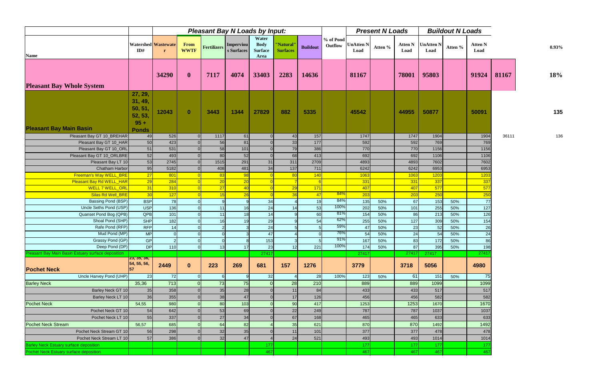|                                                     |                                                   |                                            | <b>Pleasant Bay N Loads by Input:</b> |                              |            |                                                |                              |                 |                      |                          | <b>Present N Loads</b> |                        |                   | <b>Buildout N Loads</b> |                        |       |          |
|-----------------------------------------------------|---------------------------------------------------|--------------------------------------------|---------------------------------------|------------------------------|------------|------------------------------------------------|------------------------------|-----------------|----------------------|--------------------------|------------------------|------------------------|-------------------|-------------------------|------------------------|-------|----------|
| <b>Name</b>                                         | ID#                                               | <b>Watershed Wastewate</b><br>$\mathbf{r}$ | <b>From</b><br><b>WWTF</b>            | <b>Fertilizers</b> Imperviou | s Surfaces | Water<br><b>Body</b><br><b>Surface</b><br>Area | "Natural"<br><b>Surfaces</b> | <b>Buildout</b> | % of Pond<br>Outflow | <b>UnAtten N</b><br>Load | Atten %                | <b>Atten N</b><br>Load | UnAtten N<br>Load | Atten %                 | <b>Atten N</b><br>Load |       | $0.93\%$ |
| <b>Pleasant Bay Whole System</b>                    |                                                   | 34290                                      | $\mathbf{0}$                          | 7117                         | 4074       | 33403                                          | 2283                         | 14636           |                      | 81167                    |                        | 78001                  | 95803             |                         | 91924                  | 81167 | 18%      |
|                                                     | 27, 29,<br>31, 49,<br>50, 51<br>52, 53,<br>$95 +$ | 12043                                      | $\mathbf{0}$                          | 3443                         | 1344       | 27829                                          | 882                          | 5335            |                      | 45542                    |                        | 44955                  | 50877             |                         | 50091                  |       | 135      |
| <b>Pleasant Bay Main Basin</b>                      | <b>Ponds</b>                                      |                                            |                                       |                              |            |                                                |                              |                 |                      |                          |                        |                        |                   |                         |                        |       |          |
| Pleasant Bay GT 10_BREHAR                           | 49                                                | 526                                        | $\Omega$                              | 1117                         | 61         | $\Omega$                                       | 43                           | 157             |                      | 1747                     |                        | 1747                   | 1904              |                         | 1904                   | 36111 | 136      |
| Pleasant Bay GT 10_HAR                              | 50                                                | 423                                        |                                       | 56                           | 81         |                                                | 33                           | 177             |                      | 592                      |                        | 592                    | 769               |                         | 769                    |       |          |
| Pleasant Bay GT 10_ORL<br>Pleasant Bay GT 10_ORLBRE | 51<br>52                                          | 531<br>493                                 |                                       | 58<br>80                     | 101<br>52  |                                                | 79<br>68                     | 386<br>413      |                      | 770<br>692               |                        | 770<br>692             | 1156<br>1106      |                         | 1156<br>1106           |       |          |
| Pleasant Bay LT 10                                  | 53                                                | 2745                                       |                                       | 1515                         | 291        | 31                                             | 311                          | 2709            |                      | 4893                     |                        | 4893                   | 7602              |                         | 7602                   |       |          |
| <b>Chatham Harbor</b>                               | 95                                                | 5182                                       |                                       | 408                          | 481        | 34                                             | 137                          | 711             |                      | 6242                     |                        | 6242                   | 6953              |                         | 6953                   |       |          |
| Freeman's Way WELL_BRE                              | 27                                                | 801                                        |                                       | 83                           | 98         |                                                | 80                           | 140             |                      | 1063                     |                        | 1063                   | 1203              |                         | 1203                   |       |          |
| <b>Pleasant Bay Rd WELL_HAR</b>                     | 29                                                | 284                                        |                                       | 20                           | 20         |                                                |                              |                 |                      | 331                      |                        | 331                    | 337               |                         | 337                    |       |          |
| <b>WELL 7 WELL ORL</b>                              | 31                                                | 310                                        |                                       | 27                           | 40         |                                                | 29                           | 171             |                      | 407                      |                        | 407                    | 577               |                         | 577                    |       |          |
| Silas Rd Well_BRE                                   | 30                                                | 127                                        |                                       | 15                           | 26         |                                                | 36                           | 47              | 84%                  | 203                      |                        | 203                    | 250               |                         | 250                    |       |          |
| Bassing Pond (BSP)                                  | <b>BSP</b>                                        | 78                                         |                                       |                              |            | 34                                             |                              | 19              | 84%                  | $135$                    | 50%                    | 67                     | 153               | 50%                     | 77                     |       |          |
| Uncle Seths Pond (USP)                              | <b>USP</b>                                        | 136                                        |                                       | 11                           | 16         | 24                                             | 14                           | 53              | 100%                 | 202                      | 50%                    | 101                    | 255               | 50%                     | 127                    |       |          |
| Quanset Pond Bog (QPB)                              | QPB                                               | 101                                        |                                       | 11                           | 18         | 14                                             |                              | 60              | 81%                  | 154                      | 50%                    | 86                     | 213               | 50%                     | 126                    |       |          |
| Shoal Pond (SHP)                                    | <b>SHP</b>                                        | 182                                        |                                       | 16                           | 19         | 29                                             |                              | 54              | 62%                  | 255                      | 50%                    | 127                    | 309               | 50%                     | 154                    |       |          |
| Rafe Pond (RFP)                                     | <b>RFP</b>                                        | 14                                         |                                       |                              |            | 24                                             |                              |                 | 59%                  | 47                       | 50%                    | 23                     | 52                | 50%                     | 26                     |       |          |
| Mud Pond (MP)                                       | <b>MP</b>                                         | $\overline{0}$                             | $\overline{O}$                        |                              |            | 47                                             |                              |                 | 76%                  | 54                       | 50%                    | 24                     | 54                | 50%                     | 24                     |       |          |
| Grassy Pond (GP)                                    | <b>GP</b>                                         | $\overline{2}$                             | 0                                     | 0                            |            | 153                                            |                              |                 | 91%                  | 167                      | 50%                    | 83                     | 172               | 50%                     | 86                     |       |          |
| Deep Pond (DP)                                      | DP                                                | 110                                        |                                       | 13                           | 17         | 23                                             | 12                           | 221             | 100%                 | 174                      | 50%                    | 87                     | 395               | 50%                     | 198                    |       |          |
| Pleasant Bay Main Basin Estuary surface deposition  |                                                   |                                            |                                       |                              |            | 27417                                          |                              |                 |                      | 27417                    |                        | 27417                  | 27417             |                         | 27417                  |       |          |
| <b>Pochet Neck</b>                                  | 23, 35, 36,<br>54, 55, 56,<br>157                 | 2449                                       | $\mathbf{0}$                          | 223                          | 269        | 681                                            | 157                          | 1276            |                      | 3779                     |                        | 3718                   | 5056              |                         | 4980                   |       |          |
| Uncle Harvey Pond (UHP)                             | 23                                                | 72                                         |                                       |                              |            | 32                                             |                              | 28              | 100%                 | 123                      | 50%                    | 61                     | 151               | 50%                     | 75                     |       |          |
| <b>Barley Neck</b>                                  | 35,36                                             | 713                                        |                                       | 73                           | 75         |                                                | 28                           | 210             |                      | 889                      |                        | 889                    | 1099              |                         | 1099                   |       |          |
| Barley Neck GT 10                                   | 35                                                | 358                                        |                                       | 35                           | 28         |                                                | 11                           | 84              |                      | 433                      |                        | 433                    | 517               |                         | 517                    |       |          |
| Barley Neck LT 10                                   | 36                                                | 355                                        |                                       | 38                           | 47         |                                                | 17                           | 126             |                      | 456                      |                        | 456                    | 582               |                         | 582                    |       |          |
| <b>Pochet Neck</b>                                  | 54,55                                             | 980                                        |                                       | 80                           | 103        |                                                | 90                           | 417             |                      | 1253                     |                        | 1253                   | 1670              |                         | 1670                   |       |          |
| Pochet Neck GT 10                                   | 54                                                | 642                                        |                                       | 53                           | 69         |                                                | 22                           | 249             |                      | 787                      |                        | 787                    | 1037              |                         | 1037                   |       |          |
| Pochet Neck LT 10                                   | 55                                                | 337                                        |                                       | 27                           | 34         |                                                | 67                           | 168             |                      | 465                      |                        | 465                    | 633               |                         | 633                    |       |          |
| Pochet Neck Stream                                  | 56,57                                             | 685                                        |                                       | 64                           | 82         |                                                | 35                           | 621             |                      | 870                      |                        | 870                    | 1492              |                         | 1492                   |       |          |
| Pochet Neck Stream GT 10                            | 56                                                | 298                                        |                                       | 32                           | 35         |                                                | 11                           | 101             |                      | 377                      |                        | 377                    | 478               |                         | 478                    |       |          |
| Pochet Neck Stream LT 10                            | 57                                                | 386                                        |                                       | 32                           | 47         |                                                | 24                           | 521             |                      | 493                      |                        | 493                    | 1014              |                         | 1014                   |       |          |
| <b>Barley Neck Estuary surface deposition</b>       |                                                   |                                            |                                       |                              |            | 177                                            |                              |                 |                      | 177                      |                        | 177                    | 177               |                         | 177                    |       |          |
| Pochet Neck Estuary surface deposition              |                                                   |                                            |                                       |                              |            | 467                                            |                              |                 |                      | 467                      |                        | 467                    | 467               |                         | 467                    |       |          |
|                                                     |                                                   |                                            |                                       |                              |            |                                                |                              |                 |                      |                          |                        |                        |                   |                         |                        |       |          |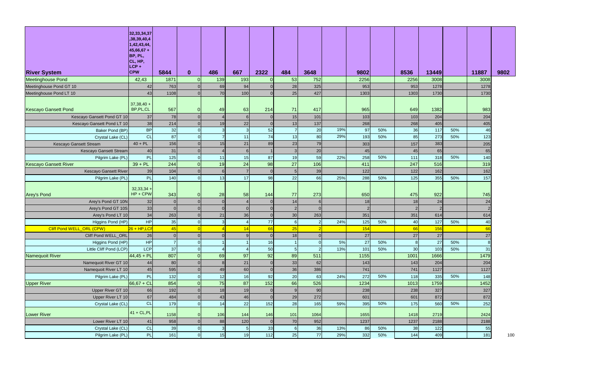| <b>River System</b>                        | 32, 33, 34, 37<br>,38,39,40,4<br>1,42,43,44,<br>$45,66,67 +$<br>BP, PL,<br>CL, HP,<br>LCP+<br><b>CPW</b> | 5844         | $\mathbf{0}$         | 486             | 667            | 2322                   | 484      | 3648      |     | 9802       |     | 8536          | 13449       |     | 11887       | 9802 |
|--------------------------------------------|----------------------------------------------------------------------------------------------------------|--------------|----------------------|-----------------|----------------|------------------------|----------|-----------|-----|------------|-----|---------------|-------------|-----|-------------|------|
| <b>Meetinghouse Pond</b>                   | 42,43                                                                                                    | 1871         | 0                    | 139             | 193            | $\overline{0}$         | 53       | 752       |     | 2256       |     | 2256          | 3008        |     | 3008        |      |
| Meetinghouse Pond GT 10                    | 42                                                                                                       | 763          |                      | 69              | 94             |                        | 28       | 325       |     | 953        |     | 953           | 1278        |     | 1278        |      |
| Meetinghouse Pond LT 10                    | 43                                                                                                       | 1108         | $\Omega$             | 70              | 100            |                        | 25       | 427       |     | 1303       |     | 1303          | 1730        |     | 1730        |      |
| <b>Kescayo Gansett Pond</b>                | $37,38,40+$<br>BP,PL,CL                                                                                  | 567          |                      | 49              | 63             | 214                    | 71       | 417       |     | 965        |     | 649           | 1382        |     | 983         |      |
| Kescayo Gansett Pond GT 10                 | 37                                                                                                       | 78           | $\Omega$             |                 |                | $\Omega$               | 15       | 101       |     | 103        |     | 103           | 204         |     | 204         |      |
| Kescayo Gansett Pond LT 10                 | 38                                                                                                       | 214          | $\Omega$             | 19              | 22             |                        | 13       | 137       |     | 268        |     | 268           | 405         |     | 405         |      |
| Baker Pond (BP)                            | <b>BP</b>                                                                                                | 32           | $\Omega$             |                 | 3              | 52                     |          | 20        | 19% | 97         | 50% | 36            | 117         | 50% | 46          |      |
| Crystal Lake (CL)                          | <b>CL</b>                                                                                                | 87           | $\Omega$             |                 | 11             | 74                     | 13       | 80        | 29% | 193        | 50% | 85            | 273         | 50% | 123         |      |
| Kescayo Gansett Stream                     | $40 + PL$                                                                                                | 156          | $\Omega$             | 15              | 21             | 89                     | 23       | 79        |     | 303        |     | 157           | 383         |     | 205         |      |
| Kescayo Gansett Stream                     | 40                                                                                                       | 31           | $\overline{0}$       |                 | 6              |                        |          | 20        |     | 45         |     | 45            | 65          |     | 65          |      |
| Pilgrim Lake (PL)                          | <b>PL</b>                                                                                                | 125          | $\Omega$             | 11              | 15             | 87                     | 19       | 59        | 22% | 258        | 50% | 111           | 318         | 50% | 140         |      |
| <b>Kescayo Gansett River</b>               | $39 + PL$                                                                                                | 244          | $\Omega$             | 19              | 24             | 98                     | 27       | 106       |     | 411        |     | 247           | 516         |     | 319         |      |
| <b>Kescayo Gansett River</b>               | 39                                                                                                       | 104          | $\Omega$             | $6\overline{6}$ |                | $\Omega$               |          | 39        |     | 122        |     | 122           | 162         |     | 162         |      |
| Pilgrim Lake (PL)<br><b>Arey's Pond</b>    | PL<br>$32,33,34 +$<br>$HP + CPW$                                                                         | 140<br>343   | $\Omega$             | 13<br>28        | 17<br>58       | 98 <sub>l</sub><br>144 | 22<br>77 | 66<br>273 | 25% | 288<br>650 | 50% | 125<br>475    | 355<br>922  | 50% | 157<br>745  |      |
| Arey's Pond GT 10N                         | 32                                                                                                       |              | $\Omega$             | $\Omega$        |                | $\Omega$               | 14       |           |     | 18         |     | 18            | 24          |     | 24          |      |
| Arey's Pond GT 10S                         | 33                                                                                                       |              | $\Omega$             |                 |                |                        |          |           |     | 2          |     | $\mathcal{P}$ |             |     |             |      |
| Arey's Pond LT 10                          | 34                                                                                                       | 263          | $\Omega$             | 21              | 36             | $\Omega$               | 30       | 263       |     | 351        |     | 351           | 614         |     | 614         |      |
| Higgins Pond (HP)                          | HP                                                                                                       | 35           | $\Omega$             | 3               |                | 77                     |          |           | 24% | 125        | 50% | 40            | 127         | 50% | 40          |      |
| Cliff Pond WELL_ORL (CPW)                  | $26 + HP, LCF$                                                                                           | 45           |                      |                 | 14             | 66                     | 25       |           |     | 154        |     | 66            | <b>156</b>  |     | 66          |      |
| Cliff Pond WELL_ORL                        | 26                                                                                                       | $\Omega$     | $\Omega$             | $\Omega$        | 9 <sub>l</sub> | $\Omega$               | 18       |           |     | 27         |     | 27            | 27          |     | 27          |      |
| Higgins Pond (HP)                          | HP                                                                                                       |              | $\Omega$             |                 |                | 16                     |          |           | 5%  | 27         | 50% | 8             | 27          | 50% |             |      |
| Little Cliff Pond (LCP)                    | <b>LCP</b>                                                                                               | 37           | $\Omega$<br>$\Omega$ |                 |                | 50<br>92               |          |           | 13% | 101        | 50% | 30            | 103         | 50% | 31          |      |
| <b>Namequoit River</b>                     | $44,45 + PL$                                                                                             | 807          |                      | 69<br>8         | 97             |                        | 89       | 511       |     | 1155       |     | 1001          | 1666        |     | 1479        |      |
| Namequoit River GT 10                      | 44                                                                                                       | 80           | $\Omega$<br>$\Omega$ |                 | 21             | $\Omega$               | 33<br>36 | 62        |     | 143        |     | 143           | 204         |     | 204         |      |
| Namequoit River LT 10<br>Pilgrim Lake (PL) | 45<br>PL                                                                                                 | 595<br>$132$ | $\Omega$             | 49<br>12        | 60<br>16       | 92                     | 20       | 386<br>63 | 24% | 741<br>272 | 50% | 741<br>118    | 1127<br>335 | 50% | 1127<br>148 |      |
|                                            | $66,67 + CL$                                                                                             | 854          | $\Omega$             | 75              | 87             | 152                    | 66       | 526       |     | 1234       |     | 1013          | 1759        |     | 1452        |      |
| <b>Upper River</b><br>Upper River GT 10    | 66                                                                                                       | 192          | $\Omega$             | 18              | 19             | $\Omega$               |          | 90        |     | 238        |     | 238           | 327         |     | 327         |      |
| Upper River LT 10                          | 67                                                                                                       | 484          | $\Omega$             | 43              | 46             |                        | 29       | 272       |     | 601        |     | 601           | 872         |     | 872         |      |
| Crystal Lake (CL)                          | CL                                                                                                       | 179          | $\Omega$             | 14              | 22             | 152                    | 28       | 165       | 59% | 395        | 50% | 175           | 560         | 50% | 252         |      |
| <b>Lower River</b>                         | $41 + CL, PL$                                                                                            | 1158         |                      | 106             | 144            | 146                    | 101      | 1064      |     | 1655       |     | 1418          | 2719        |     | 2424        |      |
| Lower River LT 10                          | 41                                                                                                       | 958          | $\Omega$             | 88              | 120            | $\Omega$               | 70       | 952       |     | 1237       |     | 1237          | 2188        |     | 2188        |      |
| Crystal Lake (CL)                          | CL                                                                                                       | 39           | $\mathbf 0$          | 3               |                | 33                     |          | 36        | 13% | 86         | 50% | 38            | 122         |     | 55          |      |
| Pilgrim Lake (PL)                          | PL                                                                                                       | 161          | $\Omega$             | 15              | 19             | $112$                  | 25       | 77        | 29% | 332        | 50% | 144           | 409         |     | 181         | 100  |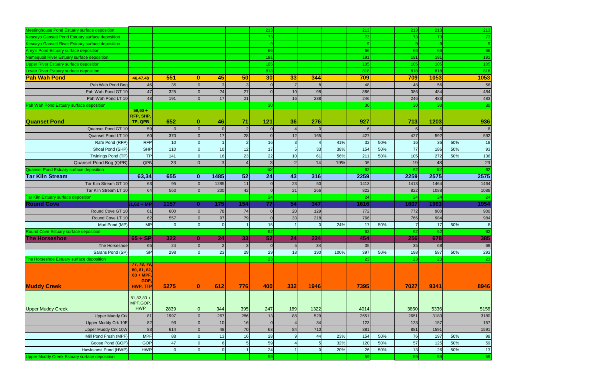| Meetinghouse Pond Estuary surface deposition        |                          |                 |              |      |                 | 213             |     |      |      | 213  |     | 213        | 213             |     | 213            |
|-----------------------------------------------------|--------------------------|-----------------|--------------|------|-----------------|-----------------|-----|------|------|------|-----|------------|-----------------|-----|----------------|
| Kescayo Gansett Pond Estuary surface deposition     |                          |                 |              |      |                 | 73              |     |      |      | 73   |     | 73         | 73              |     | -73            |
| Kescayo Gansett River Estuary surface deposition    |                          |                 |              |      |                 |                 |     |      |      |      |     |            | 9               |     |                |
| Arey's Pond Estuary surface deposition              |                          |                 |              |      |                 | 66              |     |      |      | 66   |     | 66         | 66              |     | 66             |
| Namequoit River Estuary surface deposition          |                          |                 |              |      |                 | 191             |     |      |      | 191  |     | 191        | 191             |     | 191            |
| <b>Upper River Estuary surface deposition</b>       |                          |                 |              |      |                 | 105             |     |      |      | 105  |     | 105        | 105             |     | 105            |
| Lower River Estuary surface deposition              |                          |                 |              |      |                 | 818             |     |      |      | 818  |     | 818        | 818             |     | 818            |
| <b>Pah Wah Pond</b>                                 | 46,47,48                 | 551             | $\mathbf{0}$ | 45   | 50              | 30 <sup>l</sup> | 33  | 344  |      | 709  |     | 709        | 1053            |     | 1053           |
| Pah Wah Pond Bog                                    | 46                       | 35              |              |      |                 |                 |     |      |      | 48   |     | 48         | 56              |     | 56             |
| Pah Wah Pond GT 10                                  | 47                       | 325             |              | 24   | 27              |                 | 10  | 98   |      | 386  |     | 386        | 484             |     | 484            |
| Pah Wah Pond LT 10                                  | 48                       | 191             |              | 17   | 21              |                 | 16  | 238  |      | 246  |     | 246        | 483             |     | 483            |
| Pah Wah Pond Estuary surface deposition             |                          |                 |              |      |                 | 30 <sup>1</sup> |     |      |      | 30   |     | 30         | 30 <sub>1</sub> |     | 30             |
|                                                     | $59,60 +$                |                 |              |      |                 |                 |     |      |      |      |     |            |                 |     |                |
|                                                     | RFP, SHP,                |                 |              |      |                 |                 |     |      |      |      |     |            |                 |     |                |
| <b>Quanset Pond</b>                                 | TP, QPB                  | 652             |              | 46   | 71              | 121             | 36  | 276  |      | 927  |     | 713        | 1203            |     | 936            |
| Quanset Pond GT 10                                  | 59                       |                 |              |      |                 |                 |     |      |      |      |     | 6          |                 |     | 6              |
| Quanset Pond LT 10                                  | 60                       | 370             |              | 17   | 28              |                 | 12  | 165  |      | 427  |     | 427        | 592             |     | 592            |
| Rafe Pond (RFP)                                     | <b>RFP</b>               | 10 <sup>1</sup> |              |      |                 | 16              |     |      | 41%  | 32   | 50% | 16         | 36              | 50% | 18             |
| Shoal Pond (SHP)                                    | <b>SHP</b>               | 110             |              | 10   | 12              | 17              |     | 33   | 38%  | 154  | 50% | 77         | 186             | 50% | 93             |
| Twinings Pond (TP)                                  | <b>TP</b>                | 141             |              | 16   | 23              | 22              | 10  | 61   | 56%  | 211  | 50% | 105        | 272             | 50% | 136            |
| Quanset Pond Bog (QPB)                              | QPB                      | 23              |              |      |                 |                 |     | 14   | 19%  | 35   |     | 19         | 48              |     | 29             |
| Quanset Pond Estuary surface deposition             |                          |                 |              |      |                 | 62              |     |      |      | 62   |     | 62         | 62              |     | 62             |
| <b>Tar Kiln Stream</b>                              | 63,34                    | 655             | 0            | 1485 | 52              | $\overline{24}$ | 43  | 316  |      | 2259 |     | 2259       | 2575            |     | 2575           |
| Tar Kiln Stream GT 10                               | 63                       | 95              |              | 1285 | 11              |                 | 23  | 50   |      | 1413 |     | 1413       | 1464            |     | 1464           |
| Tar Kiln Stream LT 10                               | 64                       | 560             |              | 200  | 42              |                 | 21  | 266  |      | 822  |     | 822        | 1088            |     | 1088           |
| <b>Tar Kiln Estuary surface deposition</b>          |                          |                 |              |      |                 | 24              |     |      |      | 24   |     | 24         | 24              |     | 24             |
| <b>Round Cove</b>                                   | $61,62 + MP$             | 1157            |              | 175  | 154             | 77              | 54  | 347  |      | 1616 |     | 1607       | 1963            |     | 1954           |
| Round Cove GT 10                                    | 61                       | 600             |              | 78   | 74              |                 | 20  | 129  |      | 772  |     | 772        | 900             |     | 900            |
| Round Cove LT 10                                    | 62                       | 557             |              | 97   | 79              |                 | 33  | 218  |      | 766  |     | 766        | 984             |     | 984            |
| Mud Pond (MP)                                       | <b>MP</b>                |                 |              |      |                 | 15              |     |      | 24%  | 17   | 50% | 7          | 17              | 50% | 8 <sup>8</sup> |
| <b>Round Cove Estuary surface deposition</b>        |                          |                 |              |      |                 | 62              |     |      |      | -62  |     | 62         | 62              |     | 62             |
| <b>The Horseshoe</b>                                | $65 + SP$                | 322             | 0            | 24   | 33 <sup>1</sup> | 52              | 24  | 224  |      | 454  |     | <b>256</b> | 678             |     | 385            |
| The Horseshoe                                       | 65                       | 24              |              |      |                 |                 |     | 34   |      | 35   |     | 35         | 68              |     | 68             |
| Sarahs Pond (SP)                                    | <b>SP</b>                | 298             |              | 23   | 29              | 29              | 18  | 190  | 100% | 397  | 50% | 198        | 587             | 50% | 293            |
| The Horseshoe Estuary surface deposition            |                          |                 |              |      |                 | 23              |     |      |      | 23   |     | 23         | 23              |     | 23             |
|                                                     | 77, 78, 79,              |                 |              |      |                 |                 |     |      |      |      |     |            |                 |     |                |
|                                                     | 80, 81, 82,              |                 |              |      |                 |                 |     |      |      |      |     |            |                 |     |                |
|                                                     | $83 + MPF$<br><b>GOP</b> |                 |              |      |                 |                 |     |      |      |      |     |            |                 |     |                |
| <b>Muddy Creek</b>                                  | HWP, TTP                 | 5275            |              | 612  | 776             | 400             | 332 | 1946 |      | 7395 |     | 7027       | 9341            |     | 8946           |
|                                                     |                          |                 |              |      |                 |                 |     |      |      |      |     |            |                 |     |                |
|                                                     | $81,82,83+$              |                 |              |      |                 |                 |     |      |      |      |     |            |                 |     |                |
|                                                     | MPF, GOP,<br><b>HWP</b>  |                 |              |      |                 |                 |     |      |      |      |     |            |                 |     |                |
| <b>Upper Muddy Creek</b>                            |                          | 2839            | $\Omega$     | 344  | 395             | 247             | 189 | 1322 |      | 4014 |     | 3860       | 5336            |     | 5156           |
| <b>Upper Muddy Crk</b>                              | 81                       | 1997            |              | 267  | 286             | 13              | 88  | 529  |      | 2651 |     | 2651       | 3180            |     | 3180           |
| Upper Muddy Crk 10E                                 | 82                       | 93              |              | 10   | 16              |                 |     | 34   |      | 123  |     | 123        | 157             |     | 157            |
| <b>Upper Muddy Crk 10W</b>                          | 83                       | 614             |              | 48   | 70              | 63              | 84  | 710  |      | 881  |     | 881        | 1591            |     | 1591           |
| Mill Pond Fresh (MPF)                               | <b>MPF</b>               | 88              |              | 13   | 16              | 28              |     | 44   | 23%  | 154  | 50% | 76         | 197             | 50% | 98             |
| Goose Pond (GOP)                                    | <b>GOP</b>               | 47              |              |      |                 | 59              |     |      | 32%  | 120  | 50% | 57         | 125             | 50% | 59             |
| Hawksnest Pond (HWP)                                | <b>HWP</b>               | 0               | $\Omega$     |      |                 | 24              |     |      | 20%  | 26   | 50% | 13         | 26              | 50% | 13             |
| <b>Upper Muddy Creek Estuary surface deposition</b> |                          |                 |              |      |                 | 59              |     |      |      | 59   |     | 59         | 59              |     | 59             |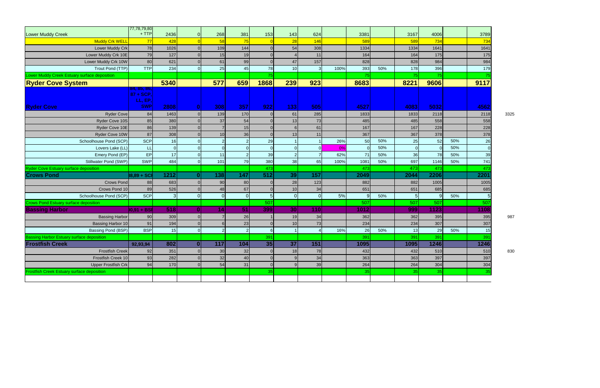|                                                   | 77,78,79,80                         |      |                |                  |     |          |                 |                |      |      |     |      |          |     |      |      |
|---------------------------------------------------|-------------------------------------|------|----------------|------------------|-----|----------|-----------------|----------------|------|------|-----|------|----------|-----|------|------|
| <b>Lower Muddy Creek</b>                          | $+$ TTP                             | 2436 | $\overline{0}$ | 268              | 381 | 153      | 143             | 624            |      | 3381 |     | 3167 | 4006     |     | 3789 |      |
| <b>Muddy Crk WELL</b>                             | 77                                  | 428  |                | 58               | 75  |          | 28              | 146            |      | 589  |     | 589  | 734      |     | 734  |      |
| Lower Muddy Crk                                   | 78                                  | 1026 | $\Omega$       | 109              | 144 |          | 54              | 308            |      | 1334 |     | 1334 | 1641     |     | 1641 |      |
| Lower Muddy Crk 10E                               | 79                                  | 127  | $\Omega$       | 15               | 19  |          |                 | 11             |      | 164  |     | 164  | 175      |     | 175  |      |
| Lower Muddy Crk 10W                               | 80                                  | 621  | $\Omega$       | 61               | 99  |          | 47              | 157            |      | 828  |     | 828  | 984      |     | 984  |      |
| Trout Pond (TTP)                                  | <b>TTP</b>                          | 234  | $\Omega$       | 25               | 45  | 78       | 10              | <sup>3</sup>   | 100% | 393  | 50% | 178  | 396      |     | 179  |      |
| Lower Muddy Creek Estuary surface deposition      |                                     |      |                |                  |     | 75       |                 |                |      | 75   |     | 75   | 75       |     |      |      |
| <b>Ryder Cove System</b>                          |                                     | 5340 |                | 577              | 659 | 1868     | 239             | 923            |      | 8683 |     | 8221 | 9606     |     | 9117 |      |
|                                                   | 84, 85, 86,<br>87 + SCP,<br>LL, EP, |      |                |                  |     |          |                 |                |      |      |     |      |          |     |      |      |
| <b>Ryder Cove</b>                                 | <b>SWP</b>                          | 2808 | 0              | 308              | 357 | 922      | 133             | 505            |      | 4527 |     | 4083 | 5032     |     | 4562 |      |
| <b>Ryder Cove</b>                                 | 84                                  | 1463 | $\overline{0}$ | 139              | 170 |          | 61              | 285            |      | 1833 |     | 1833 | 2118     |     | 2118 | 3325 |
| Ryder Cove 10S                                    | 85                                  | 380  |                | 37               | 54  |          | 13              | 73             |      | 485  |     | 485  | 558      |     | 558  |      |
| Ryder Cove 10E                                    | 86                                  | 139  | $\Omega$       |                  | 15  |          |                 | 61             |      | 167  |     | 167  | 228      |     | 228  |      |
| Ryder Cove 10W                                    | 87                                  | 308  |                | 10               | 36  |          | 13              | 11             |      | 367  |     | 367  | 378      |     | 378  |      |
| Schoolhouse Pond (SCP)                            | <b>SCP</b>                          | 16   | $\Omega$       |                  |     | 29       |                 |                | 26%  | 50   | 50% | 25   | 52       | 50% | 26   |      |
| Lovers Lake (LL)                                  | H                                   |      | $\Omega$       | $\Omega$         |     |          |                 | $\Omega$       | 0%   |      | 50% |      | $\Omega$ | 50% |      |      |
| Emery Pond (EP)                                   | EP                                  | 17   | $\overline{0}$ | 11               |     | 39       |                 |                | 62%  | 71   | 50% | 36   | 78       | 50% | 39   |      |
| Stillwater Pond (SWP)                             | SWP                                 | 484  | $\Omega$       | 101              | 79  | 380      | 38              | 65             | 100% | 1081 | 50% | 697  | 1146     | 50% | 741  |      |
| <b>Ryder Cove Estuary surface deposition</b>      |                                     |      |                |                  |     | 473      |                 |                |      | 473  |     | 473  | 473      |     | 473  |      |
| <b>Crows Pond</b>                                 | 88,89 + SCI                         | 1212 | 0              | 138              | 147 | 512      | 39              | 157            |      | 2049 |     | 2044 | 2206     |     | 2201 |      |
| <b>Crows Pond</b>                                 | 88                                  | 683  | $\Omega$       | 90               | 80  |          | 28              | 123            |      | 882  |     | 882  | 1005     |     | 1005 |      |
| Crows Pond 10                                     | 89                                  | 526  |                | 48               | 67  |          | 10              | 34             |      | 651  |     | 651  | 685      |     | 685  |      |
| Schoolhouse Pond (SCP)                            | <b>SCP</b>                          |      | $\overline{0}$ | $\Omega$         | ∩   | 5        |                 | $\overline{0}$ | 5%   | 9    | 50% |      | 9        | 50% |      |      |
| <b>Crows Pond Estuary surface deposition</b>      |                                     |      |                |                  |     | 507      |                 |                |      | 507  |     | 507  | 507      |     | 507  |      |
| <b>Bassing Harbor</b>                             | 0,91 + BSF                          | 518  | $\mathbf{0}$   | 14               | 51  | 399      | 30 <sup>1</sup> | 110            |      | 1012 |     | 999  | 1123     |     | 1108 |      |
| <b>Bassing Harbor</b>                             | 90                                  | 309  | $\overline{0}$ |                  | 26  |          | 19              | 34             |      | 362  |     | 362  | 395      |     | 395  | 987  |
| Bassing Harbor 10                                 | 91                                  | 194  | $\Omega$       |                  | 23  |          | 10              | 73             |      | 234  |     | 234  | 307      |     | 307  |      |
| Bassing Pond (BSP)                                | <b>BSP</b>                          | 15   | $\Omega$       |                  |     |          |                 |                | 16%  | 26   | 50% | 13   | 29       | 50% | 15   |      |
| Bassing Harbor Estuary surface deposition         |                                     |      |                |                  |     | 391      |                 |                |      | 391  |     | 391  | 391      |     | 39'  |      |
| <b>Frostfish Creek</b>                            | 92,93,94                            | 802  | $\mathbf{0}$   | $\overline{117}$ | 104 | 35       | 37              | 151            |      | 1095 |     | 1095 | 1246     |     | 1246 |      |
| <b>Frostfish Creek</b>                            | 92                                  | 351  | $\overline{0}$ | 30               | 32  |          | 18              | 78             |      | 432  |     | 432  | 510      |     | 510  | 830  |
| Frostfish Creek 10                                | 93                                  | 282  | $\Omega$       | 32               | 40  |          |                 | 34             |      | 363  |     | 363  | 397      |     | 397  |      |
| <b>Upper Frostfish Crk</b>                        | 94                                  | 170  | $\overline{0}$ | 54               | 31  | $\Omega$ |                 | 39             |      | 264  |     | 264  | 304      |     | 304  |      |
| <b>Frostfish Creek Estuary surface deposition</b> |                                     |      |                |                  |     | 35       |                 |                |      | 35   |     | 35   | 35       |     | 35   |      |
|                                                   |                                     |      |                |                  |     |          |                 |                |      |      |     |      |          |     |      |      |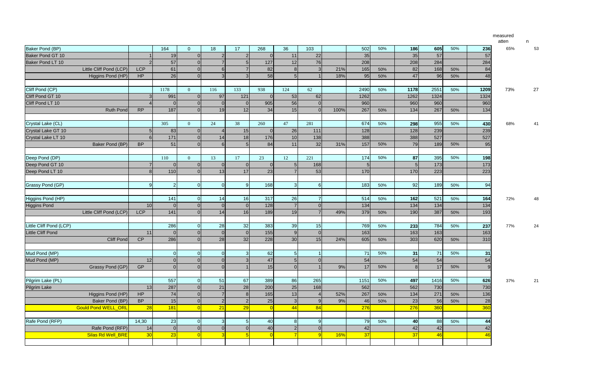| measured<br>atten | n |    |
|-------------------|---|----|
| 65%               |   | 53 |
| 73%               |   | 27 |
| 68%               |   | 41 |
|                   |   |    |
| 72%               |   | 48 |
| 77%               |   | 24 |
| 37%               |   | 21 |

| Baker Pond (BP)            |                | 164            | $\overline{0}$ | 18             | 17             | 268 | 36             | 103 |      | 502  | 50% | 186            | 605  | 50% | 236  | 65% | 53 |
|----------------------------|----------------|----------------|----------------|----------------|----------------|-----|----------------|-----|------|------|-----|----------------|------|-----|------|-----|----|
| Baker Pond GT 10           |                | 19             |                |                |                |     | 11             | 22  |      | 35   |     | 35             | 57   |     | 57   |     |    |
| Baker Pond LT 10           |                | 57             |                |                |                | 127 | 12             | 76  |      | 208  |     | 208            | 284  |     | 284  |     |    |
| Little Cliff Pond (LCP)    | <b>LCP</b>     | 61             |                |                |                | 82  | 8              |     | 21%  | 165  | 50% | 82             | 168  | 50% | 84   |     |    |
| Higgins Pond (HP)          | HP             | 26             |                |                |                | 58  |                |     | 18%  | 95   | 50% | 47             | 96   | 50% | 48   |     |    |
|                            |                |                |                |                |                |     |                |     |      |      |     |                |      |     |      |     |    |
| Cliff Pond (CP)            |                | 1178           | $\Omega$       | 116            | 133            | 938 | 124            | 62  |      | 2490 | 50% | 1178           | 2551 | 50% | 1209 | 73% | 27 |
| Cliff Pond GT 10           |                | 991            |                | 97             | 121            |     | 53             | 62  |      | 1262 |     | 1262           | 1324 |     | 1324 |     |    |
| Cliff Pond LT 10           |                |                |                |                |                | 905 | 56             |     |      | 960  |     | 960            | 960  |     | 960  |     |    |
| <b>Ruth Pond</b>           | <b>RP</b>      | 187            |                | 19             | 12             | 34  | 15             |     | 100% | 267  | 50% | 134            | 267  | 50% | 134  |     |    |
|                            |                |                |                |                |                |     |                |     |      |      |     |                |      |     |      |     |    |
| Crystal Lake (CL)          |                | 305            | $\Omega$       | 24             | 38             | 260 | 47             | 281 |      | 674  | 50% | 298            | 955  | 50% | 430  | 68% | 41 |
| Crystal Lake GT 10         |                | 83             |                |                | 15             |     | 26             | 111 |      | 128  |     | 128            | 239  |     | 239  |     |    |
| Crystal Lake LT 10         | 61             | 171            |                | 14             | 18             | 176 | 10             | 138 |      | 388  |     | 388            | 527  |     | 527  |     |    |
| Baker Pond (BP)            | <b>BP</b>      | 51             |                |                |                | 84  | 11             | 32  | 31%  | 157  | 50% | <b>79</b>      | 189  | 50% | 95   |     |    |
|                            |                |                |                |                |                |     |                |     |      |      |     |                |      |     |      |     |    |
| Deep Pond (DP)             |                | 110            | $\Omega$       | 13             | 17             | 23  | 12             | 221 |      | 174  | 50% | 87             | 395  | 50% | 198  |     |    |
| Deep Pond GT 10            |                |                |                |                |                |     |                | 168 |      |      |     | 5              | 173  |     | 173  |     |    |
| Deep Pond LT 10            |                | 110            |                | 13             | 17             | 23  |                | 53  |      | 170  |     | 170            | 223  |     | 223  |     |    |
|                            |                |                |                |                |                |     |                |     |      |      |     |                |      |     |      |     |    |
| Grassy Pond (GP)           | 9 <sub>l</sub> |                | 0I             |                | $\Omega$       | 168 |                |     |      | 183  | 50% | 92             | 189  | 50% | 94   |     |    |
|                            |                |                |                |                |                |     |                |     |      |      |     |                |      |     |      |     |    |
| Higgins Pond (HP)          |                | 141            | $\Omega$       | 14             | 16             | 317 | 26             |     |      | 514  | 50% | 162            | 521  | 50% | 164  | 72% | 48 |
| <b>Higgins Pond</b>        | 10             |                |                |                |                | 128 |                |     |      | 134  |     | 134            | 134  |     | 134  |     |    |
| Little Cliff Pond (LCP)    | <b>LCP</b>     | 141            |                | 14             | 16             | 189 | 19             |     | 49%  | 379  | 50% | 190            | 387  | 50% | 193  |     |    |
|                            |                |                |                |                |                |     |                |     |      |      |     |                |      |     |      |     |    |
| Little Cliff Pond (LCP)    |                | 286            |                | 28             | 32             | 383 | 39             | 15  |      | 769  | 50% | 233            | 784  | 50% | 237  | 77% | 24 |
| <b>Little Cliff Pond</b>   | 11             |                |                |                | $\Omega$       | 155 | 9 <sub>l</sub> |     |      | 163  |     | 163            | 163  |     | 163  |     |    |
| <b>Cliff Pond</b>          | CP             | 286            |                | 28             | 32             | 228 | 30             | 15  | 24%  | 605  | 50% | 303            | 620  | 50% | 310  |     |    |
|                            |                |                |                |                |                |     |                |     |      |      |     |                |      |     |      |     |    |
| Mud Pond (MP)              |                |                | 0              | <sup>0</sup>   | 3 <sup>l</sup> | 62  | 5 <sup>1</sup> |     |      | 71   | 50% | 31             | 71   | 50% | 31   |     |    |
| Mud Pond (MP)              | 12             | $\overline{0}$ |                |                | 3              | 47  | 5 <sub>1</sub> |     |      | 54   |     | 54             | 54   |     | 54   |     |    |
| Grassy Pond (GP)           | <b>GP</b>      |                |                |                |                | 15  |                |     | 9%   | 17   | 50% | 8 <sup>1</sup> | 17   | 50% |      |     |    |
|                            |                |                |                |                |                |     |                |     |      |      |     |                |      |     |      |     |    |
| Pilgrim Lake (PL)          |                | 557            |                | 51             | 67             | 389 | 86             | 265 |      | 1151 | 50% | 497            | 1416 | 50% | 626  | 37% | 21 |
| Pilgrim Lake               | 13             | 287            |                | 21             | 28             | 200 | 25             | 168 |      | 562  |     | 562            | 730  |     | 730  |     |    |
| Higgins Pond (HP)          | HP             | 74             |                |                |                | 165 | 13             |     | 52%  | 267  | 50% | 134            | 271  | 50% | 136  |     |    |
| Baker Pond (BP)            | <b>BP</b>      | 15             |                |                |                | 25  |                |     | 9%   | 46   | 50% | 23             | 56   | 50% | 28   |     |    |
| <b>Gould Pond WELL_ORL</b> | 28             | 181            |                | 21             | 29             |     | 44             | 84  |      | 276  |     | 276            | 360  |     | 360  |     |    |
|                            |                |                |                |                |                |     |                |     |      |      |     |                |      |     |      |     |    |
| Rafe Pond (RFP)            | 14,30          | 23             | $\Omega$       | 3 <sup>l</sup> |                | 40  | 8              |     |      | 79   | 50% | 40             | 88   | 50% | 44   |     |    |
| Rafe Pond (RFP)            | 14             |                |                |                |                | 40  |                |     |      | 42   |     | 42             | 42   |     | 42   |     |    |
| Silas Rd Well_BRE          | 30             | 23             |                |                |                |     |                |     | 16%  | 37   |     | 37             | 46   |     | 46   |     |    |
|                            |                |                |                |                |                |     |                |     |      |      |     |                |      |     |      |     |    |
|                            |                |                |                |                |                |     |                |     |      |      |     |                |      |     |      |     |    |

| 605             | 50% | 236  |
|-----------------|-----|------|
| 57              |     | 57   |
| 284             |     | 284  |
| 168             | 50% | 84   |
| 96              | 50% | 48   |
|                 |     |      |
| 2551            | 50% | 1209 |
| 1324            |     | 1324 |
| 960             |     | 960  |
| 267             | 50% | 134  |
|                 |     |      |
| 955             | 50% | 430  |
| 239             |     | 239  |
| 527             |     | 527  |
| 189             | 50% | 95   |
|                 |     |      |
| 395             | 50% | 198  |
| 173             |     | 173  |
| 223             |     | 223  |
|                 |     |      |
| 189             | 50% | 94   |
|                 |     |      |
| 521             | 50% | 164  |
| 134             |     | 134  |
| 387             | 50% | 193  |
|                 |     |      |
| 784             | 50% | 237  |
| 163             |     | 163  |
| 620             | 50% | 310  |
|                 |     |      |
| $\overline{71}$ | 50% | 31   |
| 54              |     | 54   |
| 17              | 50% | 9    |
|                 |     |      |
| 1416            | 50% | 626  |
| 730             |     | 730  |
| 271             | 50% | 136  |
| 56              | 50% | 28   |
| 360             |     | 360  |
|                 |     |      |
| 88              | 50% | 44   |
| 42              |     | 42   |
| 46              |     | 46   |
|                 |     |      |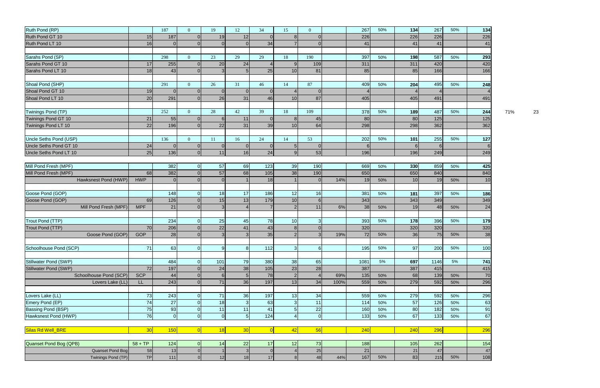| Ruth Pond (RP)             |                 | 187      | $\Omega$       | 19            | 12              | 34       | 15              | $\Omega$       |      | 267  | 50% | 134      | 267    | 50% | 134 |     |    |
|----------------------------|-----------------|----------|----------------|---------------|-----------------|----------|-----------------|----------------|------|------|-----|----------|--------|-----|-----|-----|----|
| Ruth Pond GT 10            | 15              | 187      | $\Omega$       | 19            | 12              |          | 8               |                |      | 226  |     | 226      | 226    |     | 226 |     |    |
| Ruth Pond LT 10            | 16              |          |                |               |                 | 34       |                 |                |      | 41   |     | 41       | 41     |     | 41  |     |    |
|                            |                 |          |                |               |                 |          |                 |                |      |      |     |          |        |     |     |     |    |
| Sarahs Pond (SP)           |                 | 298      | $\Omega$       | 23            | 29              | 29       | 18              | 190            |      | 397  | 50% | 198      | 587    | 50% | 293 |     |    |
| Sarahs Pond GT 10          | 17              | 255      |                | 20            | 24              |          | $\mathbf Q$     | 109            |      | 311  |     | 311      | 420    |     | 420 |     |    |
| Sarahs Pond LT 10          | 18              | 43       |                |               |                 | 25       | 10              | 81             |      | 85   |     | 85       | 166    |     | 166 |     |    |
|                            |                 |          |                |               |                 |          |                 |                |      |      |     |          |        |     |     |     |    |
| Shoal Pond (SHP)           |                 | 291      | $\Omega$       | 26            | 31              | 46       | 14              | 87             |      | 409  | 50% | 204      | 495    | 50% | 248 |     |    |
| Shoal Pond GT 10           | 19              |          | $\Omega$       |               |                 |          |                 |                |      |      |     |          |        |     |     |     |    |
| Shoal Pond LT 10           | 20              | 291      |                | 26            | 31              | 46       | 10              | 87             |      | 405  |     | 405      | 491    |     | 491 |     |    |
|                            |                 |          |                |               |                 |          |                 |                |      |      |     |          |        |     |     |     |    |
| Twinings Pond (TP)         |                 | 252      | $\Omega$       | 28            | 42              | 39       | 18              | 109            |      | 378  | 50% | 189      | 487    | 50% | 244 | 71% | 23 |
| <b>Twinings Pond GT 10</b> | 21              | 55       | $\Omega$       |               | 11              |          | 8               | 45             |      | 80   |     | 80       | 125    |     | 125 |     |    |
| Twinings Pond LT 10        | 22              | 196      |                | 22            | 31              | 39       | 10 <sup>1</sup> | 64             |      | 298  |     | 298      | 362    |     | 362 |     |    |
|                            |                 |          |                |               |                 |          |                 |                |      |      |     |          |        |     |     |     |    |
| Uncle Seths Pond (USP)     |                 | 136      | $\Omega$       | <sup>11</sup> | 16              | 24       | 14              | 53             |      | 202  | 50% | 101      | 255    | 50% | 127 |     |    |
| Uncle Seths Pond GT 10     | 24              |          | $\Omega$       |               |                 |          | 5               |                |      | 6    |     | $6 \mid$ | 6      |     |     |     |    |
| Uncle Seths Pond LT 10     | 25              | 136      | $\Omega$       | 11            | 16              | 24       | $\mathbf{Q}$    | 53             |      | 196  |     | 196      | 249    |     | 249 |     |    |
|                            |                 |          |                |               |                 |          |                 |                |      |      |     |          |        |     |     |     |    |
| Mill Pond Fresh (MPF)      |                 | 382      | $\overline{0}$ | 57            | 69              | 123      | 39              | 190            |      | 669  | 50% | 330      | 859    | 50% | 425 |     |    |
| Mill Pond Fresh (MPF)      | 68              | 382      |                | 57            | 68              | 105      | 38              | 190            |      | 650  |     | 650      | 840    |     | 840 |     |    |
| Hawksnest Pond (HWP)       | <b>HWP</b>      |          |                |               |                 | 18       |                 | $\Omega$       | 14%  | 19   | 50% | 10       | 19     | 50% | 10  |     |    |
|                            |                 |          |                |               |                 |          |                 |                |      |      |     |          |        |     |     |     |    |
| Goose Pond (GOP)           |                 | 148      | 0              | 18            | 17              | 186      | 12              | 16             |      | 381  | 50% | 181      | 397    | 50% | 186 |     |    |
| Goose Pond (GOP)           | 69              | 126      |                | 15            | 13              | 179      | 10              | 6              |      | 343  |     | 343      | 349    |     | 349 |     |    |
| Mill Pond Fresh (MPF)      | <b>MPF</b>      | 21       |                |               |                 |          | $\overline{2}$  | 11             | 6%   | 38   | 50% | 19       | 48     | 50% | 24  |     |    |
|                            |                 |          |                |               |                 |          |                 |                |      |      |     |          |        |     |     |     |    |
| Trout Pond (TTP)           |                 | 234      | $\Omega$       | 25            | 45              | 78       | 10              |                |      | 393  | 50% | 178      | 396    | 50% | 179 |     |    |
| Trout Pond (TTP)           | 70              | 206      |                | 22            | 41              | 43       |                 |                |      | 320  |     | 320      | 320    |     | 320 |     |    |
| Goose Pond (GOP)           | <b>GOP</b>      | 28       | $\overline{O}$ | 3             | 3 <sup>1</sup>  | 35       | $2 \vert$       | 3 <sup>1</sup> | 19%  | 72   | 50% | 36       | 75     | 50% | 38  |     |    |
|                            |                 |          |                |               |                 |          |                 |                |      |      |     |          |        |     |     |     |    |
| Schoolhouse Pond (SCP)     | 71              | 63       | $\overline{O}$ |               | 8               | 112      | 3 <sup>l</sup>  | 6              |      | 195  | 50% | 97       | 200    | 50% | 100 |     |    |
|                            |                 |          |                |               |                 |          |                 |                |      |      |     |          |        |     |     |     |    |
| Stillwater Pond (SWP)      |                 | 484      | $\Omega$       | 101           | 79              | 380      | 38              | 65             |      | 1081 | 5%  | 697      | 1146   | 5%  | 741 |     |    |
| Stillwater Pond (SWP)      | 72              | 197      |                | 24            | 38              | 105      | 23              | 28             |      | 387  |     | 387      | 415    |     | 415 |     |    |
| Schoolhouse Pond (SCP)     | <b>SCP</b>      | 44       |                |               | 5               | 78       | 2               |                | 69%  | 135  | 50% | 68       | 139    | 50% | 70  |     |    |
| Lovers Lake (LL)           | LL.             | 243      | $\Omega$       | 71            | 36              | 197      | 13              | 34             | 100% | 559  | 50% | 279      | 592    | 50% | 296 |     |    |
|                            |                 |          |                |               |                 |          |                 |                |      |      |     |          |        |     |     |     |    |
| Lovers Lake (LL)           | 73              | 243      | $\overline{0}$ | 71            | 36              | 197      | 13              | 34             |      | 559  | 50% | 279      | 592    | 50% | 296 |     |    |
| Emery Pond (EP)            | 74              | 27       |                | 18            | 3               | 63       | 3               | 11             |      | 114  | 50% | 57       | 126    | 50% | 63  |     |    |
| Bassing Pond (BSP)         | 75              | 93       | 0              | 11            | 11              | 41       | 5               | 22             |      | 160  | 50% | 80       | 182    | 50% | 91  |     |    |
| Hawksnest Pond (HWP)       | 76              | $\Omega$ | $\overline{0}$ | $\Omega$      | 5 <sup>1</sup>  | 124      |                 | $\overline{0}$ |      | 133  | 50% | 67       | $133$  | 50% | 67  |     |    |
|                            |                 |          |                |               |                 |          |                 |                |      |      |     |          |        |     |     |     |    |
| Silas Rd Well_BRE          | 30 <sub>o</sub> | 150      | $\overline{0}$ | 18            | 30 <sup>l</sup> | $\Omega$ | 42              | 56             |      | 240  |     | 240      | 296    |     | 296 |     |    |
|                            |                 |          |                |               |                 |          |                 |                |      |      |     |          |        |     |     |     |    |
| Quanset Pond Bog (QPB)     | $58 + TP$       | 124      |                | 14            | 22              | 17       | 12              | 73             |      | 188  |     | 105      | 262    |     | 154 |     |    |
| Quanset Pond Bog           | 58              | 13       |                |               |                 |          |                 | 25             |      | 21   |     | 21       | $47\,$ |     | 47  |     |    |
| Twinings Pond (TP)         | TP              | 111      |                | 12            | 18              | 17       | R               | 48             | 44%  | 167  | 50% | 83       | 215    | 50% | 108 |     |    |
|                            |                 |          |                |               |                 |          |                 |                |      |      |     |          |        |     |     |     |    |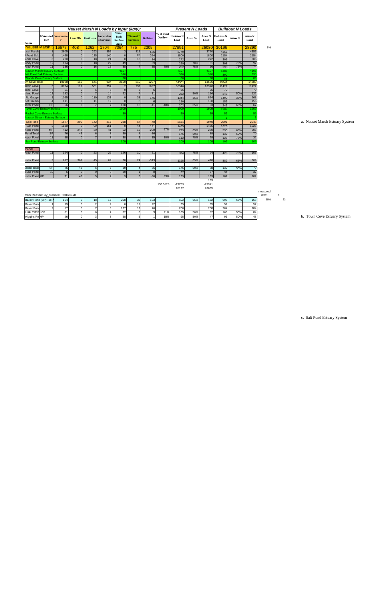|                          |                                       |            |                       |                              | <b>Nauset Marsh N Loads by Input (kg/y):</b> |                                                |                              |                 |                      |                          | <b>Present N Loads</b> |                        |                          | <b>Buildout N Loads</b> |                        |                   |    |                                |
|--------------------------|---------------------------------------|------------|-----------------------|------------------------------|----------------------------------------------|------------------------------------------------|------------------------------|-----------------|----------------------|--------------------------|------------------------|------------------------|--------------------------|-------------------------|------------------------|-------------------|----|--------------------------------|
| <b>Name</b>              | <b>Watershed Wastewate</b><br>ID#     |            |                       | <b>Landfills</b> Fertilizers | <b>Imperviou</b><br>s Surfaces               | Water<br><b>Body</b><br><b>Surface</b><br>Area | 'Natural'<br><b>Surfaces</b> | <b>Buildout</b> | % of Pond<br>Outflow | <b>UnAtten N</b><br>Load | Atten %                | <b>Atten N</b><br>Load | <b>UnAtten N</b><br>Load | Atten %                 | <b>Atten N</b><br>Load |                   |    |                                |
|                          | <b>Nauset Marsh S</b>                 | 16677      | 408                   | 1262                         | 1704                                         | 7064                                           | 775                          | 2305            |                      | 27891                    |                        | 26080                  | 30196                    |                         | 28390                  | 8%                |    |                                |
| uset Marsh               |                                       | 2805       | -OI                   | 293                          | 355                                          | 3                                              | 315                          | 586             |                      | 3770                     |                        | 3770                   | 4356                     |                         | 4356                   |                   |    |                                |
| I Pond Salt              | $\bf{8}$                              | 1468       | $\overline{0}$        | 135                          | 140                                          |                                                | 57                           | 354             |                      | 1800                     |                        | 1800                   | 2154                     |                         | 2154                   |                   |    |                                |
| oods Cove                | 6                                     | 220        | <sup>o</sup>          | 18                           | 21                                           |                                                | 13                           | 34              |                      | 272                      |                        | 272                    | 305                      |                         | 305                    |                   |    |                                |
| luddy Pond               | 12                                    | 174        |                       | 18                           | 22                                           | 49                                             | $6 \overline{6}$             | 39              |                      | 269                      | 70%                    | 81                     | 308                      | 70%                     | 92                     |                   |    |                                |
| Pepot Pond               | 11                                    | 136        | $\Omega$              | 16                           | 15                                           | 88                                             | $\overline{7}$               | 35              | 70%                  | 262                      | 75%                    | 66                     | 298                      | 75%                     | 74                     |                   |    |                                |
|                          | <b>Nauset Marsh Estuary Surface</b>   |            |                       |                              |                                              | 4107                                           |                              |                 |                      | 4107                     |                        | 4107                   | 4107                     |                         | 4107                   |                   |    |                                |
|                          | <b>Mill Pond Salt Estuary Surface</b> |            |                       |                              |                                              | 390                                            |                              |                 |                      | 390                      |                        | 390                    | 390                      |                         | 390                    |                   |    |                                |
| wn Cove Total            | <b>Woods Cove Estuary Surface</b>     | 10198      | 119                   | 641                          | 934                                          | 88 <br>2100                                    | 310                          | 1297            |                      | 88                       |                        | 88<br>13566            | 88                       |                         | 8<br>14780             |                   |    |                                |
| Town Cove                |                                       |            |                       |                              |                                              |                                                |                              |                 |                      | 14301                    |                        |                        | 18942                    |                         |                        |                   |    |                                |
| achel Cove               | 5<br>$\overline{7}$                   | 8724<br>51 | 119<br>$\overline{0}$ | 501                          | 757                                          | $\overline{2}$                                 | 239<br>3                     | 1087            |                      | 10340                    |                        | 10340<br>65            | 11427<br>70              |                         | 11427<br>70            |                   |    |                                |
| bland Pond               | 13                                    | 182        | 0                     |                              | 14                                           | 22                                             | 7 <sup>1</sup>               | 11              |                      | 65<br>232                | 50%                    | 116                    | 243                      | 50%                     | $\overline{122}$       |                   |    |                                |
| Rd Gauge                 | 3                                     | 1065       | $\overline{0}$        | $110$                        | $\boxed{131}$                                | $\Omega$                                       | 38                           | 146             |                      | 1344                     | 35%                    | 874                    | 1490                     | 35%                     | 968                    |                   |    |                                |
| set Stream               | $\vert$ 4                             | $111$      | <sup>o</sup>          | 11                           | 19                                           |                                                | $\overline{8}$               |                 |                      | 150                      |                        | 150                    | 156                      |                         | 156                    |                   |    |                                |
| <b>Baker Pond</b>        | <b>BP</b>                             | 66         | $\Omega$              | $\overline{7}$               |                                              | 108                                            | 15                           | 41              | 40%                  | 202                      | 65%                    | 53                     | 243                      | 65%                     | 67                     |                   |    |                                |
|                          | <b>Town Cove Estuary Surface</b>      |            |                       |                              |                                              | 1909                                           |                              |                 |                      | 1909                     |                        | 1909                   | 1909                     |                         | 190                    |                   |    |                                |
|                          | <b>Rachel Cove Estuary Surface</b>    |            |                       |                              |                                              | 59                                             |                              |                 |                      | 59                       |                        | 59                     | 59                       |                         | 59                     |                   |    |                                |
|                          | <b>Nauset Stream Estuary Surface</b>  |            |                       |                              |                                              |                                                |                              |                 |                      |                          |                        |                        |                          |                         |                        |                   |    |                                |
| Salt Pond                |                                       | 1677       | 290                   | 142                          | 217                                          | 238                                            | 67                           | $-40$           |                      | 2631                     |                        | 1940                   | 2591                     |                         | 2043                   |                   |    | a. Nauset Marsh Estuary System |
| Salt Pond                | 2                                     | 1130       | 0                     | 99                           | 161                                          |                                                | 44                           | 191             |                      | 1435                     |                        | 1435                   | 1626                     |                         | 1626                   |                   |    |                                |
| hister Pond              | <b>MP</b>                             | 412        | 247                   | 30                           | 41                                           | 52                                             | 16                           | $-209$          | 67%                  | 799                      | 65%                    | 280                    | 590                      | 65%                     | 206                    |                   |    |                                |
| <b>Pond Total</b>        | SP                                    | 76         | 43                    | $6 \mid$                     |                                              | 39                                             | $\overline{4}$               | $-36$           |                      | 175                      | 50%                    | 88                     | 139                      | 50%                     | 70                     |                   |    |                                |
| <b>Depot Pond</b>        | 11                                    | 58         | 0 <sup>l</sup>        | $\overline{7}$               |                                              | 38                                             | 3                            | 15              | 30%                  | $112$                    | 75%                    | 28                     | 127                      | 75%                     | 32                     |                   |    |                                |
|                          | <b>Salt Pond Estuary Surface</b>      |            |                       |                              |                                              | 109                                            |                              |                 |                      | 109                      |                        | 109                    | 109                      |                         | 109                    |                   |    |                                |
|                          |                                       |            |                       |                              |                                              |                                                |                              |                 |                      |                          |                        |                        |                          |                         |                        |                   |    |                                |
| Ponds                    |                                       |            |                       |                              |                                              |                                                |                              |                 |                      |                          |                        |                        |                          |                         |                        |                   |    |                                |
| Pepot Pond               | 11                                    | 194        | 0                     | 23                           | 22                                           | 126                                            | 10                           | 51              |                      | 374                      | 75%                    | 94                     | 425                      | 75%                     | 106                    |                   |    |                                |
|                          |                                       |            |                       |                              |                                              |                                                |                              |                 |                      |                          |                        |                        |                          |                         |                        |                   |    |                                |
| nister Pond              | 9 <sub>l</sub>                        | 617        | 369                   | 45                           | 62                                           | 78                                             | 24                           | $-313$          |                      | 1195                     | 65%                    | 418                    | 882                      | 65%                     | 309                    |                   |    |                                |
|                          |                                       |            |                       |                              |                                              |                                                |                              |                 |                      |                          |                        |                        |                          |                         |                        |                   |    |                                |
| house Total              | SP                                    | 76         | 43                    |                              |                                              | 39                                             |                              | $-36$           |                      | 175                      | 50%                    | 88                     | 139                      | 50%                     | 70                     |                   |    |                                |
| ouse Pond                | 10                                    |            |                       | $\Omega$                     |                                              | 30                                             |                              |                 |                      | 37                       |                        | 37                     | 37                       |                         | 37                     |                   |    |                                |
| hister Pond MP           |                                       | 71         | 43                    | 5 <sub>5</sub>               |                                              | $\mathbf Q$                                    | 3                            | $-36$           | 33%                  | 139                      |                        | 139                    | 102                      |                         | 102                    |                   |    |                                |
|                          |                                       |            |                       |                              |                                              |                                                |                              |                 |                      |                          |                        | 139                    |                          |                         |                        |                   |    |                                |
|                          |                                       |            |                       |                              |                                              |                                                |                              |                 | 138.5128             | $-27753$                 |                        | $-25941$               |                          |                         |                        |                   |    |                                |
|                          |                                       |            |                       |                              |                                              |                                                |                              |                 |                      | 28127                    |                        | 26035                  |                          |                         |                        |                   |    |                                |
|                          | from PleasantBay_summDEP031606.xls    |            |                       |                              |                                              |                                                |                              |                 |                      |                          |                        |                        |                          |                         |                        | measured<br>atten | n  |                                |
|                          | Baker Pond (BP) TOTA                  | 164        |                       | 18                           | 17                                           | 268                                            | 36                           | 103             |                      | 502                      | 65%                    | 132                    | 605                      | 65%                     | 168                    | 65%               | 53 |                                |
| <b>Baker Pond</b>        |                                       | 19         |                       |                              |                                              |                                                | 11                           | 22              |                      | 35                       |                        | 35                     | 57                       |                         | 57                     |                   |    |                                |
| <b>Baker Pond</b>        |                                       | 57         |                       |                              |                                              | 127                                            | 12                           | 76              |                      | 208                      |                        | 208                    | 284                      |                         | 284                    |                   |    |                                |
| Little Cliff PLCP        |                                       | 61         |                       | 6                            |                                              | 82                                             | 8                            |                 | 21%                  | 165                      | 50%                    | 82                     | 168                      | 50%                     | 84                     |                   |    |                                |
| Higgins Po <sub>HP</sub> |                                       | 26         |                       | 3                            |                                              | 58                                             | 5                            |                 | 18%                  | 95                       | 50%                    | 47                     | 96                       | 50%                     | 48                     |                   |    | b. Town Cove Estuary System    |
|                          |                                       |            |                       |                              |                                              |                                                |                              |                 |                      |                          |                        |                        |                          |                         |                        |                   |    |                                |

a. Nauset Marsh Estuary System

c. Salt Pond Estuary System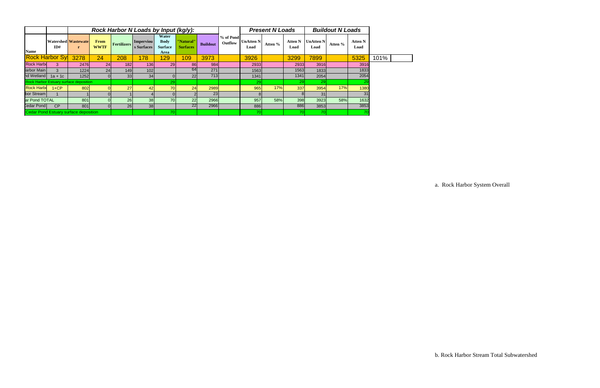|                                               |                        |                                            |                            |             | Rock Harbor N Loads by Input (kg/y): |                                                       |                              |                 |                      | <b>Present N Loads</b>   |         |                        | <b>Buildout N Loads</b>  |         |                        |      |
|-----------------------------------------------|------------------------|--------------------------------------------|----------------------------|-------------|--------------------------------------|-------------------------------------------------------|------------------------------|-----------------|----------------------|--------------------------|---------|------------------------|--------------------------|---------|------------------------|------|
| <b>Name</b>                                   | ID#                    | <b>Watershed Wastewate</b><br>$\mathbf{r}$ | <b>From</b><br><b>WWTF</b> | Fertilizers | <b>Imperviou</b><br>s Surfaces       | Water<br><b>Body</b><br><b>Surface</b><br><b>Area</b> | "Natural"<br><b>Surfaces</b> | <b>Buildout</b> | % of Pond<br>Outflow | <b>UnAtten N</b><br>Load | Atten % | <b>Atten N</b><br>Load | <b>UnAtten N</b><br>Load | Atten % | <b>Atten N</b><br>Load |      |
|                                               | <b>Rock Harbor Sy!</b> | 3278                                       | 24                         | 208         | 178                                  | 129                                                   | 109                          | 3973            |                      | 3926                     |         | 3299                   | 7899                     |         | 5325                   | 101% |
| <b>Rock Harbo</b>                             |                        | 2476                                       | 24                         | 182         | 136                                  | 29                                                    | <b>86</b>                    | 984             |                      | 2933                     |         | 2933                   | 3916                     |         | 3916                   |      |
| larbor Main                                   | $\mathcal{R}$          | 1224                                       | 24                         | 149         | 102                                  |                                                       | 64                           | 271             |                      | 1563                     |         | 1563                   | 1833                     |         | 1833                   |      |
| nd Wetland                                    | $1a + 1c$              | 1252                                       |                            | 33          | 34                                   |                                                       | 22                           | 713             |                      | 1341                     |         | 1341                   | 2054                     |         | 2054                   |      |
| <b>Rock Harbor Estuary surface deposition</b> |                        |                                            |                            |             |                                      | 29                                                    |                              |                 |                      | <b>29</b>                |         | 29                     | 29                       |         | $\overline{29}$        |      |
| <b>Rock Harbo</b>                             | $1+CP$                 | 802                                        |                            | 27          | 42                                   | <b>70</b>                                             | 24                           | 2989            |                      | 965                      | 17%     | 337                    | 3954                     | 17%     | 1380                   |      |
| bor Stream                                    |                        |                                            |                            |             |                                      |                                                       |                              | 23              |                      |                          |         |                        | 31                       |         | 31                     |      |
| ar Pond TOTAL                                 |                        | 801                                        |                            | 26          | 38                                   | 70                                                    | 22                           | 2966            |                      | 957                      | 58%     | 398                    | 3923                     | 58%     | 1632                   |      |
| Cedar Pond                                    | CP                     | 801                                        |                            | 26          | 38                                   |                                                       | 22                           | 2966            |                      | 886                      |         | 886                    | 3853                     |         | 3853                   |      |
| Cedar Pond Estuary surface deposition         |                        |                                            |                            |             |                                      | 70                                                    |                              |                 |                      | 70                       |         | 70                     | 70                       |         |                        |      |

a. Rock Harbor System Overall